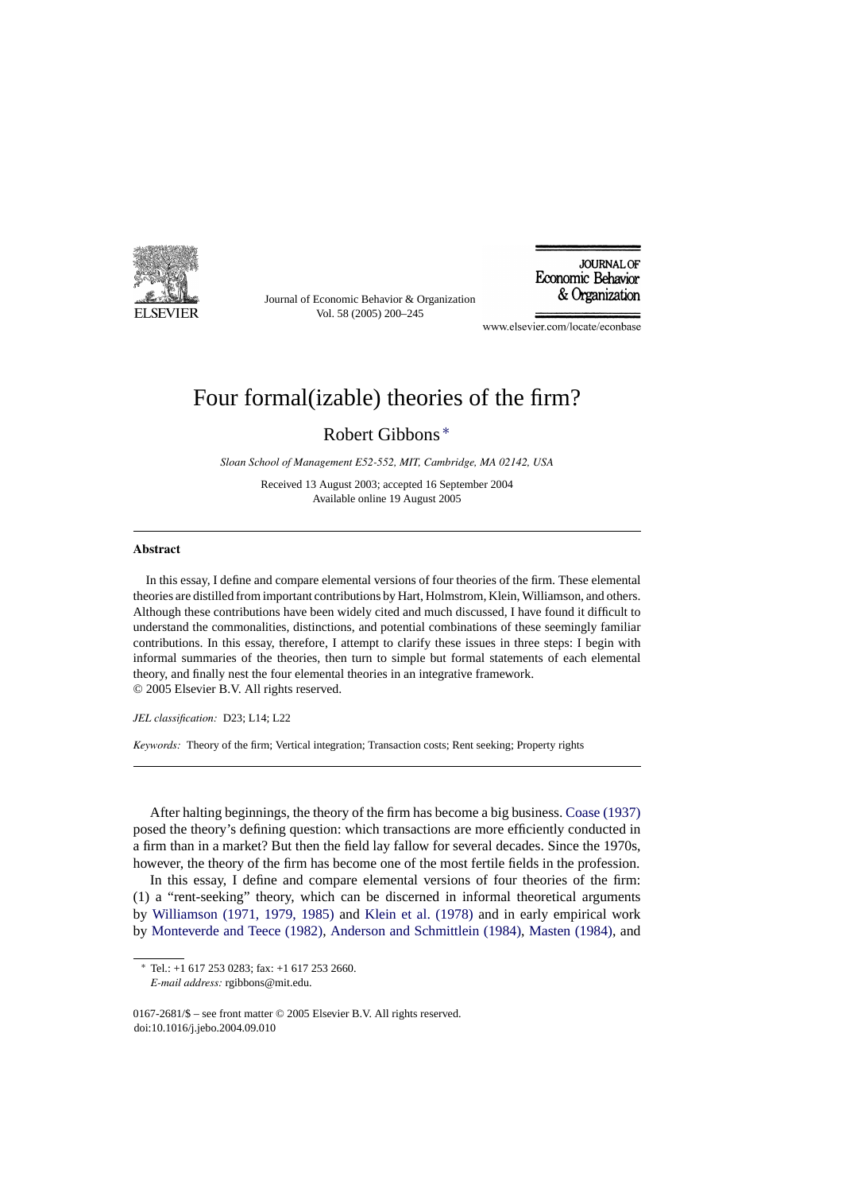

Journal of Economic Behavior & Organization Vol. 58 (2005) 200–245

**JOURNAL OF** Economic Behavior & Organization

www.elsevier.com/locate/econbase

# Four formal(izable) theories of the firm?

Robert Gibbons <sup>∗</sup>

*Sloan School of Management E52-552, MIT, Cambridge, MA 02142, USA*

Received 13 August 2003; accepted 16 September 2004 Available online 19 August 2005

#### **Abstract**

In this essay, I define and compare elemental versions of four theories of the firm. These elemental theories are distilled from important contributions by Hart, Holmstrom, Klein, Williamson, and others. Although these contributions have been widely cited and much discussed, I have found it difficult to understand the commonalities, distinctions, and potential combinations of these seemingly familiar contributions. In this essay, therefore, I attempt to clarify these issues in three steps: I begin with informal summaries of the theories, then turn to simple but formal statements of each elemental theory, and finally nest the four elemental theories in an integrative framework. © 2005 Elsevier B.V. All rights reserved.

*JEL classification:* D23; L14; L22

*Keywords:* Theory of the firm; Vertical integration; Transaction costs; Rent seeking; Property rights

After halting beginnings, the theory of the firm has become a big business. [Coase \(1937\)](#page-42-0) posed the theory's defining question: which transactions are more efficiently conducted in a firm than in a market? But then the field lay fallow for several decades. Since the 1970s, however, the theory of the firm has become one of the most fertile fields in the profession.

In this essay, I define and compare elemental versions of four theories of the firm: (1) a "rent-seeking" theory, which can be discerned in informal theoretical arguments by [Williamson \(1971, 1979, 1985\)](#page-45-0) and [Klein et al. \(1978\)](#page-43-0) and in early empirical work by [Monteverde and Teece \(1982\),](#page-44-0) [Anderson and Schmittlein \(1984\),](#page-41-0) [Masten \(1984\),](#page-44-0) and

<sup>∗</sup> Tel.: +1 617 253 0283; fax: +1 617 253 2660.

*E-mail address:* rgibbons@mit.edu.

<sup>0167-2681/\$ –</sup> see front matter © 2005 Elsevier B.V. All rights reserved. doi:10.1016/j.jebo.2004.09.010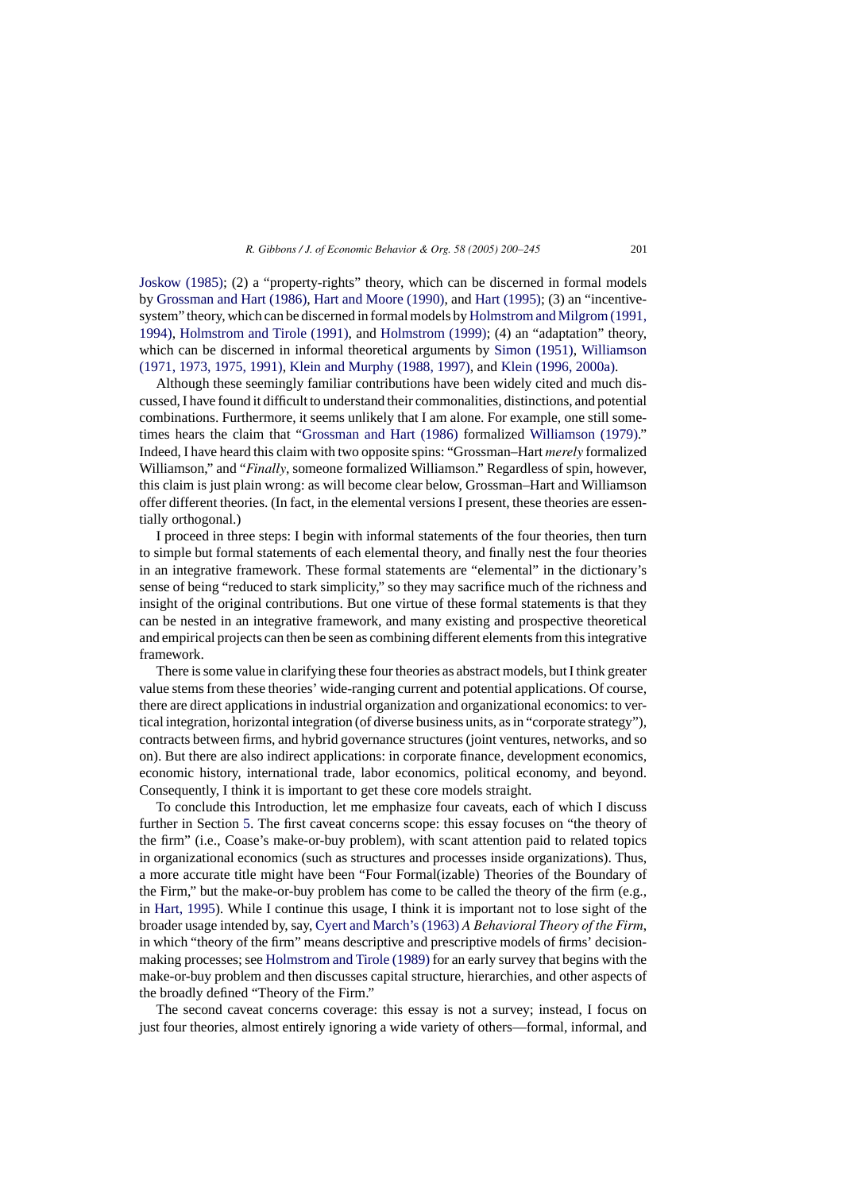[Joskow \(1985\);](#page-43-0) (2) a "property-rights" theory, which can be discerned in formal models by [Grossman and Hart \(1986\),](#page-42-0) [Hart and Moore \(1990\), a](#page-42-0)nd [Hart \(1995\);](#page-42-0) (3) an "incentivesystem" theory, which can be discerned in formal models by [Holmstrom and Milgrom \(1991,](#page-43-0) [1994\),](#page-43-0) [Holmstrom and Tirole \(1991\),](#page-43-0) and [Holmstrom \(1999\);](#page-42-0) (4) an "adaptation" theory, which can be discerned in informal theoretical arguments by [Simon \(1951\),](#page-45-0) [Williamson](#page-45-0) [\(1971, 1973, 1975, 1991\),](#page-45-0) [Klein and Murphy \(1988, 1997\),](#page-43-0) and [Klein \(1996, 2000a\).](#page-43-0)

Although these seemingly familiar contributions have been widely cited and much discussed, I have found it difficult to understand their commonalities, distinctions, and potential combinations. Furthermore, it seems unlikely that I am alone. For example, one still sometimes hears the claim that "[Grossman and Hart \(1986\)](#page-42-0) formalized [Williamson \(1979\)."](#page-45-0) Indeed, I have heard this claim with two opposite spins: "Grossman–Hart *merely* formalized Williamson," and "*Finally*, someone formalized Williamson." Regardless of spin, however, this claim is just plain wrong: as will become clear below, Grossman–Hart and Williamson offer different theories. (In fact, in the elemental versions I present, these theories are essentially orthogonal.)

I proceed in three steps: I begin with informal statements of the four theories, then turn to simple but formal statements of each elemental theory, and finally nest the four theories in an integrative framework. These formal statements are "elemental" in the dictionary's sense of being "reduced to stark simplicity," so they may sacrifice much of the richness and insight of the original contributions. But one virtue of these formal statements is that they can be nested in an integrative framework, and many existing and prospective theoretical and empirical projects can then be seen as combining different elements from this integrative framework.

There is some value in clarifying these four theories as abstract models, but I think greater value stems from these theories' wide-ranging current and potential applications. Of course, there are direct applications in industrial organization and organizational economics: to vertical integration, horizontal integration (of diverse business units, as in "corporate strategy"), contracts between firms, and hybrid governance structures (joint ventures, networks, and so on). But there are also indirect applications: in corporate finance, development economics, economic history, international trade, labor economics, political economy, and beyond. Consequently, I think it is important to get these core models straight.

To conclude this Introduction, let me emphasize four caveats, each of which I discuss further in Section [5.](#page-33-0) The first caveat concerns scope: this essay focuses on "the theory of the firm" (i.e., Coase's make-or-buy problem), with scant attention paid to related topics in organizational economics (such as structures and processes inside organizations). Thus, a more accurate title might have been "Four Formal(izable) Theories of the Boundary of the Firm," but the make-or-buy problem has come to be called the theory of the firm (e.g., in [Hart, 1995\).](#page-42-0) While I continue this usage, I think it is important not to lose sight of the broader usage intended by, say, [Cyert and March's \(1963\)](#page-42-0) *A Behavioral Theory of the Firm*, in which "theory of the firm" means descriptive and prescriptive models of firms' decisionmaking processes; see [Holmstrom and Tirole \(1989\)](#page-43-0) for an early survey that begins with the make-or-buy problem and then discusses capital structure, hierarchies, and other aspects of the broadly defined "Theory of the Firm."

The second caveat concerns coverage: this essay is not a survey; instead, I focus on just four theories, almost entirely ignoring a wide variety of others—formal, informal, and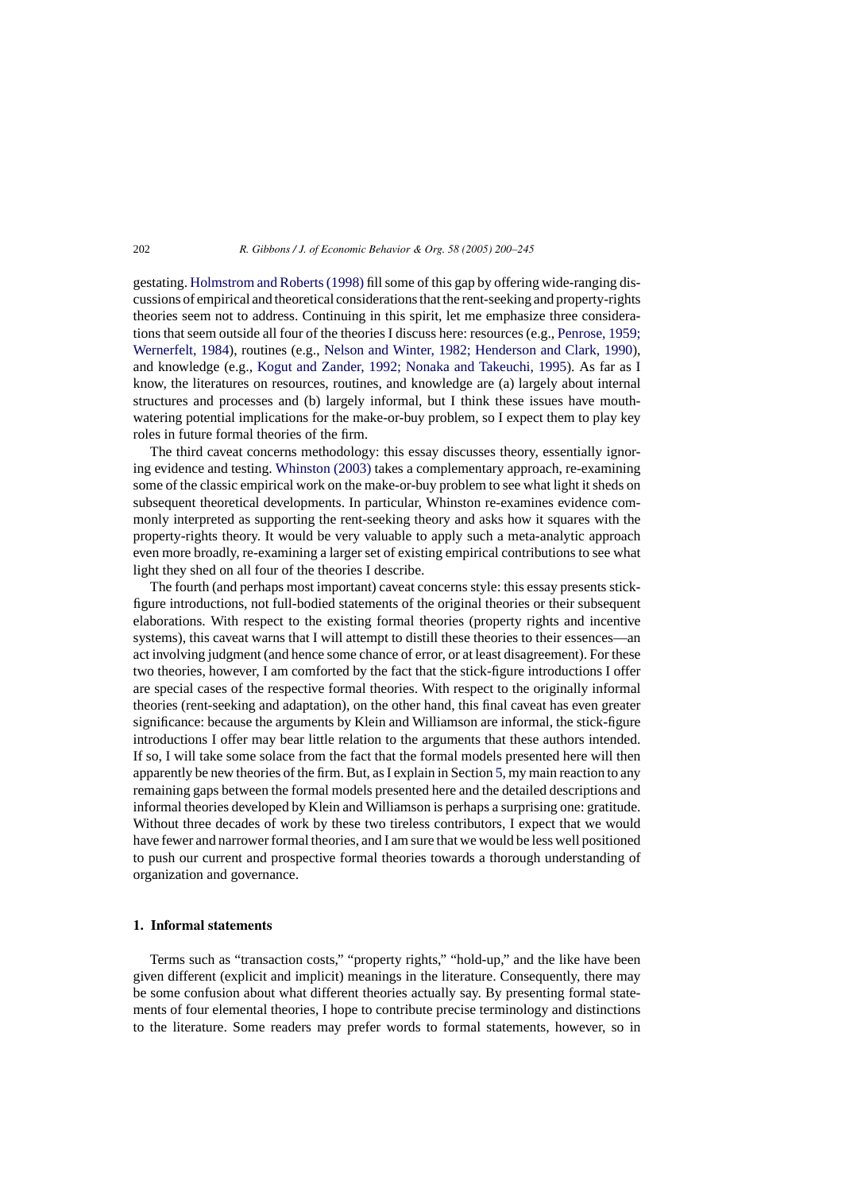<span id="page-2-0"></span>gestating. [Holmstrom and Roberts \(1998\)](#page-43-0) fill some of this gap by offering wide-ranging discussions of empirical and theoretical considerations that the rent-seeking and property-rights theories seem not to address. Continuing in this spirit, let me emphasize three considerations that seem outside all four of the theories I discuss here: resources (e.g., [Penrose, 1959;](#page-44-0) [Wernerfelt, 1984\),](#page-44-0) routines (e.g., [Nelson and Winter, 1982; Henderson and Clark, 1990\)](#page-44-0), and knowledge (e.g., [Kogut and Zander, 1992; Nonaka and Takeuchi, 1995](#page-43-0)). As far as I know, the literatures on resources, routines, and knowledge are (a) largely about internal structures and processes and (b) largely informal, but I think these issues have mouthwatering potential implications for the make-or-buy problem, so I expect them to play key roles in future formal theories of the firm.

The third caveat concerns methodology: this essay discusses theory, essentially ignoring evidence and testing. [Whinston \(2003\)](#page-45-0) takes a complementary approach, re-examining some of the classic empirical work on the make-or-buy problem to see what light it sheds on subsequent theoretical developments. In particular, Whinston re-examines evidence commonly interpreted as supporting the rent-seeking theory and asks how it squares with the property-rights theory. It would be very valuable to apply such a meta-analytic approach even more broadly, re-examining a larger set of existing empirical contributions to see what light they shed on all four of the theories I describe.

The fourth (and perhaps most important) caveat concerns style: this essay presents stickfigure introductions, not full-bodied statements of the original theories or their subsequent elaborations. With respect to the existing formal theories (property rights and incentive systems), this caveat warns that I will attempt to distill these theories to their essences—an act involving judgment (and hence some chance of error, or at least disagreement). For these two theories, however, I am comforted by the fact that the stick-figure introductions I offer are special cases of the respective formal theories. With respect to the originally informal theories (rent-seeking and adaptation), on the other hand, this final caveat has even greater significance: because the arguments by Klein and Williamson are informal, the stick-figure introductions I offer may bear little relation to the arguments that these authors intended. If so, I will take some solace from the fact that the formal models presented here will then apparently be new theories of the firm. But, as I explain in Section [5, m](#page-33-0)y main reaction to any remaining gaps between the formal models presented here and the detailed descriptions and informal theories developed by Klein and Williamson is perhaps a surprising one: gratitude. Without three decades of work by these two tireless contributors, I expect that we would have fewer and narrower formal theories, and I am sure that we would be less well positioned to push our current and prospective formal theories towards a thorough understanding of organization and governance.

#### **1. Informal statements**

Terms such as "transaction costs," "property rights," "hold-up," and the like have been given different (explicit and implicit) meanings in the literature. Consequently, there may be some confusion about what different theories actually say. By presenting formal statements of four elemental theories, I hope to contribute precise terminology and distinctions to the literature. Some readers may prefer words to formal statements, however, so in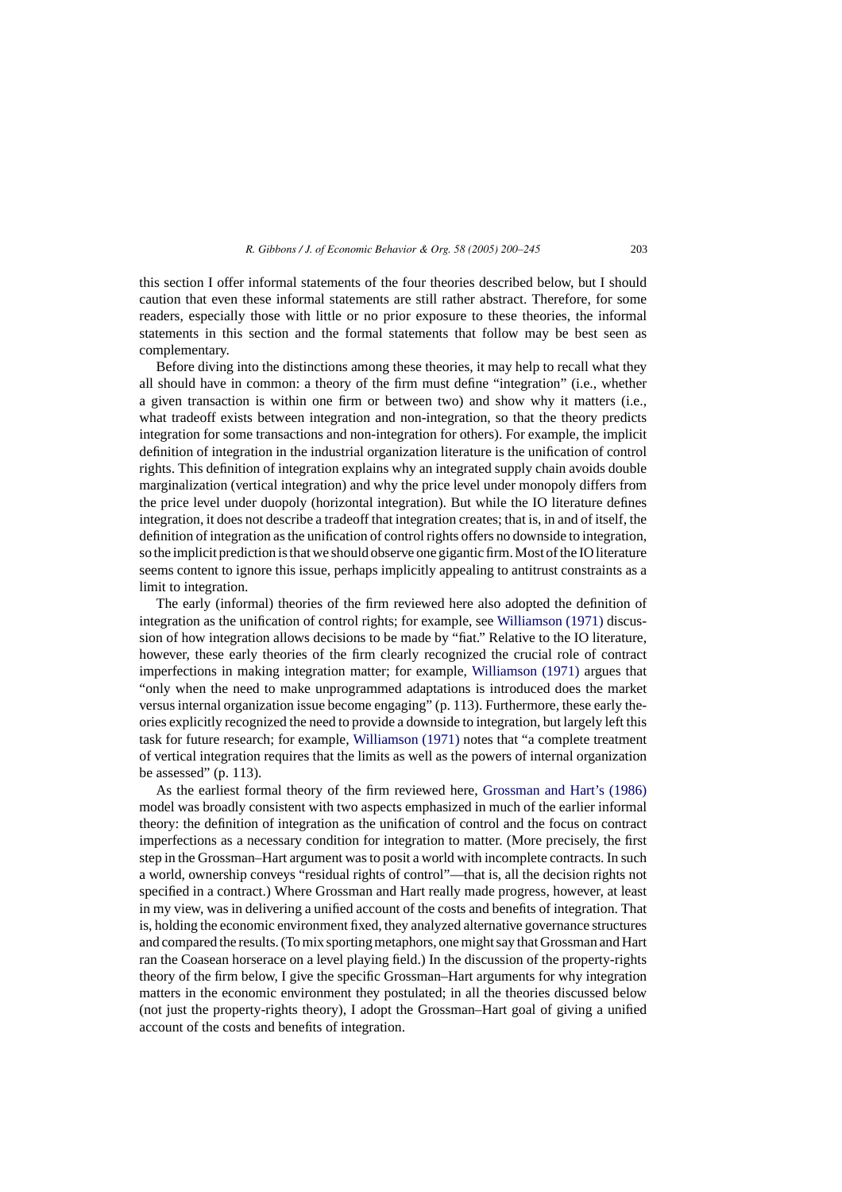this section I offer informal statements of the four theories described below, but I should caution that even these informal statements are still rather abstract. Therefore, for some readers, especially those with little or no prior exposure to these theories, the informal statements in this section and the formal statements that follow may be best seen as complementary.

Before diving into the distinctions among these theories, it may help to recall what they all should have in common: a theory of the firm must define "integration" (i.e., whether a given transaction is within one firm or between two) and show why it matters (i.e., what tradeoff exists between integration and non-integration, so that the theory predicts integration for some transactions and non-integration for others). For example, the implicit definition of integration in the industrial organization literature is the unification of control rights. This definition of integration explains why an integrated supply chain avoids double marginalization (vertical integration) and why the price level under monopoly differs from the price level under duopoly (horizontal integration). But while the IO literature defines integration, it does not describe a tradeoff that integration creates; that is, in and of itself, the definition of integration as the unification of control rights offers no downside to integration, so the implicit prediction is that we should observe one gigantic firm. Most of the IO literature seems content to ignore this issue, perhaps implicitly appealing to antitrust constraints as a limit to integration.

The early (informal) theories of the firm reviewed here also adopted the definition of integration as the unification of control rights; for example, see [Williamson \(1971\)](#page-45-0) discussion of how integration allows decisions to be made by "fiat." Relative to the IO literature, however, these early theories of the firm clearly recognized the crucial role of contract imperfections in making integration matter; for example, [Williamson \(1971\)](#page-45-0) argues that "only when the need to make unprogrammed adaptations is introduced does the market versus internal organization issue become engaging" (p. 113). Furthermore, these early theories explicitly recognized the need to provide a downside to integration, but largely left this task for future research; for example, [Williamson \(1971\)](#page-45-0) notes that "a complete treatment of vertical integration requires that the limits as well as the powers of internal organization be assessed" (p.  $113$ ).

As the earliest formal theory of the firm reviewed here, [Grossman and Hart's \(1986\)](#page-42-0) model was broadly consistent with two aspects emphasized in much of the earlier informal theory: the definition of integration as the unification of control and the focus on contract imperfections as a necessary condition for integration to matter. (More precisely, the first step in the Grossman–Hart argument was to posit a world with incomplete contracts. In such a world, ownership conveys "residual rights of control"—that is, all the decision rights not specified in a contract.) Where Grossman and Hart really made progress, however, at least in my view, was in delivering a unified account of the costs and benefits of integration. That is, holding the economic environment fixed, they analyzed alternative governance structures and compared the results. (To mix sporting metaphors, one might say that Grossman and Hart ran the Coasean horserace on a level playing field.) In the discussion of the property-rights theory of the firm below, I give the specific Grossman–Hart arguments for why integration matters in the economic environment they postulated; in all the theories discussed below (not just the property-rights theory), I adopt the Grossman–Hart goal of giving a unified account of the costs and benefits of integration.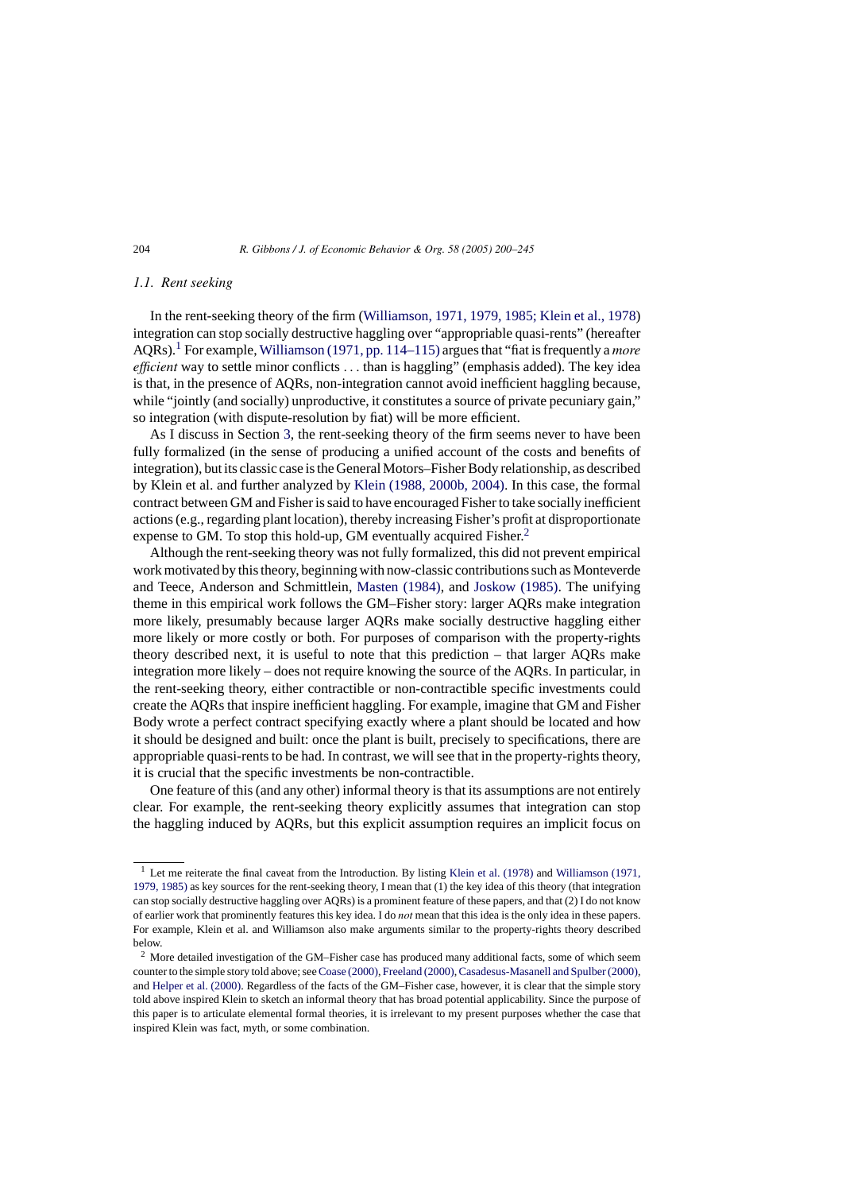## *1.1. Rent seeking*

In the rent-seeking theory of the firm ([Williamson, 1971, 1979, 1985; Klein et al., 1978\)](#page-45-0) integration can stop socially destructive haggling over "appropriable quasi-rents" (hereafter AQRs).<sup>1</sup> For example, [Williamson \(1971, pp. 114–115\)](#page-45-0) argues that "fiat is frequently a *more efficient* way to settle minor conflicts ... than is haggling" (emphasis added). The key idea is that, in the presence of AQRs, non-integration cannot avoid inefficient haggling because, while "jointly (and socially) unproductive, it constitutes a source of private pecuniary gain," so integration (with dispute-resolution by fiat) will be more efficient.

As I discuss in Section [3,](#page-17-0) the rent-seeking theory of the firm seems never to have been fully formalized (in the sense of producing a unified account of the costs and benefits of integration), but its classic case is the General Motors–Fisher Body relationship, as described by Klein et al. and further analyzed by [Klein \(1988, 2000b, 2004\).](#page-43-0) In this case, the formal contract between GM and Fisher is said to have encouraged Fisher to take socially inefficient actions (e.g., regarding plant location), thereby increasing Fisher's profit at disproportionate expense to GM. To stop this hold-up, GM eventually acquired Fisher.<sup>2</sup>

Although the rent-seeking theory was not fully formalized, this did not prevent empirical work motivated by this theory, beginning with now-classic contributions such as Monteverde and Teece, Anderson and Schmittlein, [Masten \(1984\),](#page-44-0) and [Joskow \(1985\).](#page-43-0) The unifying theme in this empirical work follows the GM–Fisher story: larger AQRs make integration more likely, presumably because larger AQRs make socially destructive haggling either more likely or more costly or both. For purposes of comparison with the property-rights theory described next, it is useful to note that this prediction – that larger AQRs make integration more likely – does not require knowing the source of the AQRs. In particular, in the rent-seeking theory, either contractible or non-contractible specific investments could create the AQRs that inspire inefficient haggling. For example, imagine that GM and Fisher Body wrote a perfect contract specifying exactly where a plant should be located and how it should be designed and built: once the plant is built, precisely to specifications, there are appropriable quasi-rents to be had. In contrast, we will see that in the property-rights theory, it is crucial that the specific investments be non-contractible.

One feature of this (and any other) informal theory is that its assumptions are not entirely clear. For example, the rent-seeking theory explicitly assumes that integration can stop the haggling induced by AQRs, but this explicit assumption requires an implicit focus on

<sup>&</sup>lt;sup>1</sup> Let me reiterate the final caveat from the Introduction. By listing [Klein et al. \(1978\)](#page-43-0) and [Williamson \(1971,](#page-45-0) [1979, 1985\)](#page-45-0) as key sources for the rent-seeking theory, I mean that (1) the key idea of this theory (that integration can stop socially destructive haggling over AQRs) is a prominent feature of these papers, and that (2) I do not know of earlier work that prominently features this key idea. I do *not* mean that this idea is the only idea in these papers. For example, Klein et al. and Williamson also make arguments similar to the property-rights theory described below.

<sup>&</sup>lt;sup>2</sup> More detailed investigation of the GM–Fisher case has produced many additional facts, some of which seem counter to the simple story told above; see [Coase \(2000\),](#page-42-0) Freeland (2000), Casadesus-Masanell and Spulber (2000), and [Helper et al. \(2000\). R](#page-42-0)egardless of the facts of the GM–Fisher case, however, it is clear that the simple story told above inspired Klein to sketch an informal theory that has broad potential applicability. Since the purpose of this paper is to articulate elemental formal theories, it is irrelevant to my present purposes whether the case that inspired Klein was fact, myth, or some combination.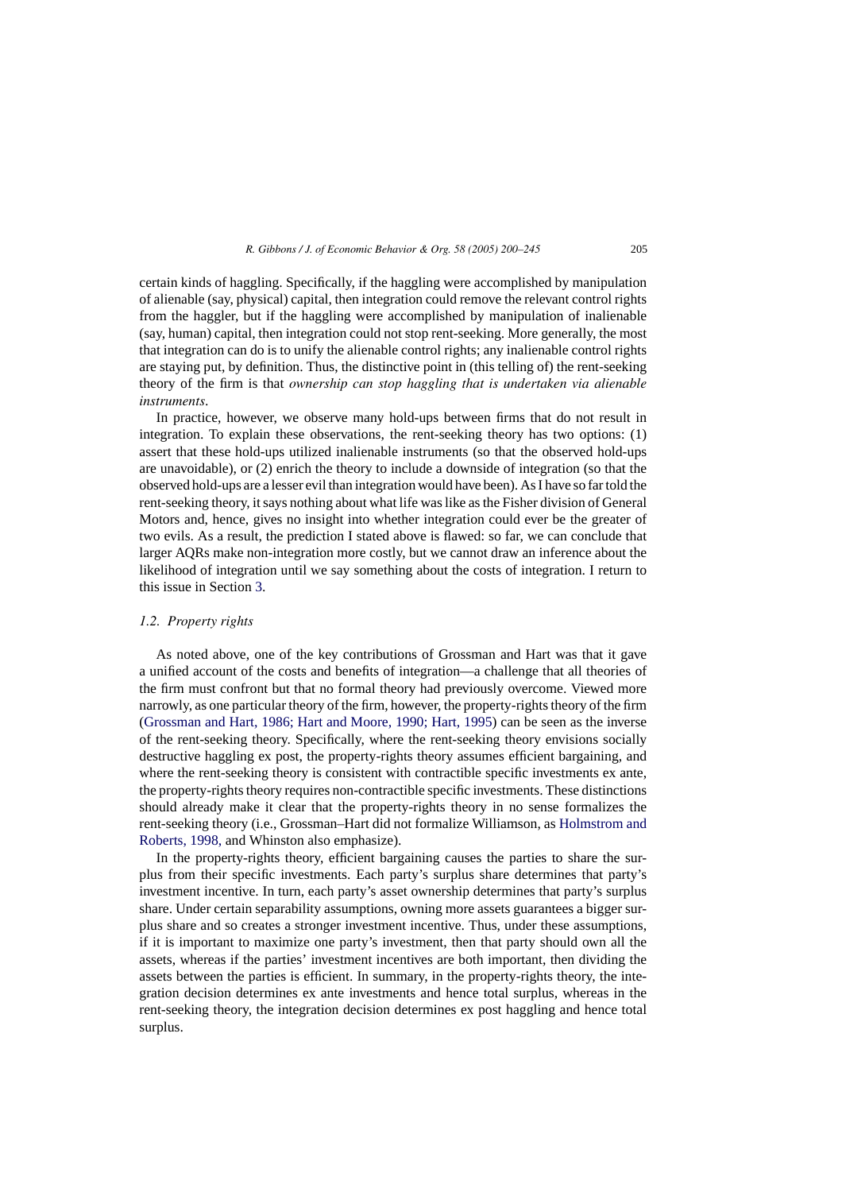certain kinds of haggling. Specifically, if the haggling were accomplished by manipulation of alienable (say, physical) capital, then integration could remove the relevant control rights from the haggler, but if the haggling were accomplished by manipulation of inalienable (say, human) capital, then integration could not stop rent-seeking. More generally, the most that integration can do is to unify the alienable control rights; any inalienable control rights are staying put, by definition. Thus, the distinctive point in (this telling of) the rent-seeking theory of the firm is that *ownership can stop haggling that is undertaken via alienable instruments*.

In practice, however, we observe many hold-ups between firms that do not result in integration. To explain these observations, the rent-seeking theory has two options: (1) assert that these hold-ups utilized inalienable instruments (so that the observed hold-ups are unavoidable), or (2) enrich the theory to include a downside of integration (so that the observed hold-ups are a lesser evil than integration would have been). As I have so far told the rent-seeking theory, it says nothing about what life was like as the Fisher division of General Motors and, hence, gives no insight into whether integration could ever be the greater of two evils. As a result, the prediction I stated above is flawed: so far, we can conclude that larger AQRs make non-integration more costly, but we cannot draw an inference about the likelihood of integration until we say something about the costs of integration. I return to this issue in Section [3.](#page-17-0)

#### *1.2. Property rights*

As noted above, one of the key contributions of Grossman and Hart was that it gave a unified account of the costs and benefits of integration—a challenge that all theories of the firm must confront but that no formal theory had previously overcome. Viewed more narrowly, as one particular theory of the firm, however, the property-rights theory of the firm ([Grossman and Hart, 1986; Hart and Moore, 1990; Hart, 1995\)](#page-42-0) can be seen as the inverse of the rent-seeking theory. Specifically, where the rent-seeking theory envisions socially destructive haggling ex post, the property-rights theory assumes efficient bargaining, and where the rent-seeking theory is consistent with contractible specific investments ex ante, the property-rights theory requires non-contractible specific investments. These distinctions should already make it clear that the property-rights theory in no sense formalizes the rent-seeking theory (i.e., Grossman–Hart did not formalize Williamson, as [Holmstrom and](#page-43-0) [Roberts, 1998,](#page-43-0) and Whinston also emphasize).

In the property-rights theory, efficient bargaining causes the parties to share the surplus from their specific investments. Each party's surplus share determines that party's investment incentive. In turn, each party's asset ownership determines that party's surplus share. Under certain separability assumptions, owning more assets guarantees a bigger surplus share and so creates a stronger investment incentive. Thus, under these assumptions, if it is important to maximize one party's investment, then that party should own all the assets, whereas if the parties' investment incentives are both important, then dividing the assets between the parties is efficient. In summary, in the property-rights theory, the integration decision determines ex ante investments and hence total surplus, whereas in the rent-seeking theory, the integration decision determines ex post haggling and hence total surplus.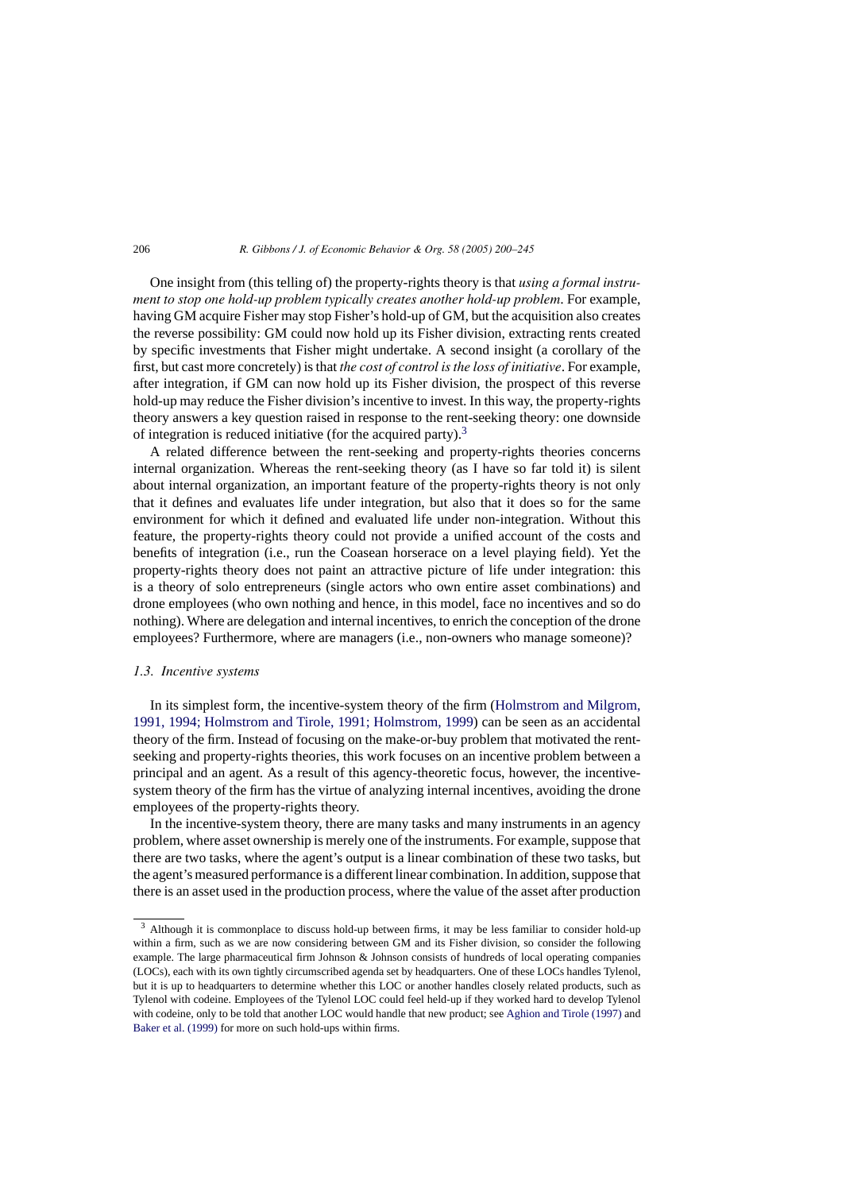One insight from (this telling of) the property-rights theory is that *using a formal instrument to stop one hold-up problem typically creates another hold-up problem*. For example, having GM acquire Fisher may stop Fisher's hold-up of GM, but the acquisition also creates the reverse possibility: GM could now hold up its Fisher division, extracting rents created by specific investments that Fisher might undertake. A second insight (a corollary of the first, but cast more concretely) is that *the cost of control is the loss of initiative*. For example, after integration, if GM can now hold up its Fisher division, the prospect of this reverse hold-up may reduce the Fisher division's incentive to invest. In this way, the property-rights theory answers a key question raised in response to the rent-seeking theory: one downside of integration is reduced initiative (for the acquired party).<sup>3</sup>

A related difference between the rent-seeking and property-rights theories concerns internal organization. Whereas the rent-seeking theory (as I have so far told it) is silent about internal organization, an important feature of the property-rights theory is not only that it defines and evaluates life under integration, but also that it does so for the same environment for which it defined and evaluated life under non-integration. Without this feature, the property-rights theory could not provide a unified account of the costs and benefits of integration (i.e., run the Coasean horserace on a level playing field). Yet the property-rights theory does not paint an attractive picture of life under integration: this is a theory of solo entrepreneurs (single actors who own entire asset combinations) and drone employees (who own nothing and hence, in this model, face no incentives and so do nothing). Where are delegation and internal incentives, to enrich the conception of the drone employees? Furthermore, where are managers (i.e., non-owners who manage someone)?

#### *1.3. Incentive systems*

In its simplest form, the incentive-system theory of the firm ([Holmstrom and Milgrom,](#page-43-0) [1991, 1994; Holmstrom and Tirole, 1991; Holmstrom, 1999\)](#page-43-0) can be seen as an accidental theory of the firm. Instead of focusing on the make-or-buy problem that motivated the rentseeking and property-rights theories, this work focuses on an incentive problem between a principal and an agent. As a result of this agency-theoretic focus, however, the incentivesystem theory of the firm has the virtue of analyzing internal incentives, avoiding the drone employees of the property-rights theory.

In the incentive-system theory, there are many tasks and many instruments in an agency problem, where asset ownership is merely one of the instruments. For example, suppose that there are two tasks, where the agent's output is a linear combination of these two tasks, but the agent's measured performance is a different linear combination. In addition, suppose that there is an asset used in the production process, where the value of the asset after production

<sup>&</sup>lt;sup>3</sup> Although it is commonplace to discuss hold-up between firms, it may be less familiar to consider hold-up within a firm, such as we are now considering between GM and its Fisher division, so consider the following example. The large pharmaceutical firm Johnson & Johnson consists of hundreds of local operating companies (LOCs), each with its own tightly circumscribed agenda set by headquarters. One of these LOCs handles Tylenol, but it is up to headquarters to determine whether this LOC or another handles closely related products, such as Tylenol with codeine. Employees of the Tylenol LOC could feel held-up if they worked hard to develop Tylenol with codeine, only to be told that another LOC would handle that new product; see [Aghion and Tirole \(1997\)](#page-41-0) and [Baker et al. \(1999\)](#page-41-0) for more on such hold-ups within firms.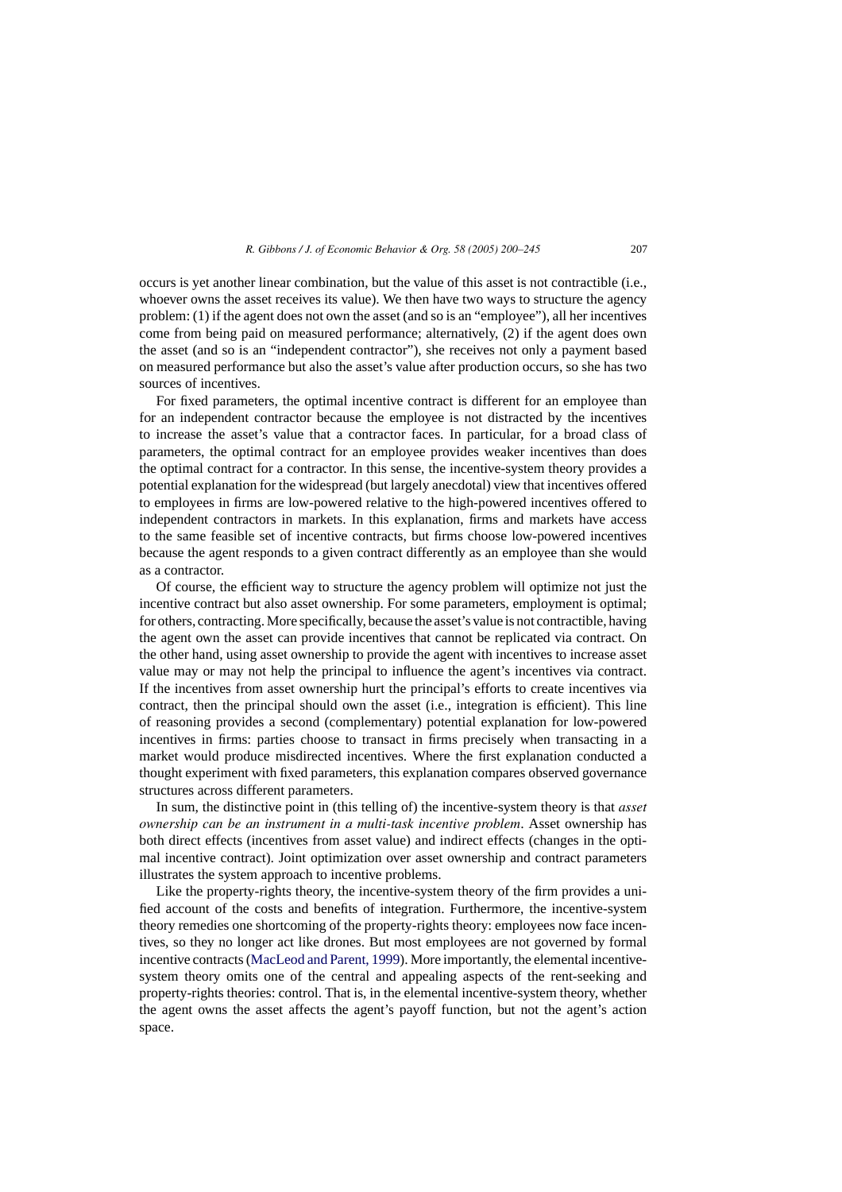occurs is yet another linear combination, but the value of this asset is not contractible (i.e., whoever owns the asset receives its value). We then have two ways to structure the agency problem: (1) if the agent does not own the asset (and so is an "employee"), all her incentives come from being paid on measured performance; alternatively, (2) if the agent does own the asset (and so is an "independent contractor"), she receives not only a payment based on measured performance but also the asset's value after production occurs, so she has two sources of incentives.

For fixed parameters, the optimal incentive contract is different for an employee than for an independent contractor because the employee is not distracted by the incentives to increase the asset's value that a contractor faces. In particular, for a broad class of parameters, the optimal contract for an employee provides weaker incentives than does the optimal contract for a contractor. In this sense, the incentive-system theory provides a potential explanation for the widespread (but largely anecdotal) view that incentives offered to employees in firms are low-powered relative to the high-powered incentives offered to independent contractors in markets. In this explanation, firms and markets have access to the same feasible set of incentive contracts, but firms choose low-powered incentives because the agent responds to a given contract differently as an employee than she would as a contractor.

Of course, the efficient way to structure the agency problem will optimize not just the incentive contract but also asset ownership. For some parameters, employment is optimal; for others, contracting. More specifically, because the asset's value is not contractible, having the agent own the asset can provide incentives that cannot be replicated via contract. On the other hand, using asset ownership to provide the agent with incentives to increase asset value may or may not help the principal to influence the agent's incentives via contract. If the incentives from asset ownership hurt the principal's efforts to create incentives via contract, then the principal should own the asset (i.e., integration is efficient). This line of reasoning provides a second (complementary) potential explanation for low-powered incentives in firms: parties choose to transact in firms precisely when transacting in a market would produce misdirected incentives. Where the first explanation conducted a thought experiment with fixed parameters, this explanation compares observed governance structures across different parameters.

In sum, the distinctive point in (this telling of) the incentive-system theory is that *asset ownership can be an instrument in a multi-task incentive problem*. Asset ownership has both direct effects (incentives from asset value) and indirect effects (changes in the optimal incentive contract). Joint optimization over asset ownership and contract parameters illustrates the system approach to incentive problems.

Like the property-rights theory, the incentive-system theory of the firm provides a unified account of the costs and benefits of integration. Furthermore, the incentive-system theory remedies one shortcoming of the property-rights theory: employees now face incentives, so they no longer act like drones. But most employees are not governed by formal incentive contracts [\(MacLeod and Parent, 1999\).](#page-44-0) More importantly, the elemental incentivesystem theory omits one of the central and appealing aspects of the rent-seeking and property-rights theories: control. That is, in the elemental incentive-system theory, whether the agent owns the asset affects the agent's payoff function, but not the agent's action space.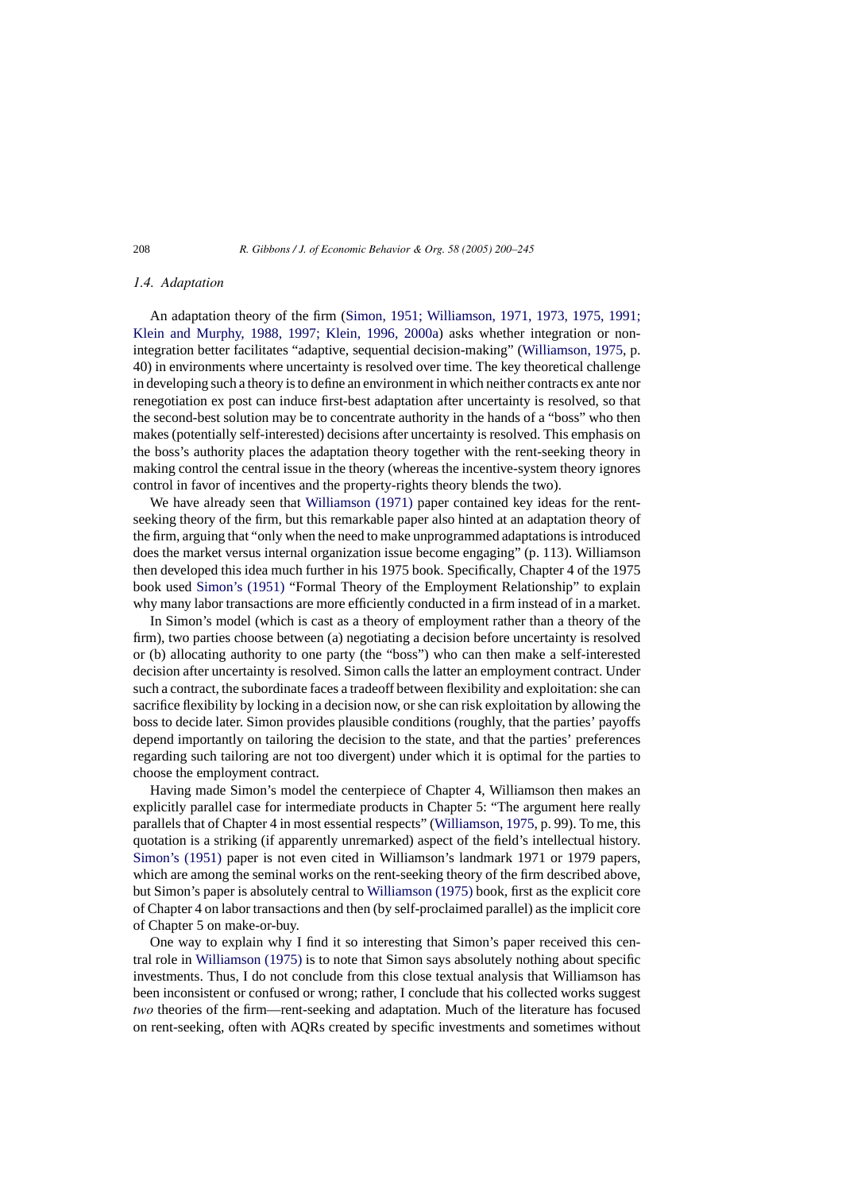## <span id="page-8-0"></span>*1.4. Adaptation*

An adaptation theory of the firm [\(Simon, 1951; Williamson, 1971, 1973, 1975, 1991;](#page-45-0) [Klein and Murphy, 1988, 1997; Klein, 1996, 2000](#page-45-0)a) asks whether integration or nonintegration better facilitates "adaptive, sequential decision-making" [\(Williamson, 1975,](#page-45-0) p. 40) in environments where uncertainty is resolved over time. The key theoretical challenge in developing such a theory is to define an environment in which neither contracts ex ante nor renegotiation ex post can induce first-best adaptation after uncertainty is resolved, so that the second-best solution may be to concentrate authority in the hands of a "boss" who then makes (potentially self-interested) decisions after uncertainty is resolved. This emphasis on the boss's authority places the adaptation theory together with the rent-seeking theory in making control the central issue in the theory (whereas the incentive-system theory ignores control in favor of incentives and the property-rights theory blends the two).

We have already seen that [Williamson \(1971\)](#page-45-0) paper contained key ideas for the rentseeking theory of the firm, but this remarkable paper also hinted at an adaptation theory of the firm, arguing that "only when the need to make unprogrammed adaptations is introduced does the market versus internal organization issue become engaging" (p. 113). Williamson then developed this idea much further in his 1975 book. Specifically, Chapter 4 of the 1975 book used [Simon's \(1951\)](#page-45-0) "Formal Theory of the Employment Relationship" to explain why many labor transactions are more efficiently conducted in a firm instead of in a market.

In Simon's model (which is cast as a theory of employment rather than a theory of the firm), two parties choose between (a) negotiating a decision before uncertainty is resolved or (b) allocating authority to one party (the "boss") who can then make a self-interested decision after uncertainty is resolved. Simon calls the latter an employment contract. Under such a contract, the subordinate faces a tradeoff between flexibility and exploitation: she can sacrifice flexibility by locking in a decision now, or she can risk exploitation by allowing the boss to decide later. Simon provides plausible conditions (roughly, that the parties' payoffs depend importantly on tailoring the decision to the state, and that the parties' preferences regarding such tailoring are not too divergent) under which it is optimal for the parties to choose the employment contract.

Having made Simon's model the centerpiece of Chapter 4, Williamson then makes an explicitly parallel case for intermediate products in Chapter 5: "The argument here really parallels that of Chapter 4 in most essential respects" [\(Williamson, 1975, p](#page-45-0). 99). To me, this quotation is a striking (if apparently unremarked) aspect of the field's intellectual history. [Simon's \(1951\)](#page-45-0) paper is not even cited in Williamson's landmark 1971 or 1979 papers, which are among the seminal works on the rent-seeking theory of the firm described above, but Simon's paper is absolutely central to [Williamson \(1975\)](#page-45-0) book, first as the explicit core of Chapter 4 on labor transactions and then (by self-proclaimed parallel) as the implicit core of Chapter 5 on make-or-buy.

One way to explain why I find it so interesting that Simon's paper received this central role in [Williamson \(1975\)](#page-45-0) is to note that Simon says absolutely nothing about specific investments. Thus, I do not conclude from this close textual analysis that Williamson has been inconsistent or confused or wrong; rather, I conclude that his collected works suggest *two* theories of the firm—rent-seeking and adaptation. Much of the literature has focused on rent-seeking, often with AQRs created by specific investments and sometimes without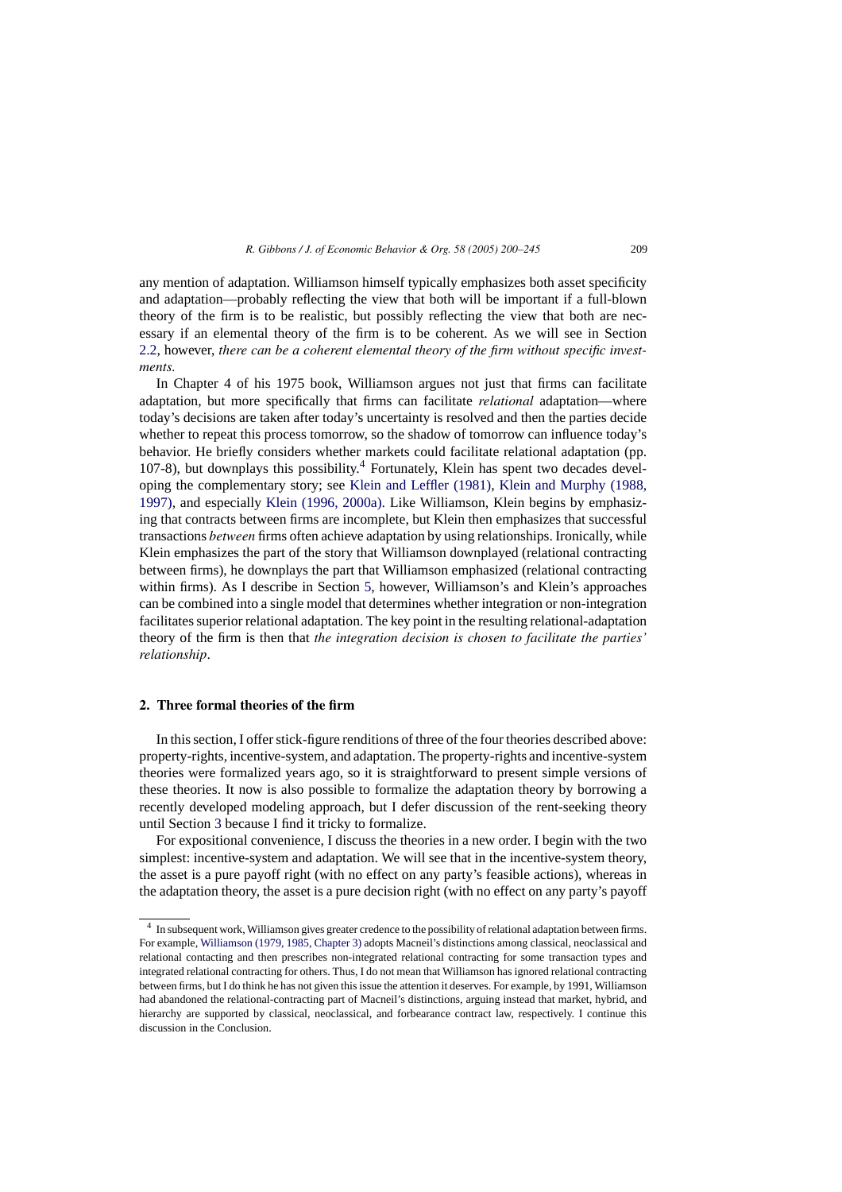[2.2,](#page-12-0) however, *there can be a coherent elemental theory of the firm without specific invest-*

<span id="page-9-0"></span>any mention of adaptation. Williamson himself typically emphasizes both asset specificity and adaptation—probably reflecting the view that both will be important if a full-blown theory of the firm is to be realistic, but possibly reflecting the view that both are necessary if an elemental theory of the firm is to be coherent. As we will see in Section

*ments.* In Chapter 4 of his 1975 book, Williamson argues not just that firms can facilitate adaptation, but more specifically that firms can facilitate *relational* adaptation—where today's decisions are taken after today's uncertainty is resolved and then the parties decide whether to repeat this process tomorrow, so the shadow of tomorrow can influence today's behavior. He briefly considers whether markets could facilitate relational adaptation (pp. 107-8), but downplays this possibility.<sup>4</sup> Fortunately, Klein has spent two decades developing the complementary story; see [Klein and Leffler \(1981\),](#page-43-0) [Klein and Murphy \(1988,](#page-43-0) 1997), and especially [Klein \(1996, 2000a\).](#page-43-0) Like Williamson, Klein begins by emphasizing that contracts between firms are incomplete, but Klein then emphasizes that successful transactions *between* firms often achieve adaptation by using relationships. Ironically, while Klein emphasizes the part of the story that Williamson downplayed (relational contracting between firms), he downplays the part that Williamson emphasized (relational contracting within firms). As I describe in Section [5,](#page-33-0) however, Williamson's and Klein's approaches can be combined into a single model that determines whether integration or non-integration facilitates superior relational adaptation. The key point in the resulting relational-adaptation theory of the firm is then that *the integration decision is chosen to facilitate the parties' relationship*.

# **2. Three formal theories of the firm**

In this section, I offer stick-figure renditions of three of the four theories described above: property-rights, incentive-system, and adaptation. The property-rights and incentive-system theories were formalized years ago, so it is straightforward to present simple versions of these theories. It now is also possible to formalize the adaptation theory by borrowing a recently developed modeling approach, but I defer discussion of the rent-seeking theory until Section [3](#page-17-0) because I find it tricky to formalize.

For expositional convenience, I discuss the theories in a new order. I begin with the two simplest: incentive-system and adaptation. We will see that in the incentive-system theory, the asset is a pure payoff right (with no effect on any party's feasible actions), whereas in the adaptation theory, the asset is a pure decision right (with no effect on any party's payoff

<sup>4</sup> In subsequent work, Williamson gives greater credence to the possibility of relational adaptation between firms. For example, [Williamson \(1979, 1985, Chapter 3\)](#page-45-0) adopts Macneil's distinctions among classical, neoclassical and relational contacting and then prescribes non-integrated relational contracting for some transaction types and integrated relational contracting for others. Thus, I do not mean that Williamson has ignored relational contracting between firms, but I do think he has not given this issue the attention it deserves. For example, by 1991, Williamson had abandoned the relational-contracting part of Macneil's distinctions, arguing instead that market, hybrid, and hierarchy are supported by classical, neoclassical, and forbearance contract law, respectively. I continue this discussion in the Conclusion.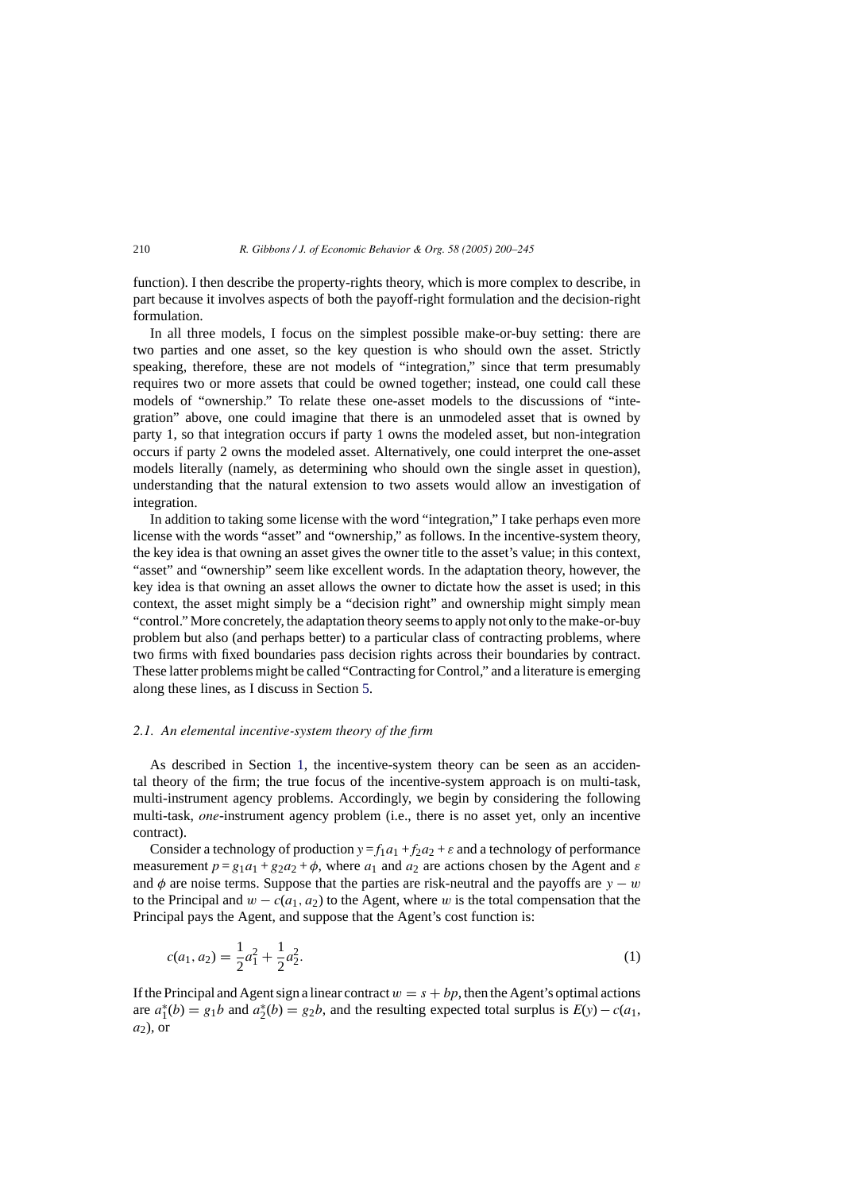<span id="page-10-0"></span>function). I then describe the property-rights theory, which is more complex to describe, in part because it involves aspects of both the payoff-right formulation and the decision-right formulation.

In all three models, I focus on the simplest possible make-or-buy setting: there are two parties and one asset, so the key question is who should own the asset. Strictly speaking, therefore, these are not models of "integration," since that term presumably requires two or more assets that could be owned together; instead, one could call these models of "ownership." To relate these one-asset models to the discussions of "integration" above, one could imagine that there is an unmodeled asset that is owned by party 1, so that integration occurs if party 1 owns the modeled asset, but non-integration occurs if party 2 owns the modeled asset. Alternatively, one could interpret the one-asset models literally (namely, as determining who should own the single asset in question), understanding that the natural extension to two assets would allow an investigation of integration.

In addition to taking some license with the word "integration," I take perhaps even more license with the words "asset" and "ownership," as follows. In the incentive-system theory, the key idea is that owning an asset gives the owner title to the asset's value; in this context, "asset" and "ownership" seem like excellent words. In the adaptation theory, however, the key idea is that owning an asset allows the owner to dictate how the asset is used; in this context, the asset might simply be a "decision right" and ownership might simply mean "control." More concretely, the adaptation theory seems to apply not only to the make-or-buy problem but also (and perhaps better) to a particular class of contracting problems, where two firms with fixed boundaries pass decision rights across their boundaries by contract. These latter problems might be called "Contracting for Control," and a literature is emerging along these lines, as I discuss in Section [5.](#page-33-0)

#### *2.1. An elemental incentive-system theory of the firm*

As described in Section [1,](#page-2-0) the incentive-system theory can be seen as an accidental theory of the firm; the true focus of the incentive-system approach is on multi-task, multi-instrument agency problems. Accordingly, we begin by considering the following multi-task, *one*-instrument agency problem (i.e., there is no asset yet, only an incentive contract).

Consider a technology of production  $y = f_1a_1 + f_2a_2 + \varepsilon$  and a technology of performance measurement  $p = g_1 a_1 + g_2 a_2 + \phi$ , where  $a_1$  and  $a_2$  are actions chosen by the Agent and  $\varepsilon$ and  $\phi$  are noise terms. Suppose that the parties are risk-neutral and the payoffs are  $y - w$ to the Principal and  $w - c(a_1, a_2)$  to the Agent, where w is the total compensation that the Principal pays the Agent, and suppose that the Agent's cost function is:

$$
c(a_1, a_2) = \frac{1}{2}a_1^2 + \frac{1}{2}a_2^2.
$$
 (1)

If the Principal and Agent sign a linear contract  $w = s + bp$ , then the Agent's optimal actions are  $a_1^*(b) = g_1b$  and  $a_2^*(b) = g_2b$ , and the resulting expected total surplus is  $E(y) - c(a_1,$ *a*<sub>2</sub>), or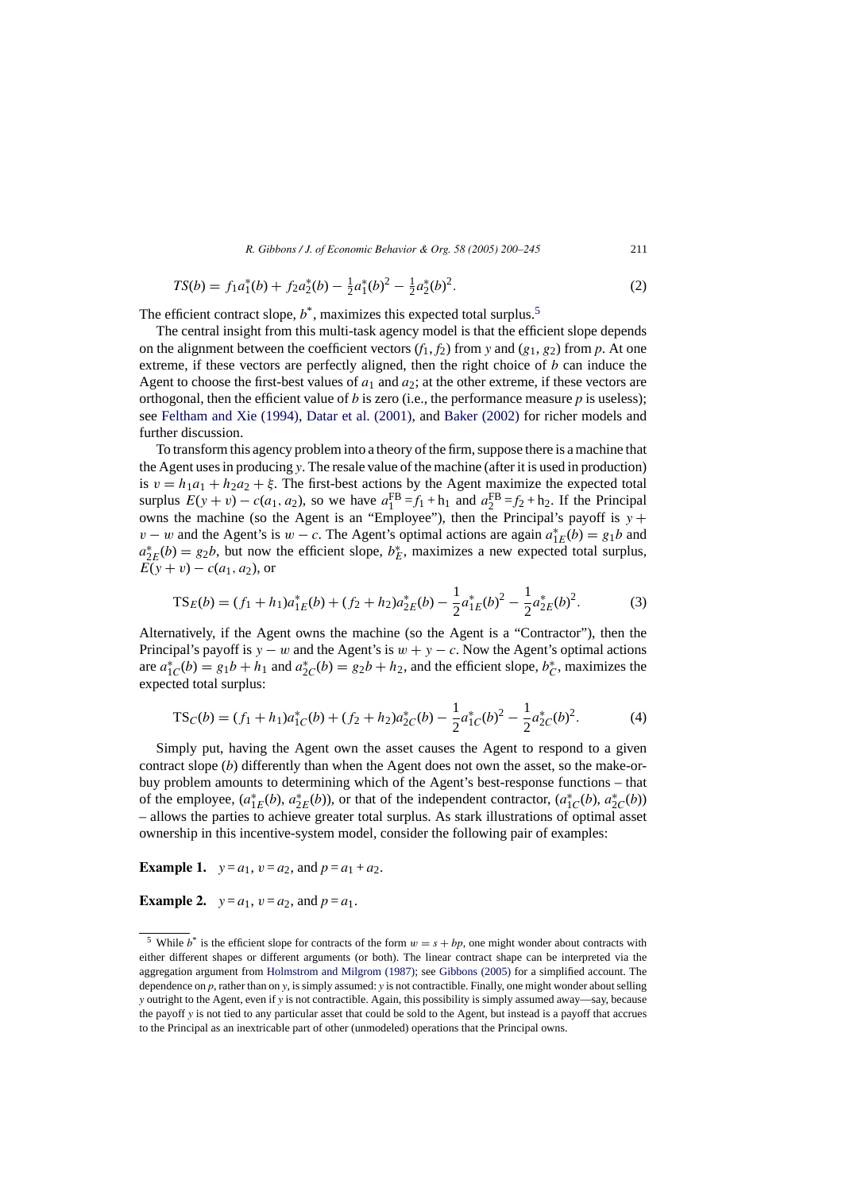*R. Gibbons / J. of Economic Behavior & Org. 58 (2005) 200–245* 211

<span id="page-11-0"></span>
$$
TS(b) = f_1 a_1^*(b) + f_2 a_2^*(b) - \frac{1}{2} a_1^*(b)^2 - \frac{1}{2} a_2^*(b)^2.
$$
 (2)

The efficient contract slope,  $b^*$ , maximizes this expected total surplus.<sup>5</sup>

The central insight from this multi-task agency model is that the efficient slope depends on the alignment between the coefficient vectors  $(f_1, f_2)$  from *y* and  $(g_1, g_2)$  from *p*. At one extreme, if these vectors are perfectly aligned, then the right choice of *b* can induce the Agent to choose the first-best values of  $a_1$  and  $a_2$ ; at the other extreme, if these vectors are orthogonal, then the efficient value of *b* is zero (i.e., the performance measure *p* is useless); see [Feltham and Xie \(1994\),](#page-42-0) [Datar et al. \(2001\),](#page-42-0) and [Baker \(2002\)](#page-41-0) for richer models and further discussion.

To transform this agency problem into a theory of the firm, suppose there is a machine that the Agent uses in producing *y*. The resale value of the machine (after it is used in production) is  $v = h_1a_1 + h_2a_2 + \xi$ . The first-best actions by the Agent maximize the expected total surplus  $E(y + v) - c(a_1, a_2)$ , so we have  $a_1^{\text{FB}} = f_1 + h_1$  and  $a_2^{\text{FB}} = f_2 + h_2$ . If the Principal owns the machine (so the Agent is an "Employee"), then the Principal's payoff is  $y +$  $v - w$  and the Agent's is  $w - c$ . The Agent's optimal actions are again  $a_{1E}^*(b) = g_1 b$  and  $a_{2E}^*(b) = g_2b$ , but now the efficient slope,  $b_E^*$ , maximizes a new expected total surplus,  $E(y + v) - c(a_1, a_2)$ , or

$$
TS_E(b) = (f_1 + h_1)a_{1E}^*(b) + (f_2 + h_2)a_{2E}^*(b) - \frac{1}{2}a_{1E}^*(b)^2 - \frac{1}{2}a_{2E}^*(b)^2.
$$
 (3)

Alternatively, if the Agent owns the machine (so the Agent is a "Contractor"), then the Principal's payoff is  $y - w$  and the Agent's is  $w + y - c$ . Now the Agent's optimal actions are  $a_{1C}^*(b) = g_1b + h_1$  and  $a_{2C}^*(b) = g_2b + h_2$ , and the efficient slope,  $b_C^*$ , maximizes the expected total surplus:

$$
TS_C(b) = (f_1 + h_1)a_{1C}^*(b) + (f_2 + h_2)a_{2C}^*(b) - \frac{1}{2}a_{1C}^*(b)^2 - \frac{1}{2}a_{2C}^*(b)^2.
$$
 (4)

Simply put, having the Agent own the asset causes the Agent to respond to a given contract slope (*b*) differently than when the Agent does not own the asset, so the make-orbuy problem amounts to determining which of the Agent's best-response functions – that of the employee,  $(a_{1E}^*(b), a_{2E}^*(b))$ , or that of the independent contractor,  $(a_{1C}^*(b), a_{2C}^*(b))$ – allows the parties to achieve greater total surplus. As stark illustrations of optimal asset ownership in this incentive-system model, consider the following pair of examples:

**Example 1.**  $y = a_1$ ,  $y = a_2$ , and  $p = a_1 + a_2$ .

**Example 2.**  $y = a_1, y = a_2,$  and  $p = a_1$ .

<sup>&</sup>lt;sup>5</sup> While  $b^*$  is the efficient slope for contracts of the form  $w = s + bp$ , one might wonder about contracts with either different shapes or different arguments (or both). The linear contract shape can be interpreted via the aggregation argument from [Holmstrom and Milgrom \(1987\);](#page-42-0) see [Gibbons \(2005\)](#page-42-0) for a simplified account. The dependence on *p*, rather than on *y*, is simply assumed: *y* is not contractible. Finally, one might wonder about selling *y* outright to the Agent, even if *y* is not contractible. Again, this possibility is simply assumed away—say, because the payoff *y* is not tied to any particular asset that could be sold to the Agent, but instead is a payoff that accrues to the Principal as an inextricable part of other (unmodeled) operations that the Principal owns.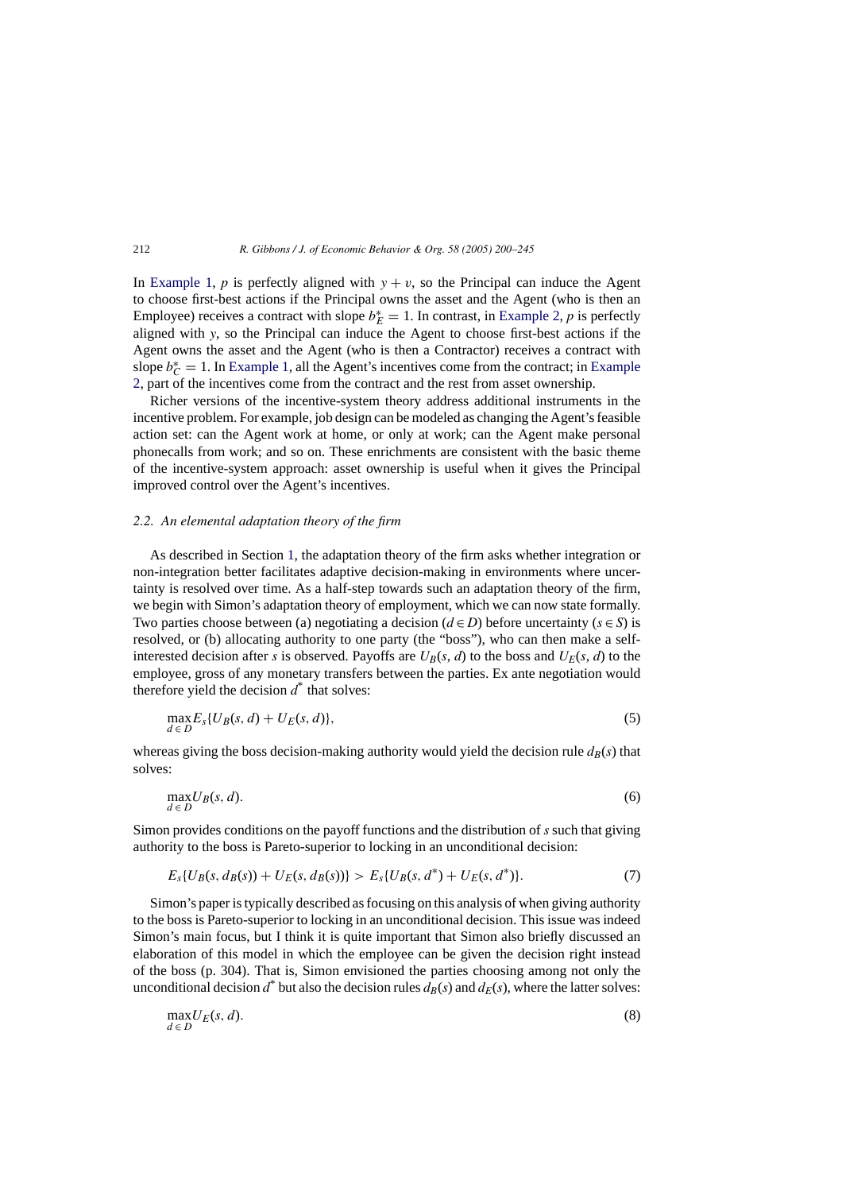<span id="page-12-0"></span>In [Example 1,](#page-11-0)  $p$  is perfectly aligned with  $y + v$ , so the Principal can induce the Agent to choose first-best actions if the Principal owns the asset and the Agent (who is then an Employee) receives a contract with slope  $b_E^* = 1$ . In contrast, in [Example 2,](#page-11-0) *p* is perfectly aligned with *y*, so the Principal can induce the Agent to choose first-best actions if the Agent owns the asset and the Agent (who is then a Contractor) receives a contract with slope  $b_C^* = 1$ . In [Example 1, a](#page-11-0)ll the Agent's incentives come from the contract; in [Example](#page-11-0) 2, part of the incentives come from the contract and the rest from asset ownership.

Richer versions of the incentive-system theory address additional instruments in the incentive problem. For example, job design can be modeled as changing the Agent's feasible action set: can the Agent work at home, or only at work; can the Agent make personal phonecalls from work; and so on. These enrichments are consistent with the basic theme of the incentive-system approach: asset ownership is useful when it gives the Principal improved control over the Agent's incentives.

#### *2.2. An elemental adaptation theory of the firm*

As described in Section [1,](#page-2-0) the adaptation theory of the firm asks whether integration or non-integration better facilitates adaptive decision-making in environments where uncertainty is resolved over time. As a half-step towards such an adaptation theory of the firm, we begin with Simon's adaptation theory of employment, which we can now state formally. Two parties choose between (a) negotiating a decision ( $d \in D$ ) before uncertainty ( $s \in S$ ) is resolved, or (b) allocating authority to one party (the "boss"), who can then make a selfinterested decision after *s* is observed. Payoffs are  $U_B(s, d)$  to the boss and  $U_E(s, d)$  to the employee, gross of any monetary transfers between the parties. Ex ante negotiation would therefore yield the decision  $d^*$  that solves:

$$
\max_{d \in D} E_s \{ U_B(s, d) + U_E(s, d) \},\tag{5}
$$

whereas giving the boss decision-making authority would yield the decision rule  $d_B(s)$  that solves:

$$
\max_{d \in D} U_B(s, d). \tag{6}
$$

Simon provides conditions on the payoff functions and the distribution of *s* such that giving authority to the boss is Pareto-superior to locking in an unconditional decision:

$$
E_s\{U_B(s, d_B(s)) + U_E(s, d_B(s))\} > E_s\{U_B(s, d^*) + U_E(s, d^*)\}.
$$
\n(7)

Simon's paper is typically described as focusing on this analysis of when giving authority to the boss is Pareto-superior to locking in an unconditional decision. This issue was indeed Simon's main focus, but I think it is quite important that Simon also briefly discussed an elaboration of this model in which the employee can be given the decision right instead of the boss (p. 304). That is, Simon envisioned the parties choosing among not only the unconditional decision  $d^*$  but also the decision rules  $d_B(s)$  and  $d_E(s)$ , where the latter solves:

$$
\max_{d \in D} U_E(s, d). \tag{8}
$$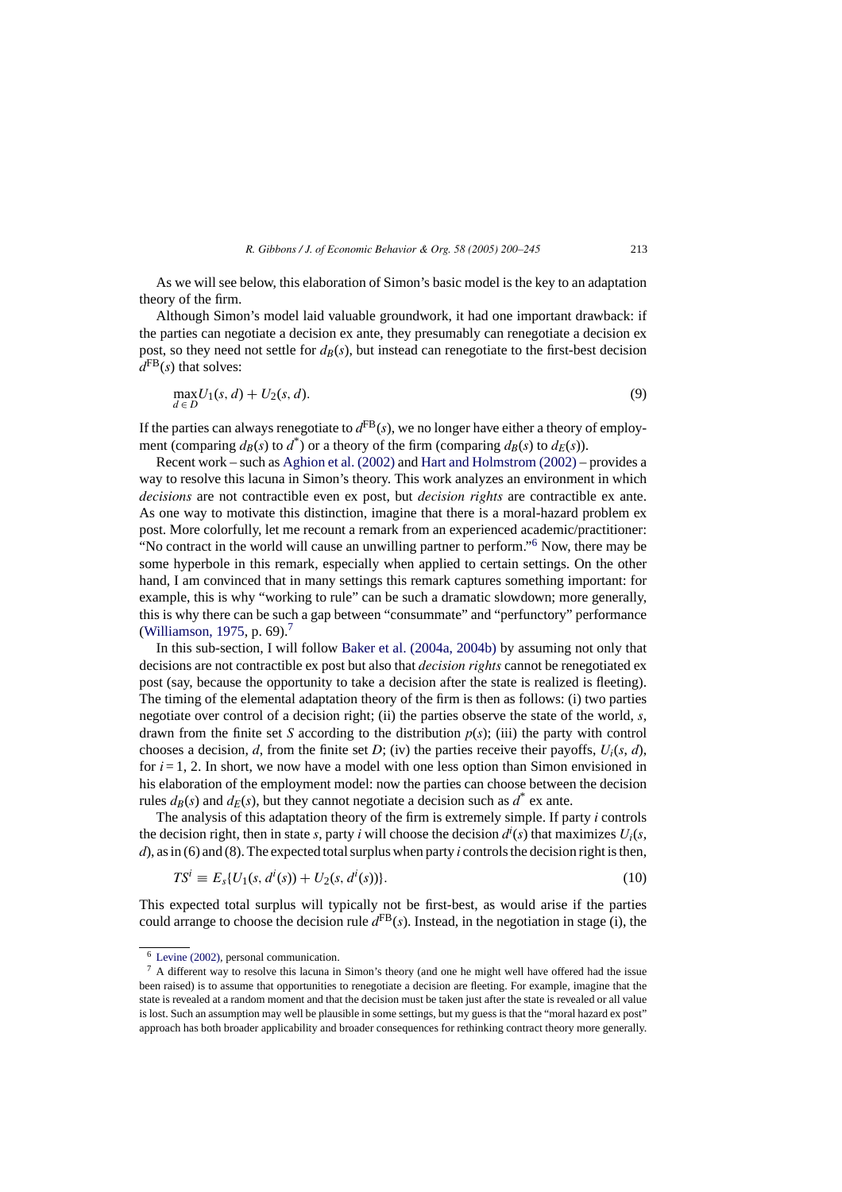As we will see below, this elaboration of Simon's basic model is the key to an adaptation theory of the firm.

Although Simon's model laid valuable groundwork, it had one important drawback: if the parties can negotiate a decision ex ante, they presumably can renegotiate a decision ex post, so they need not settle for  $d_B(s)$ , but instead can renegotiate to the first-best decision  $d^{FB}(s)$  that solves:

$$
\max_{d \in D} U_1(s, d) + U_2(s, d). \tag{9}
$$

If the parties can always renegotiate to  $d^{FB}(s)$ , we no longer have either a theory of employment (comparing  $d_B(s)$  to  $d^*$ ) or a theory of the firm (comparing  $d_B(s)$  to  $d_F(s)$ ).

Recent work – such as [Aghion et al. \(2002\)](#page-41-0) and [Hart and Holmstrom \(2002\)](#page-42-0) – provides a way to resolve this lacuna in Simon's theory. This work analyzes an environment in which *decisions* are not contractible even ex post, but *decision rights* are contractible ex ante. As one way to motivate this distinction, imagine that there is a moral-hazard problem ex post. More colorfully, let me recount a remark from an experienced academic/practitioner: "No contract in the world will cause an unwilling partner to perform."<sup>6</sup> Now, there may be some hyperbole in this remark, especially when applied to certain settings. On the other hand, I am convinced that in many settings this remark captures something important: for example, this is why "working to rule" can be such a dramatic slowdown; more generally, this is why there can be such a gap between "consummate" and "perfunctory" performance ([Williamson, 1975, p](#page-45-0). 69).<sup>7</sup>

In this sub-section, I will follow [Baker et al. \(2004a, 2004b\)](#page-41-0) by assuming not only that decisions are not contractible ex post but also that *decision rights* cannot be renegotiated ex post (say, because the opportunity to take a decision after the state is realized is fleeting). The timing of the elemental adaptation theory of the firm is then as follows: (i) two parties negotiate over control of a decision right; (ii) the parties observe the state of the world, *s*, drawn from the finite set *S* according to the distribution *p*(*s*); (iii) the party with control chooses a decision, *d*, from the finite set *D*; (iv) the parties receive their payoffs,  $U_i(s, d)$ , for  $i = 1, 2$ . In short, we now have a model with one less option than Simon envisioned in his elaboration of the employment model: now the parties can choose between the decision rules  $d_B(s)$  and  $d_E(s)$ , but they cannot negotiate a decision such as  $d^*$  ex ante.

The analysis of this adaptation theory of the firm is extremely simple. If party *i* controls the decision right, then in state *s*, party *i* will choose the decision  $d^{i}(s)$  that maximizes  $U_{i}(s)$ , *d*), as in (6) and (8). The expected total surplus when party *i* controls the decision right is then,

$$
TS^{i} \equiv E_{s} \{ U_{1}(s, d^{i}(s)) + U_{2}(s, d^{i}(s)) \}.
$$
\n(10)

This expected total surplus will typically not be first-best, as would arise if the parties could arrange to choose the decision rule  $d^{FB}(s)$ . Instead, in the negotiation in stage (i), the

<sup>6</sup> [Levine \(2002\), p](#page-44-0)ersonal communication.

<sup>7</sup> A different way to resolve this lacuna in Simon's theory (and one he might well have offered had the issue been raised) is to assume that opportunities to renegotiate a decision are fleeting. For example, imagine that the state is revealed at a random moment and that the decision must be taken just after the state is revealed or all value is lost. Such an assumption may well be plausible in some settings, but my guess is that the "moral hazard ex post" approach has both broader applicability and broader consequences for rethinking contract theory more generally.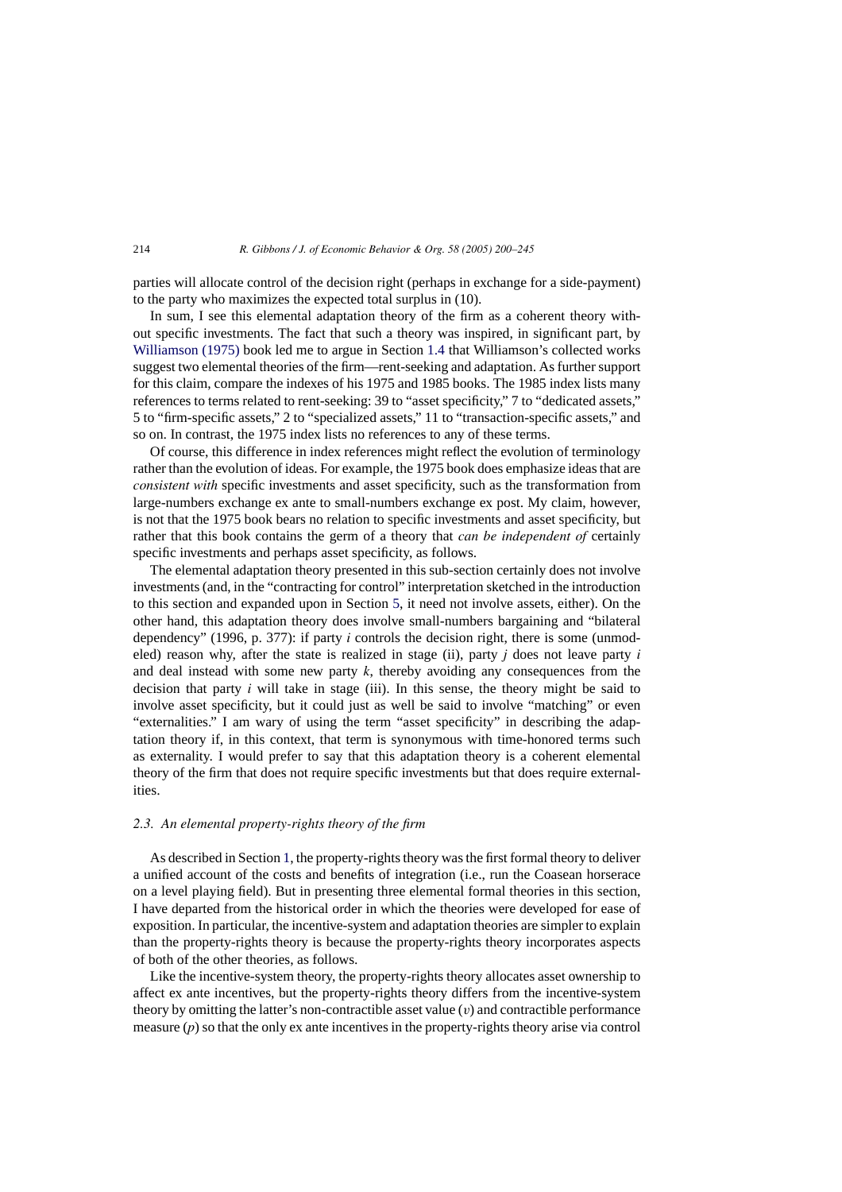parties will allocate control of the decision right (perhaps in exchange for a side-payment) to the party who maximizes the expected total surplus in (10).

In sum, I see this elemental adaptation theory of the firm as a coherent theory without specific investments. The fact that such a theory was inspired, in significant part, by [Williamson \(1975\)](#page-45-0) book led me to argue in Section [1.4](#page-8-0) that Williamson's collected works suggest two elemental theories of the firm—rent-seeking and adaptation. As further support for this claim, compare the indexes of his 1975 and 1985 books. The 1985 index lists many references to terms related to rent-seeking: 39 to "asset specificity," 7 to "dedicated assets," 5 to "firm-specific assets," 2 to "specialized assets," 11 to "transaction-specific assets," and so on. In contrast, the 1975 index lists no references to any of these terms.

Of course, this difference in index references might reflect the evolution of terminology rather than the evolution of ideas. For example, the 1975 book does emphasize ideas that are *consistent with* specific investments and asset specificity, such as the transformation from large-numbers exchange ex ante to small-numbers exchange ex post. My claim, however, is not that the 1975 book bears no relation to specific investments and asset specificity, but rather that this book contains the germ of a theory that *can be independent of* certainly specific investments and perhaps asset specificity, as follows.

The elemental adaptation theory presented in this sub-section certainly does not involve investments (and, in the "contracting for control" interpretation sketched in the introduction to this section and expanded upon in Section [5,](#page-33-0) it need not involve assets, either). On the other hand, this adaptation theory does involve small-numbers bargaining and "bilateral dependency" (1996, p. 377): if party *i* controls the decision right, there is some (unmodeled) reason why, after the state is realized in stage (ii), party *j* does not leave party *i* and deal instead with some new party *k*, thereby avoiding any consequences from the decision that party *i* will take in stage (iii). In this sense, the theory might be said to involve asset specificity, but it could just as well be said to involve "matching" or even "externalities." I am wary of using the term "asset specificity" in describing the adaptation theory if, in this context, that term is synonymous with time-honored terms such as externality. I would prefer to say that this adaptation theory is a coherent elemental theory of the firm that does not require specific investments but that does require externalities.

# *2.3. An elemental property-rights theory of the firm*

As described in Section [1, t](#page-2-0)he property-rights theory was the first formal theory to deliver a unified account of the costs and benefits of integration (i.e., run the Coasean horserace on a level playing field). But in presenting three elemental formal theories in this section, I have departed from the historical order in which the theories were developed for ease of exposition. In particular, the incentive-system and adaptation theories are simpler to explain than the property-rights theory is because the property-rights theory incorporates aspects of both of the other theories, as follows.

Like the incentive-system theory, the property-rights theory allocates asset ownership to affect ex ante incentives, but the property-rights theory differs from the incentive-system theory by omitting the latter's non-contractible asset value  $(v)$  and contractible performance measure  $(p)$  so that the only ex ante incentives in the property-rights theory arise via control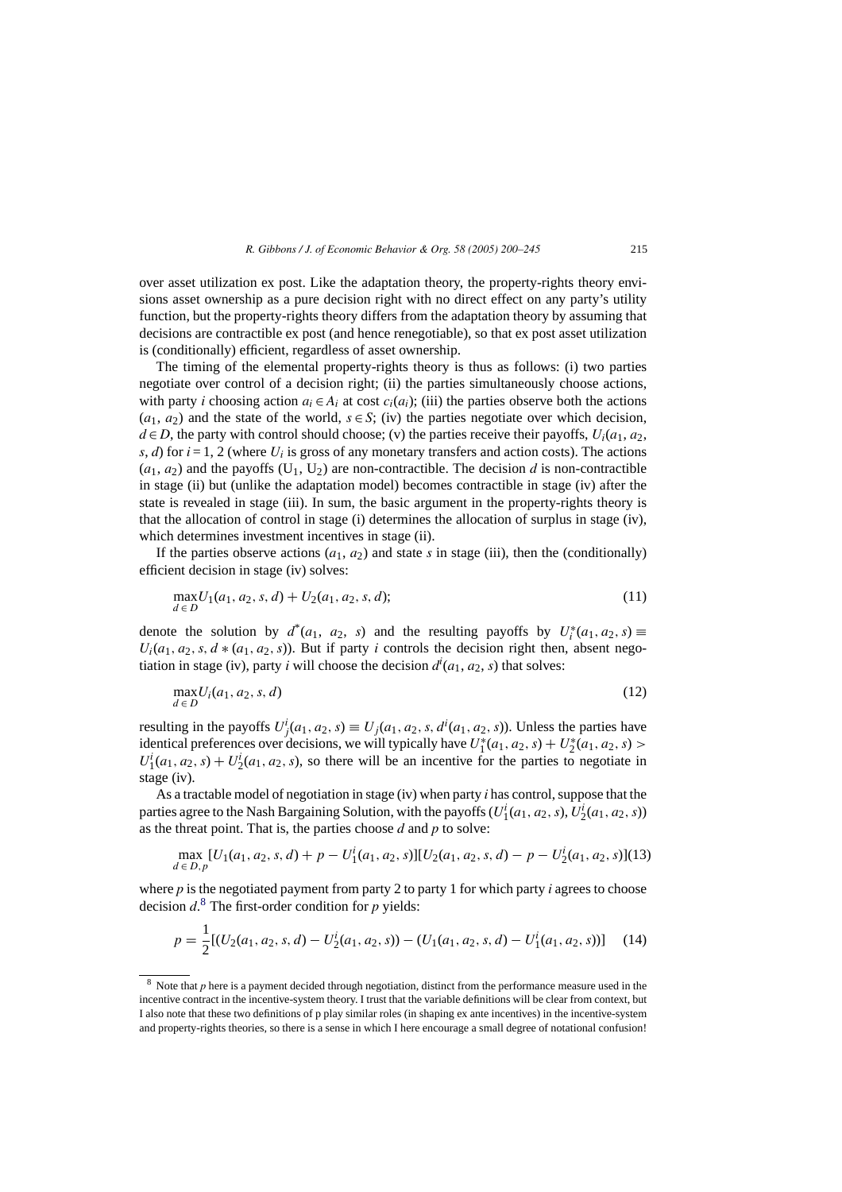over asset utilization ex post. Like the adaptation theory, the property-rights theory envisions asset ownership as a pure decision right with no direct effect on any party's utility function, but the property-rights theory differs from the adaptation theory by assuming that decisions are contractible ex post (and hence renegotiable), so that ex post asset utilization is (conditionally) efficient, regardless of asset ownership.

The timing of the elemental property-rights theory is thus as follows: (i) two parties negotiate over control of a decision right; (ii) the parties simultaneously choose actions, with party *i* choosing action  $a_i \in A_i$  at cost  $c_i(a_i)$ ; (iii) the parties observe both the actions  $(a_1, a_2)$  and the state of the world,  $s \in S$ ; (iv) the parties negotiate over which decision, *d* ∈ *D*, the party with control should choose; (v) the parties receive their payoffs,  $U_i$ ( $a_1$ ,  $a_2$ , *s*, *d*) for  $i = 1, 2$  (where  $U_i$  is gross of any monetary transfers and action costs). The actions  $(a_1, a_2)$  and the payoffs  $(U_1, U_2)$  are non-contractible. The decision *d* is non-contractible in stage (ii) but (unlike the adaptation model) becomes contractible in stage (iv) after the state is revealed in stage (iii). In sum, the basic argument in the property-rights theory is that the allocation of control in stage (i) determines the allocation of surplus in stage (iv), which determines investment incentives in stage (ii).

If the parties observe actions  $(a_1, a_2)$  and state *s* in stage (iii), then the (conditionally) efficient decision in stage (iv) solves:

$$
\max_{d \in D} U_1(a_1, a_2, s, d) + U_2(a_1, a_2, s, d); \tag{11}
$$

denote the solution by  $d^*(a_1, a_2, s)$  and the resulting payoffs by  $U_i^*(a_1, a_2, s) \equiv$  $U_i(a_1, a_2, s, d * (a_1, a_2, s))$ . But if party *i* controls the decision right then, absent negotiation in stage (iv), party *i* will choose the decision  $d^{i}(a_1, a_2, s)$  that solves:

$$
\max_{d \in D} U_i(a_1, a_2, s, d) \tag{12}
$$

resulting in the payoffs  $U^i_j(a_1, a_2, s) \equiv U_j(a_1, a_2, s, d^i(a_1, a_2, s))$ . Unless the parties have identical preferences over decisions, we will typically have  $U_1^*(a_1, a_2, s) + U_2^*(a_1, a_2, s) >$  $U_1^i(a_1, a_2, s) + U_2^i(a_1, a_2, s)$ , so there will be an incentive for the parties to negotiate in stage (iv).

As a tractable model of negotiation in stage (iv) when party *i* has control, suppose that the parties agree to the Nash Bargaining Solution, with the payoffs  $(U_1^i(a_1, a_2, s), U_2^i(a_1, a_2, s))$ as the threat point. That is, the parties choose *d* and *p* to solve:

$$
\max_{d \in D, p} [U_1(a_1, a_2, s, d) + p - U_1^i(a_1, a_2, s)][U_2(a_1, a_2, s, d) - p - U_2^i(a_1, a_2, s)](13)
$$

where *p* is the negotiated payment from party 2 to party 1 for which party *i* agrees to choose decision *d*. <sup>8</sup> The first-order condition for *p* yields:

$$
p = \frac{1}{2} [(U_2(a_1, a_2, s, d) - U_2^i(a_1, a_2, s)) - (U_1(a_1, a_2, s, d) - U_1^i(a_1, a_2, s))] \tag{14}
$$

<sup>&</sup>lt;sup>8</sup> Note that *p* here is a payment decided through negotiation, distinct from the performance measure used in the incentive contract in the incentive-system theory. I trust that the variable definitions will be clear from context, but I also note that these two definitions of p play similar roles (in shaping ex ante incentives) in the incentive-system and property-rights theories, so there is a sense in which I here encourage a small degree of notational confusion!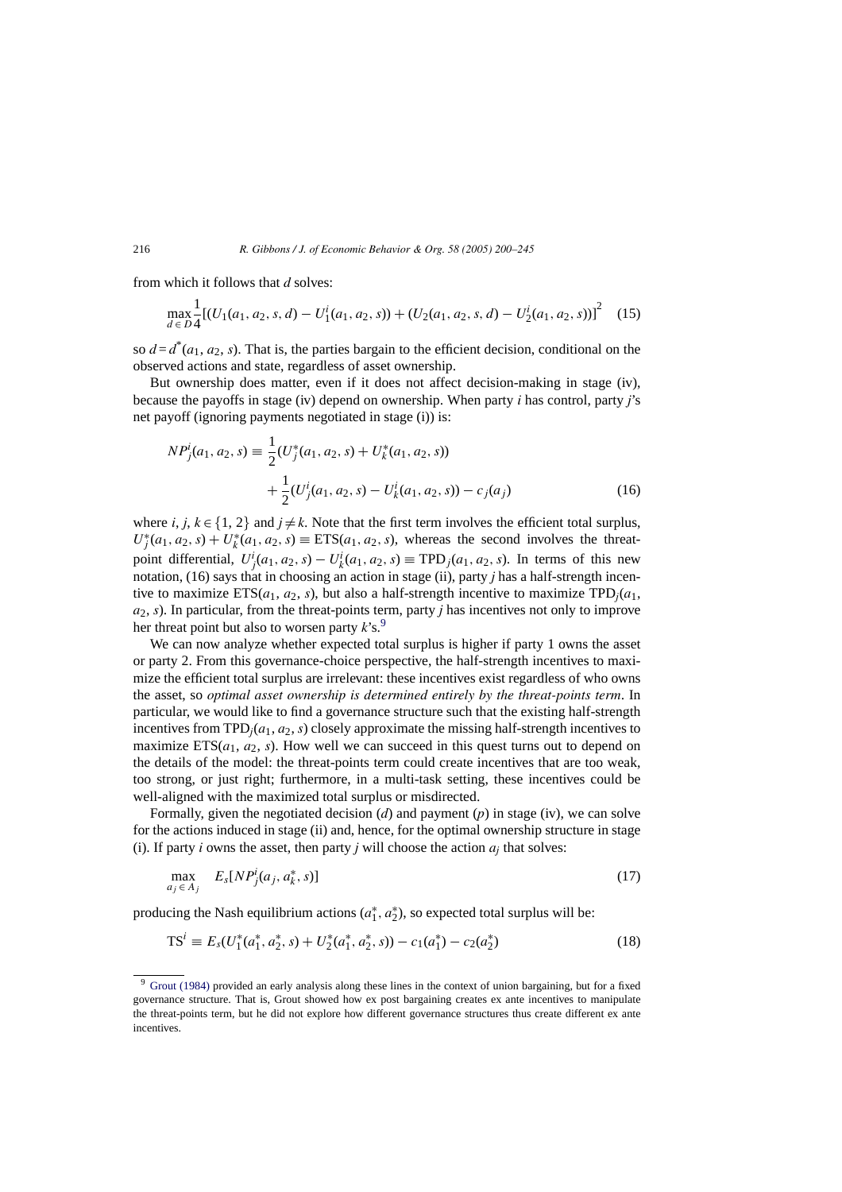from which it follows that *d* solves:

$$
\max_{d \in D} \frac{1}{4} [(U_1(a_1, a_2, s, d) - U_1^i(a_1, a_2, s)) + (U_2(a_1, a_2, s, d) - U_2^i(a_1, a_2, s))]^2
$$
 (15)

so  $d = d^*(a_1, a_2, s)$ . That is, the parties bargain to the efficient decision, conditional on the observed actions and state, regardless of asset ownership.

But ownership does matter, even if it does not affect decision-making in stage (iv), because the payoffs in stage (iv) depend on ownership. When party *i* has control, party *j*'s net payoff (ignoring payments negotiated in stage (i)) is:

$$
NP_j^i(a_1, a_2, s) \equiv \frac{1}{2} (U_j^*(a_1, a_2, s) + U_k^*(a_1, a_2, s))
$$
  
+ 
$$
\frac{1}{2} (U_j^i(a_1, a_2, s) - U_k^i(a_1, a_2, s)) - c_j(a_j)
$$
 (16)

where *i*, *j*,  $k \in \{1, 2\}$  and  $j \neq k$ . Note that the first term involves the efficient total surplus,  $U_j^*(a_1, a_2, s) + U_k^*(a_1, a_2, s) \equiv \text{ETS}(a_1, a_2, s)$ , whereas the second involves the threatpoint differential,  $U^i_j(a_1, a_2, s) - U^i_k(a_1, a_2, s) \equiv \text{TPD}_j(a_1, a_2, s)$ . In terms of this new notation, (16) says that in choosing an action in stage (ii), party *j* has a half-strength incentive to maximize  $ETS(a_1, a_2, s)$ , but also a half-strength incentive to maximize  $TPD_i(a_1, a_2, s)$ *a*2, *s*). In particular, from the threat-points term, party *j* has incentives not only to improve her threat point but also to worsen party *k*'s.<sup>9</sup>

We can now analyze whether expected total surplus is higher if party 1 owns the asset or party 2. From this governance-choice perspective, the half-strength incentives to maximize the efficient total surplus are irrelevant: these incentives exist regardless of who owns the asset, so *optimal asset ownership is determined entirely by the threat-points term*. In particular, we would like to find a governance structure such that the existing half-strength incentives from  $TPD<sub>j</sub>(a<sub>1</sub>, a<sub>2</sub>, s)$  closely approximate the missing half-strength incentives to maximize  $ETS(a_1, a_2, s)$ . How well we can succeed in this quest turns out to depend on the details of the model: the threat-points term could create incentives that are too weak, too strong, or just right; furthermore, in a multi-task setting, these incentives could be well-aligned with the maximized total surplus or misdirected.

Formally, given the negotiated decision (*d*) and payment (*p*) in stage (iv), we can solve for the actions induced in stage (ii) and, hence, for the optimal ownership structure in stage (i). If party *i* owns the asset, then party *j* will choose the action  $a_j$  that solves:

$$
\max_{a_j \in A_j} E_s[NP_j^i(a_j, a_k^*, s)] \tag{17}
$$

producing the Nash equilibrium actions  $(a_1^*, a_2^*)$ , so expected total surplus will be:

$$
TSi \equiv Es(U1*(a1*, a2*, s) + U2*(a1*, a2*, s)) - c1(a1*) - c2(a2*)
$$
\n(18)

<sup>9</sup> [Grout \(1984\)](#page-42-0) provided an early analysis along these lines in the context of union bargaining, but for a fixed governance structure. That is, Grout showed how ex post bargaining creates ex ante incentives to manipulate the threat-points term, but he did not explore how different governance structures thus create different ex ante incentives.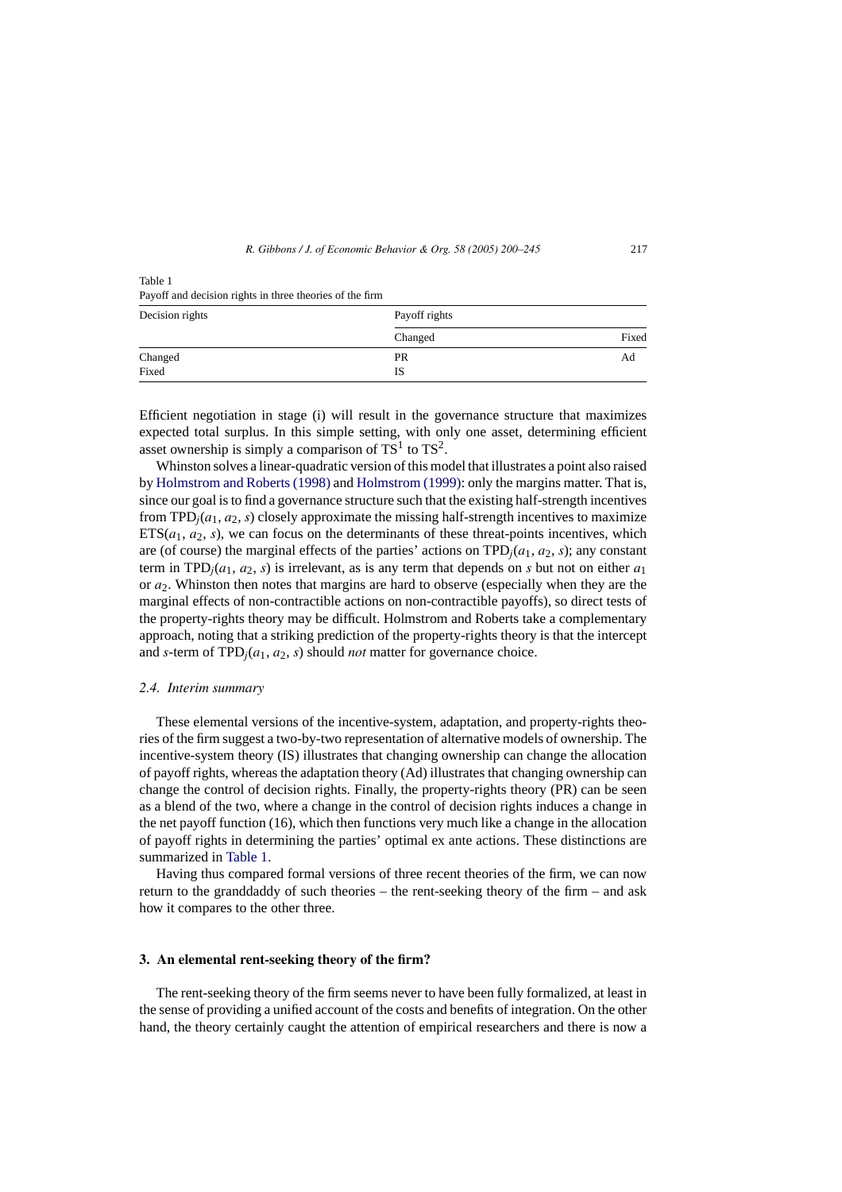| Payoff and decision rights in three theories of the firm |               |       |  |  |  |  |
|----------------------------------------------------------|---------------|-------|--|--|--|--|
| Decision rights                                          | Payoff rights |       |  |  |  |  |
|                                                          | Changed       | Fixed |  |  |  |  |
| Changed                                                  | PR            | Ad    |  |  |  |  |
| Fixed                                                    | IS            |       |  |  |  |  |

<span id="page-17-0"></span>Table 1 Payoff and decision rights in three theories of the firm

Efficient negotiation in stage (i) will result in the governance structure that maximizes expected total surplus. In this simple setting, with only one asset, determining efficient asset ownership is simply a comparison of  $TS<sup>1</sup>$  to  $TS<sup>2</sup>$ .

Whinston solves a linear-quadratic version of this model that illustrates a point also raised by [Holmstrom and Roberts \(1998\)](#page-43-0) and [Holmstrom \(1999\): o](#page-42-0)nly the margins matter. That is, since our goal is to find a governance structure such that the existing half-strength incentives from  $TPD<sub>i</sub>(a<sub>1</sub>, a<sub>2</sub>, s)$  closely approximate the missing half-strength incentives to maximize  $ETS(a_1, a_2, s)$ , we can focus on the determinants of these threat-points incentives, which are (of course) the marginal effects of the parties' actions on  $TPD_i(a_1, a_2, s)$ ; any constant term in TPD<sub>i</sub> $(a_1, a_2, s)$  is irrelevant, as is any term that depends on *s* but not on either  $a_1$ or *a*2. Whinston then notes that margins are hard to observe (especially when they are the marginal effects of non-contractible actions on non-contractible payoffs), so direct tests of the property-rights theory may be difficult. Holmstrom and Roberts take a complementary approach, noting that a striking prediction of the property-rights theory is that the intercept and *s*-term of TPD*j*(*a*1, *a*2, *s*) should *not* matter for governance choice.

#### *2.4. Interim summary*

These elemental versions of the incentive-system, adaptation, and property-rights theories of the firm suggest a two-by-two representation of alternative models of ownership. The incentive-system theory (IS) illustrates that changing ownership can change the allocation of payoff rights, whereas the adaptation theory (Ad) illustrates that changing ownership can change the control of decision rights. Finally, the property-rights theory (PR) can be seen as a blend of the two, where a change in the control of decision rights induces a change in the net payoff function (16), which then functions very much like a change in the allocation of payoff rights in determining the parties' optimal ex ante actions. These distinctions are summarized in Table 1.

Having thus compared formal versions of three recent theories of the firm, we can now return to the granddaddy of such theories – the rent-seeking theory of the firm – and ask how it compares to the other three.

## **3. An elemental rent-seeking theory of the firm?**

The rent-seeking theory of the firm seems never to have been fully formalized, at least in the sense of providing a unified account of the costs and benefits of integration. On the other hand, the theory certainly caught the attention of empirical researchers and there is now a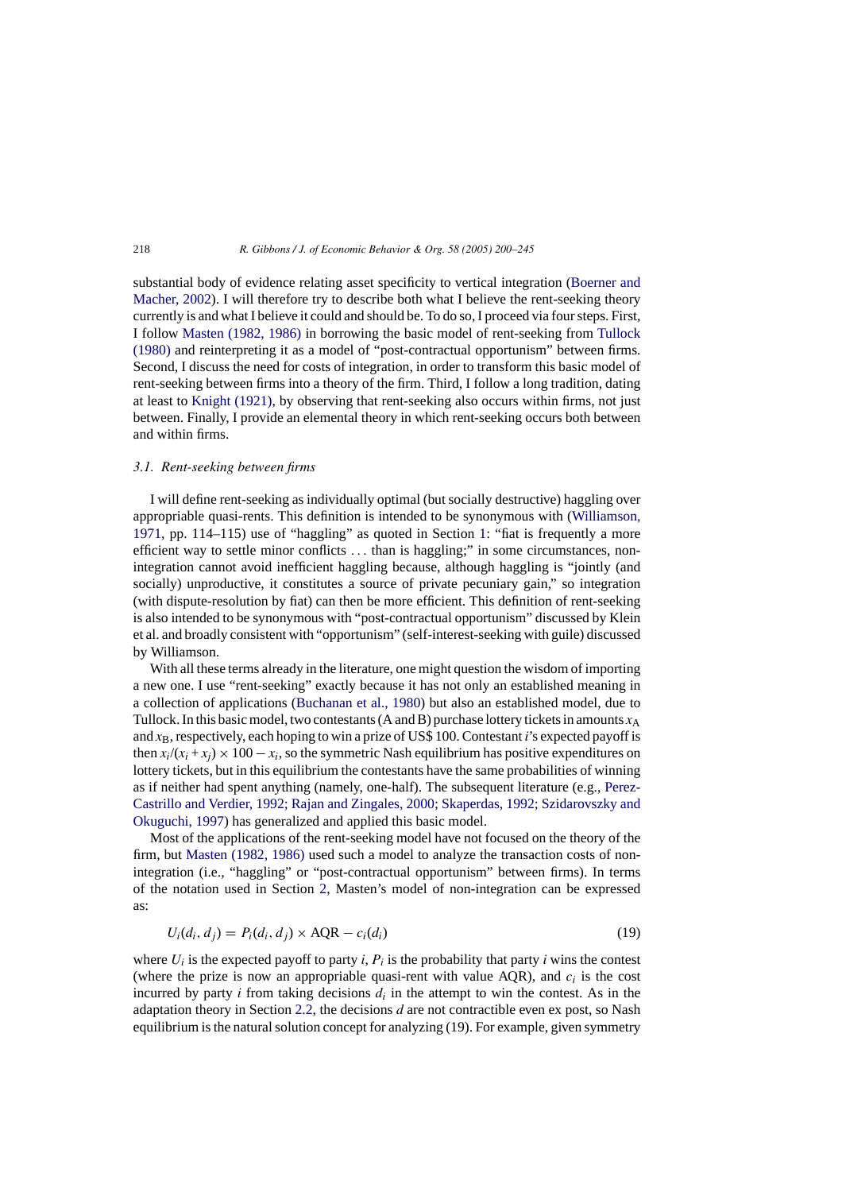<span id="page-18-0"></span>substantial body of evidence relating asset specificity to vertical integration [\(Boerner and](#page-41-0) [Macher, 2002\).](#page-41-0) I will therefore try to describe both what I believe the rent-seeking theory currently is and what I believe it could and should be. To do so, I proceed via four steps. First, I follow [Masten \(1982, 1986\)](#page-44-0) in borrowing the basic model of rent-seeking from [Tullock](#page-45-0) [\(1980\)](#page-45-0) and reinterpreting it as a model of "post-contractual opportunism" between firms. Second, I discuss the need for costs of integration, in order to transform this basic model of rent-seeking between firms into a theory of the firm. Third, I follow a long tradition, dating at least to [Knight \(1921\),](#page-43-0) by observing that rent-seeking also occurs within firms, not just between. Finally, I provide an elemental theory in which rent-seeking occurs both between and within firms.

## *3.1. Rent-seeking between firms*

I will define rent-seeking as individually optimal (but socially destructive) haggling over appropriable quasi-rents. This definition is intended to be synonymous with [\(Williamson,](#page-45-0) [1971,](#page-45-0) pp. 114–115) use of "haggling" as quoted in Section [1:](#page-2-0) "fiat is frequently a more efficient way to settle minor conflicts ... than is haggling;" in some circumstances, nonintegration cannot avoid inefficient haggling because, although haggling is "jointly (and socially) unproductive, it constitutes a source of private pecuniary gain," so integration (with dispute-resolution by fiat) can then be more efficient. This definition of rent-seeking is also intended to be synonymous with "post-contractual opportunism" discussed by Klein et al. and broadly consistent with "opportunism" (self-interest-seeking with guile) discussed by Williamson.

With all these terms already in the literature, one might question the wisdom of importing a new one. I use "rent-seeking" exactly because it has not only an established meaning in a collection of applications [\(Buchanan et al., 1980\)](#page-41-0) but also an established model, due to Tullock. In this basic model, two contestants (A and B) purchase lottery tickets in amounts  $x_A$ and *x*B, respectively, each hoping to win a prize of US\$ 100. Contestant *i*'s expected payoff is then  $x_i/(x_i + x_j) \times 100 - x_i$ , so the symmetric Nash equilibrium has positive expenditures on lottery tickets, but in this equilibrium the contestants have the same probabilities of winning as if neither had spent anything (namely, one-half). The subsequent literature (e.g., [Perez-](#page-44-0)[Castrillo and Verdier, 1992; Rajan and Zingales, 2000; Skaperdas, 1992; Szidarovszky and](#page-44-0) [Okuguchi, 1997\)](#page-44-0) has generalized and applied this basic model.

Most of the applications of the rent-seeking model have not focused on the theory of the firm, but [Masten \(1982, 1986\)](#page-44-0) used such a model to analyze the transaction costs of nonintegration (i.e., "haggling" or "post-contractual opportunism" between firms). In terms of the notation used in Section [2,](#page-9-0) Masten's model of non-integration can be expressed as:

$$
U_i(d_i, d_j) = P_i(d_i, d_j) \times AQR - c_i(d_i)
$$
\n(19)

where  $U_i$  is the expected payoff to party *i*,  $P_i$  is the probability that party *i* wins the contest (where the prize is now an appropriable quasi-rent with value AQR), and  $c_i$  is the cost incurred by party  $i$  from taking decisions  $d_i$  in the attempt to win the contest. As in the adaptation theory in Section [2.2, t](#page-12-0)he decisions *d* are not contractible even ex post, so Nash equilibrium is the natural solution concept for analyzing (19). For example, given symmetry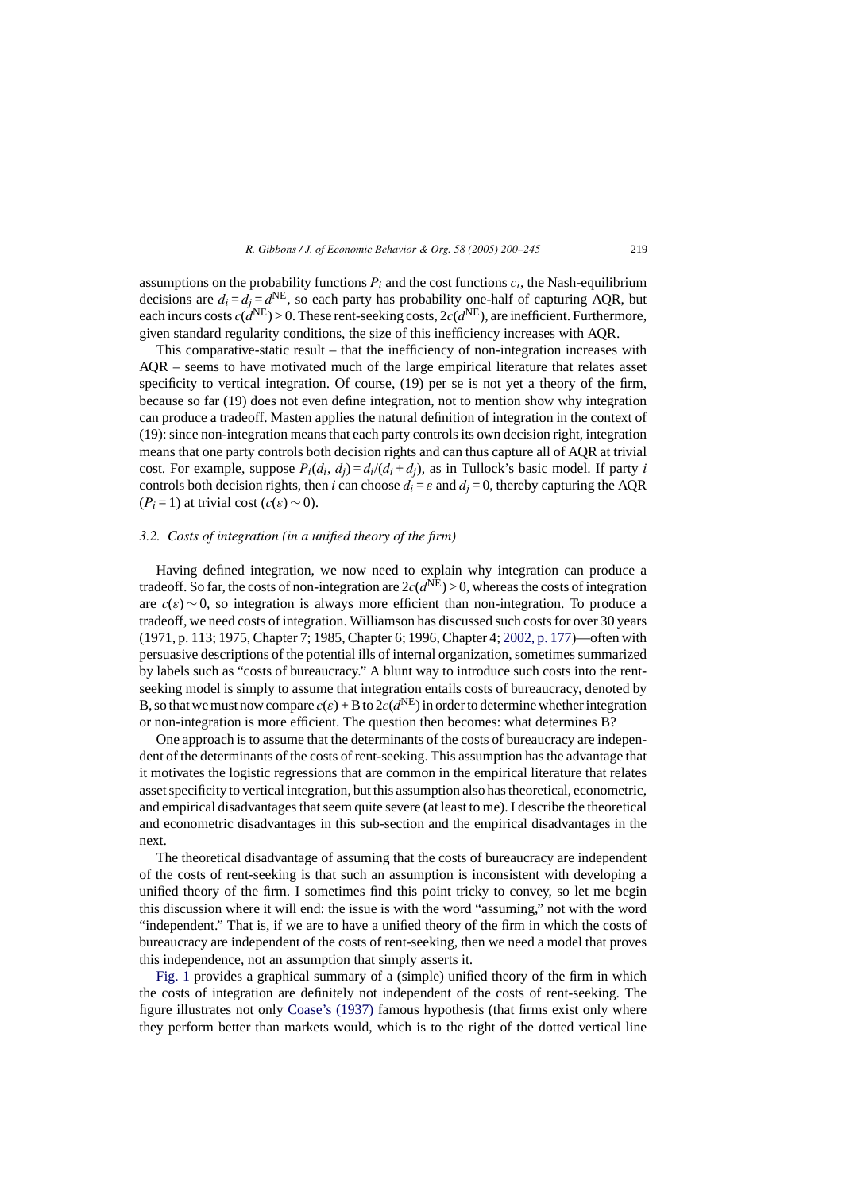assumptions on the probability functions  $P_i$  and the cost functions  $c_i$ , the Nash-equilibrium decisions are  $d_i = d_i = d^N$ , so each party has probability one-half of capturing AQR, but each incurs costs  $c(d^{NE}) > 0$ . These rent-seeking costs,  $2c(d^{NE})$ , are inefficient. Furthermore, given standard regularity conditions, the size of this inefficiency increases with AQR.

This comparative-static result – that the inefficiency of non-integration increases with AQR – seems to have motivated much of the large empirical literature that relates asset specificity to vertical integration. Of course, (19) per se is not yet a theory of the firm, because so far (19) does not even define integration, not to mention show why integration can produce a tradeoff. Masten applies the natural definition of integration in the context of (19): since non-integration means that each party controls its own decision right, integration means that one party controls both decision rights and can thus capture all of AQR at trivial cost. For example, suppose  $P_i(d_i, d_i) = d_i/(d_i + d_i)$ , as in Tullock's basic model. If party *i* controls both decision rights, then *i* can choose  $d_i = \varepsilon$  and  $d_j = 0$ , thereby capturing the AQR  $(P<sub>i</sub> = 1)$  at trivial cost  $(c(\varepsilon) \sim 0)$ .

#### *3.2. Costs of integration (in a unified theory of the firm)*

Having defined integration, we now need to explain why integration can produce a tradeoff. So far, the costs of non-integration are  $2c(d^{NE}) > 0$ , whereas the costs of integration are  $c(\varepsilon) \sim 0$ , so integration is always more efficient than non-integration. To produce a tradeoff, we need costs of integration. Williamson has discussed such costs for over 30 years (1971, p. 113; 1975, Chapter 7; 1985, Chapter 6; 1996, Chapter 4; [2002, p. 177\)—](#page-45-0)often with persuasive descriptions of the potential ills of internal organization, sometimes summarized by labels such as "costs of bureaucracy." A blunt way to introduce such costs into the rentseeking model is simply to assume that integration entails costs of bureaucracy, denoted by B, so that we must now compare  $c(\varepsilon) + B$  to  $2c(d^{NE})$  in order to determine whether integration or non-integration is more efficient. The question then becomes: what determines B?

One approach is to assume that the determinants of the costs of bureaucracy are independent of the determinants of the costs of rent-seeking. This assumption has the advantage that it motivates the logistic regressions that are common in the empirical literature that relates asset specificity to vertical integration, but this assumption also has theoretical, econometric, and empirical disadvantages that seem quite severe (at least to me). I describe the theoretical and econometric disadvantages in this sub-section and the empirical disadvantages in the next.

The theoretical disadvantage of assuming that the costs of bureaucracy are independent of the costs of rent-seeking is that such an assumption is inconsistent with developing a unified theory of the firm. I sometimes find this point tricky to convey, so let me begin this discussion where it will end: the issue is with the word "assuming," not with the word "independent." That is, if we are to have a unified theory of the firm in which the costs of bureaucracy are independent of the costs of rent-seeking, then we need a model that proves this independence, not an assumption that simply asserts it.

[Fig. 1](#page-20-0) provides a graphical summary of a (simple) unified theory of the firm in which the costs of integration are definitely not independent of the costs of rent-seeking. The figure illustrates not only [Coase's \(1937\)](#page-42-0) famous hypothesis (that firms exist only where they perform better than markets would, which is to the right of the dotted vertical line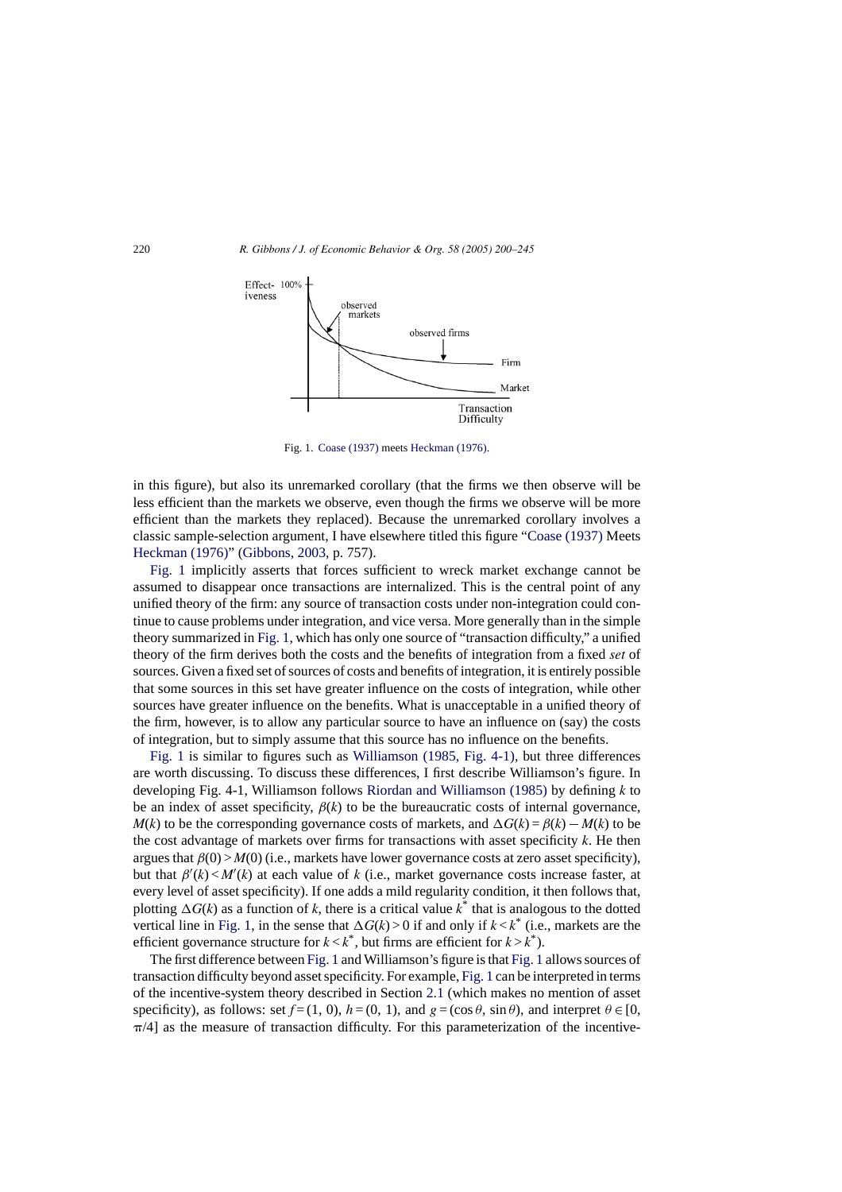<span id="page-20-0"></span>

Fig. 1. [Coase \(1937\)](#page-42-0) meets [Heckman \(1976\).](#page-42-0)

in this figure), but also its unremarked corollary (that the firms we then observe will be less efficient than the markets we observe, even though the firms we observe will be more efficient than the markets they replaced). Because the unremarked corollary involves a classic sample-selection argument, I have elsewhere titled this figure "[Coase \(1937\)](#page-42-0) Meets [Heckman \(1976\)"](#page-42-0) ([Gibbons, 2003,](#page-42-0) p. 757).

Fig. 1 implicitly asserts that forces sufficient to wreck market exchange cannot be assumed to disappear once transactions are internalized. This is the central point of any unified theory of the firm: any source of transaction costs under non-integration could continue to cause problems under integration, and vice versa. More generally than in the simple theory summarized in Fig. 1, which has only one source of "transaction difficulty," a unified theory of the firm derives both the costs and the benefits of integration from a fixed *set* of sources. Given a fixed set of sources of costs and benefits of integration, it is entirely possible that some sources in this set have greater influence on the costs of integration, while other sources have greater influence on the benefits. What is unacceptable in a unified theory of the firm, however, is to allow any particular source to have an influence on (say) the costs of integration, but to simply assume that this source has no influence on the benefits.

Fig. 1 is similar to figures such as [Williamson \(1985, Fig. 4-1\),](#page-45-0) but three differences are worth discussing. To discuss these differences, I first describe Williamson's figure. In developing Fig. 4-1, Williamson follows [Riordan and Williamson \(1985\)](#page-45-0) by defining *k* to be an index of asset specificity,  $\beta(k)$  to be the bureaucratic costs of internal governance, *M*(*k*) to be the corresponding governance costs of markets, and  $\Delta G(k) = \beta(k) - M(k)$  to be the cost advantage of markets over firms for transactions with asset specificity *k*. He then argues that  $\beta(0) > M(0)$  (i.e., markets have lower governance costs at zero asset specificity), but that  $\beta'(k) < M'(k)$  at each value of *k* (i.e., market governance costs increase faster, at every level of asset specificity). If one adds a mild regularity condition, it then follows that, plotting  $\Delta G(k)$  as a function of k, there is a critical value  $k^*$  that is analogous to the dotted vertical line in Fig. 1, in the sense that  $\Delta G(k) > 0$  if and only if  $k < k^*$  (i.e., markets are the efficient governance structure for  $k < k^*$ , but firms are efficient for  $k > k^*$ ).

The first difference between Fig. 1 and Williamson's figure is that Fig. 1 allows sources of transaction difficulty beyond asset specificity. For example, Fig. 1 can be interpreted in terms of the incentive-system theory described in Section [2.1](#page-10-0) (which makes no mention of asset specificity), as follows: set  $f = (1, 0)$ ,  $h = (0, 1)$ , and  $g = (\cos \theta, \sin \theta)$ , and interpret  $\theta \in [0, 1]$  $\pi/4$ ] as the measure of transaction difficulty. For this parameterization of the incentive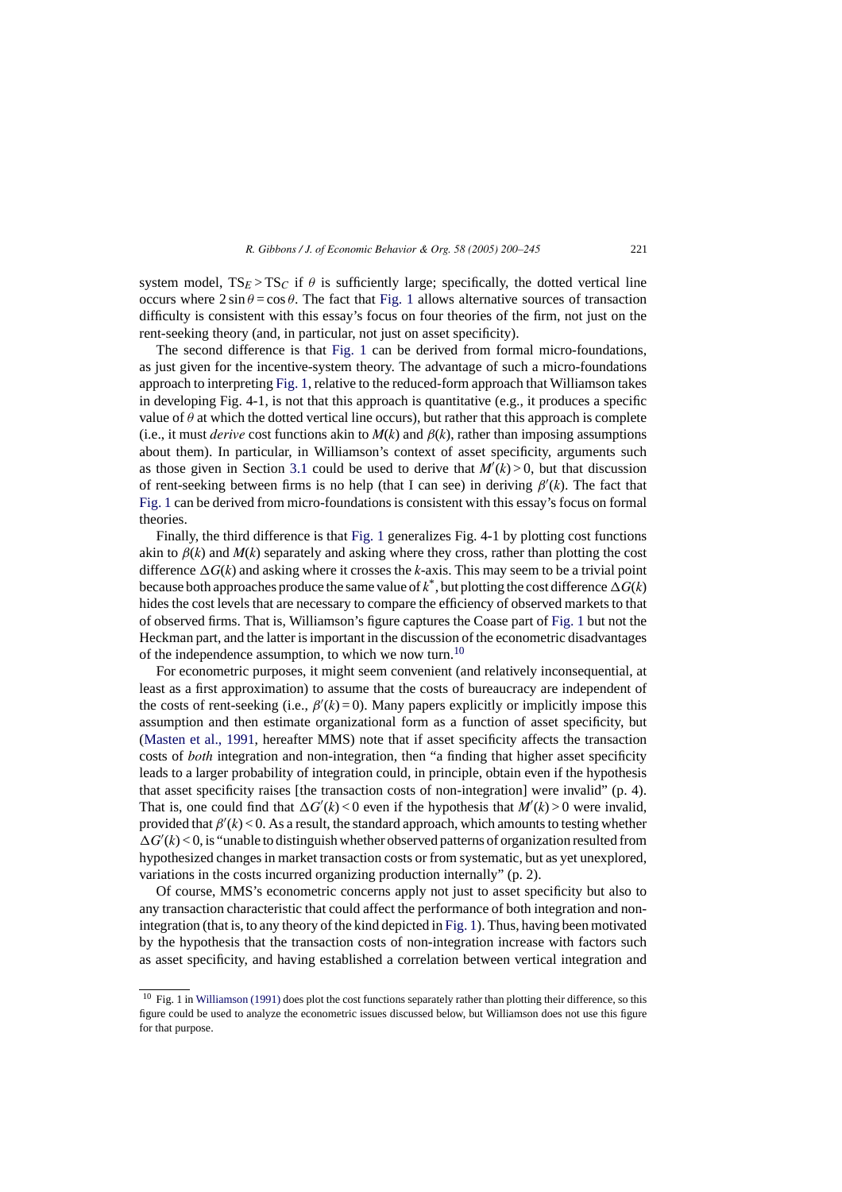system model,  $TS_F > TS_C$  if  $\theta$  is sufficiently large; specifically, the dotted vertical line occurs where  $2 \sin \theta = \cos \theta$ . The fact that [Fig. 1](#page-20-0) allows alternative sources of transaction difficulty is consistent with this essay's focus on four theories of the firm, not just on the rent-seeking theory (and, in particular, not just on asset specificity).

The second difference is that [Fig. 1](#page-20-0) can be derived from formal micro-foundations, as just given for the incentive-system theory. The advantage of such a micro-foundations approach to interpreting [Fig. 1, r](#page-20-0)elative to the reduced-form approach that Williamson takes in developing Fig. 4-1, is not that this approach is quantitative  $(e.g., it produces a specific$ value of  $\theta$  at which the dotted vertical line occurs), but rather that this approach is complete (i.e., it must *derive* cost functions akin to  $M(k)$  and  $\beta(k)$ , rather than imposing assumptions about them). In particular, in Williamson's context of asset specificity, arguments such as those given in Section [3.1](#page-18-0) could be used to derive that  $M'(k) > 0$ , but that discussion of rent-seeking between firms is no help (that I can see) in deriving  $\beta'(k)$ . The fact that [Fig. 1](#page-20-0) can be derived from micro-foundations is consistent with this essay's focus on formal theories.

Finally, the third difference is that [Fig. 1](#page-20-0) generalizes Fig. 4-1 by plotting cost functions akin to  $\beta(k)$  and  $M(k)$  separately and asking where they cross, rather than plotting the cost difference  $\Delta G(k)$  and asking where it crosses the *k*-axis. This may seem to be a trivial point because both approaches produce the same value of  $k^*$ , but plotting the cost difference  $\Delta G(k)$ hides the cost levels that are necessary to compare the efficiency of observed markets to that of observed firms. That is, Williamson's figure captures the Coase part of [Fig. 1](#page-20-0) but not the Heckman part, and the latter is important in the discussion of the econometric disadvantages of the independence assumption, to which we now turn.<sup>10</sup>

For econometric purposes, it might seem convenient (and relatively inconsequential, at least as a first approximation) to assume that the costs of bureaucracy are independent of the costs of rent-seeking (i.e.,  $\beta'(k) = 0$ ). Many papers explicitly or implicitly impose this assumption and then estimate organizational form as a function of asset specificity, but ([Masten et al., 1991,](#page-44-0) hereafter MMS) note that if asset specificity affects the transaction costs of *both* integration and non-integration, then "a finding that higher asset specificity leads to a larger probability of integration could, in principle, obtain even if the hypothesis that asset specificity raises [the transaction costs of non-integration] were invalid" (p. 4). That is, one could find that  $\Delta G'(k) < 0$  even if the hypothesis that  $M'(k) > 0$  were invalid, provided that β (*k*) < 0. As a result, the standard approach, which amounts to testing whether  $\Delta G'(k)$  < 0, is "unable to distinguish whether observed patterns of organization resulted from hypothesized changes in market transaction costs or from systematic, but as yet unexplored, variations in the costs incurred organizing production internally" (p. 2).

Of course, MMS's econometric concerns apply not just to asset specificity but also to any transaction characteristic that could affect the performance of both integration and nonintegration (that is, to any theory of the kind depicted in [Fig. 1\).](#page-20-0) Thus, having been motivated by the hypothesis that the transaction costs of non-integration increase with factors such as asset specificity, and having established a correlation between vertical integration and

<sup>&</sup>lt;sup>10</sup> Fig. 1 in [Williamson \(1991\)](#page-45-0) does plot the cost functions separately rather than plotting their difference, so this figure could be used to analyze the econometric issues discussed below, but Williamson does not use this figure for that purpose.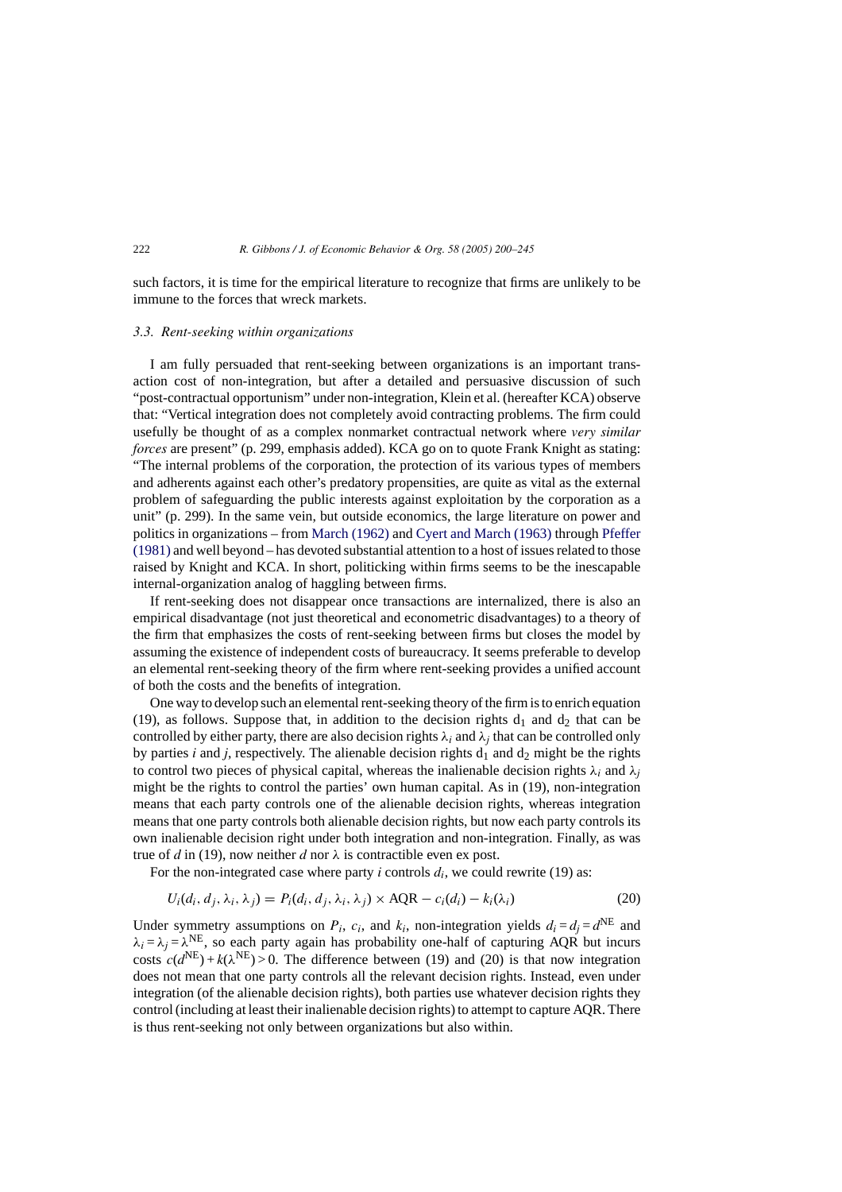<span id="page-22-0"></span>such factors, it is time for the empirical literature to recognize that firms are unlikely to be immune to the forces that wreck markets.

## *3.3. Rent-seeking within organizations*

I am fully persuaded that rent-seeking between organizations is an important transaction cost of non-integration, but after a detailed and persuasive discussion of such "post-contractual opportunism" under non-integration, Klein et al. (hereafter KCA) observe that: "Vertical integration does not completely avoid contracting problems. The firm could usefully be thought of as a complex nonmarket contractual network where *very similar forces* are present" (p. 299, emphasis added). KCA go on to quote Frank Knight as stating: "The internal problems of the corporation, the protection of its various types of members and adherents against each other's predatory propensities, are quite as vital as the external problem of safeguarding the public interests against exploitation by the corporation as a unit" (p. 299). In the same vein, but outside economics, the large literature on power and politics in organizations – from [March \(1962\)](#page-44-0) and [Cyert and March \(1963\)](#page-42-0) through [Pfeffer](#page-44-0) (1981) and well beyond – has devoted substantial attention to a host of issues related to those raised by Knight and KCA. In short, politicking within firms seems to be the inescapable internal-organization analog of haggling between firms.

If rent-seeking does not disappear once transactions are internalized, there is also an empirical disadvantage (not just theoretical and econometric disadvantages) to a theory of the firm that emphasizes the costs of rent-seeking between firms but closes the model by assuming the existence of independent costs of bureaucracy. It seems preferable to develop an elemental rent-seeking theory of the firm where rent-seeking provides a unified account of both the costs and the benefits of integration.

One way to develop such an elemental rent-seeking theory of the firm is to enrich equation (19), as follows. Suppose that, in addition to the decision rights  $d_1$  and  $d_2$  that can be controlled by either party, there are also decision rights  $\lambda_i$  and  $\lambda_j$  that can be controlled only by parties *i* and *j*, respectively. The alienable decision rights  $d_1$  and  $d_2$  might be the rights to control two pieces of physical capital, whereas the inalienable decision rights  $\lambda_i$  and  $\lambda_j$ might be the rights to control the parties' own human capital. As in (19), non-integration means that each party controls one of the alienable decision rights, whereas integration means that one party controls both alienable decision rights, but now each party controls its own inalienable decision right under both integration and non-integration. Finally, as was true of *d* in (19), now neither *d* nor  $\lambda$  is contractible even ex post.

For the non-integrated case where party  $i$  controls  $d_i$ , we could rewrite (19) as:

$$
U_i(d_i, d_j, \lambda_i, \lambda_j) = P_i(d_i, d_j, \lambda_i, \lambda_j) \times AQR - c_i(d_i) - k_i(\lambda_i)
$$
\n(20)

Under symmetry assumptions on  $P_i$ ,  $c_i$ , and  $k_i$ , non-integration yields  $d_i = d_i = d^{\text{NE}}$  and  $\lambda_i = \lambda_j = \lambda^{NE}$ , so each party again has probability one-half of capturing AQR but incurs costs  $c(d^{NE}) + k(\lambda^{NE}) > 0$ . The difference between (19) and (20) is that now integration does not mean that one party controls all the relevant decision rights. Instead, even under integration (of the alienable decision rights), both parties use whatever decision rights they control (including at least their inalienable decision rights) to attempt to capture AQR. There is thus rent-seeking not only between organizations but also within.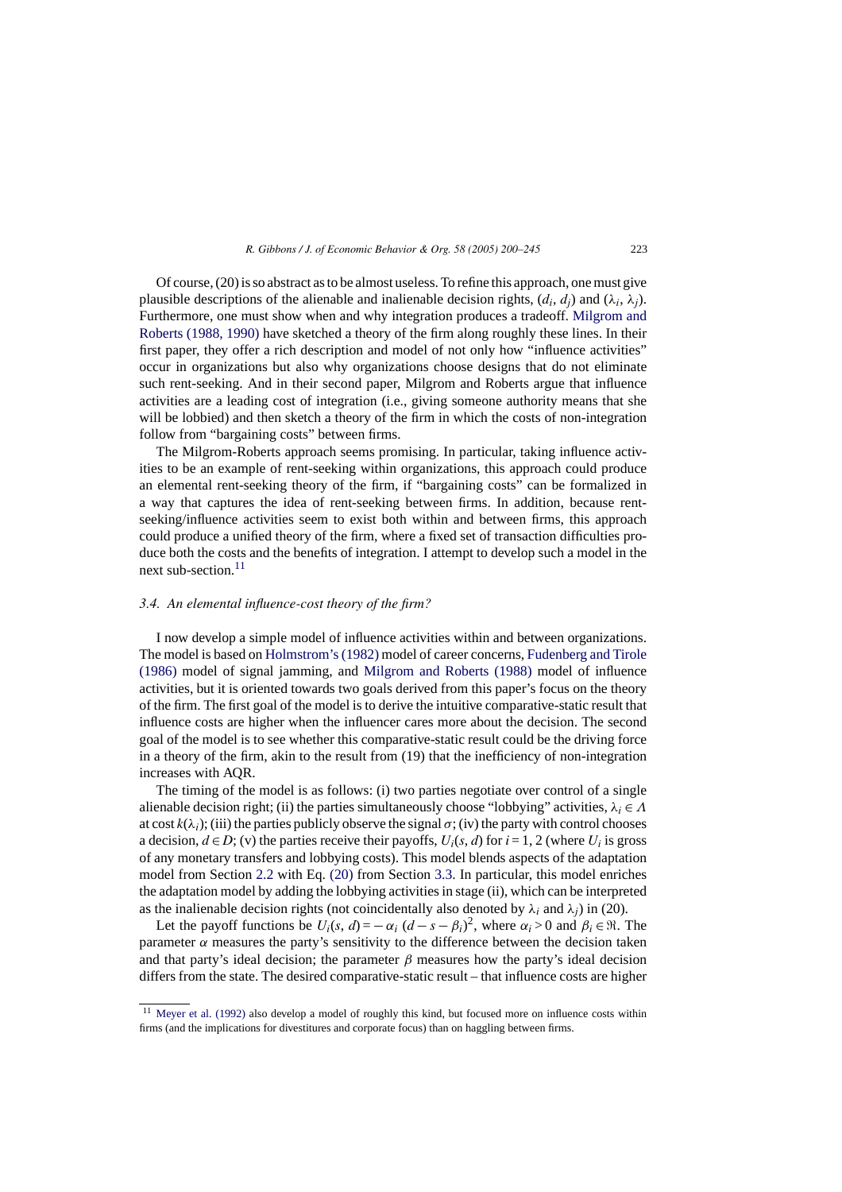<span id="page-23-0"></span>Of course, (20) is so abstract as to be almost useless. To refine this approach, one must give plausible descriptions of the alienable and inalienable decision rights,  $(d_i, d_j)$  and  $(\lambda_i, \lambda_i)$ . Furthermore, one must show when and why integration produces a tradeoff. [Milgrom and](#page-44-0) [Roberts \(1988, 1990\)](#page-44-0) have sketched a theory of the firm along roughly these lines. In their first paper, they offer a rich description and model of not only how "influence activities" occur in organizations but also why organizations choose designs that do not eliminate such rent-seeking. And in their second paper, Milgrom and Roberts argue that influence activities are a leading cost of integration (i.e., giving someone authority means that she will be lobbied) and then sketch a theory of the firm in which the costs of non-integration follow from "bargaining costs" between firms.

The Milgrom-Roberts approach seems promising. In particular, taking influence activities to be an example of rent-seeking within organizations, this approach could produce an elemental rent-seeking theory of the firm, if "bargaining costs" can be formalized in a way that captures the idea of rent-seeking between firms. In addition, because rentseeking/influence activities seem to exist both within and between firms, this approach could produce a unified theory of the firm, where a fixed set of transaction difficulties produce both the costs and the benefits of integration. I attempt to develop such a model in the next sub-section.<sup>11</sup>

#### *3.4. An elemental influence-cost theory of the firm?*

I now develop a simple model of influence activities within and between organizations. The model is based on [Holmstrom's \(1982\)](#page-42-0) model of career concerns, [Fudenberg and Tirole](#page-42-0) [\(1986\)](#page-42-0) model of signal jamming, and [Milgrom and Roberts \(1988\)](#page-44-0) model of influence activities, but it is oriented towards two goals derived from this paper's focus on the theory of the firm. The first goal of the model is to derive the intuitive comparative-static result that influence costs are higher when the influencer cares more about the decision. The second goal of the model is to see whether this comparative-static result could be the driving force in a theory of the firm, akin to the result from (19) that the inefficiency of non-integration increases with AQR.

The timing of the model is as follows: (i) two parties negotiate over control of a single alienable decision right; (ii) the parties simultaneously choose "lobbying" activities,  $\lambda_i \in \Lambda$ at cost  $k(\lambda_i)$ ; (iii) the parties publicly observe the signal  $\sigma$ ; (iv) the party with control chooses a decision,  $d \in D$ ; (v) the parties receive their payoffs,  $U_i(s, d)$  for  $i = 1, 2$  (where  $U_i$  is gross of any monetary transfers and lobbying costs). This model blends aspects of the adaptation model from Section [2.2](#page-12-0) with Eq. [\(20\)](#page-22-0) from Section [3.3. I](#page-22-0)n particular, this model enriches the adaptation model by adding the lobbying activities in stage (ii), which can be interpreted as the inalienable decision rights (not coincidentally also denoted by  $\lambda_i$  and  $\lambda_i$ ) in (20).

Let the payoff functions be  $U_i(s, d) = -\alpha_i (d - s - \beta_i)^2$ , where  $\alpha_i > 0$  and  $\beta_i \in \mathbb{R}$ . The parameter  $\alpha$  measures the party's sensitivity to the difference between the decision taken and that party's ideal decision; the parameter  $\beta$  measures how the party's ideal decision differs from the state. The desired comparative-static result – that influence costs are higher

<sup>11</sup> [Meyer et al. \(1992\)](#page-44-0) also develop a model of roughly this kind, but focused more on influence costs within firms (and the implications for divestitures and corporate focus) than on haggling between firms.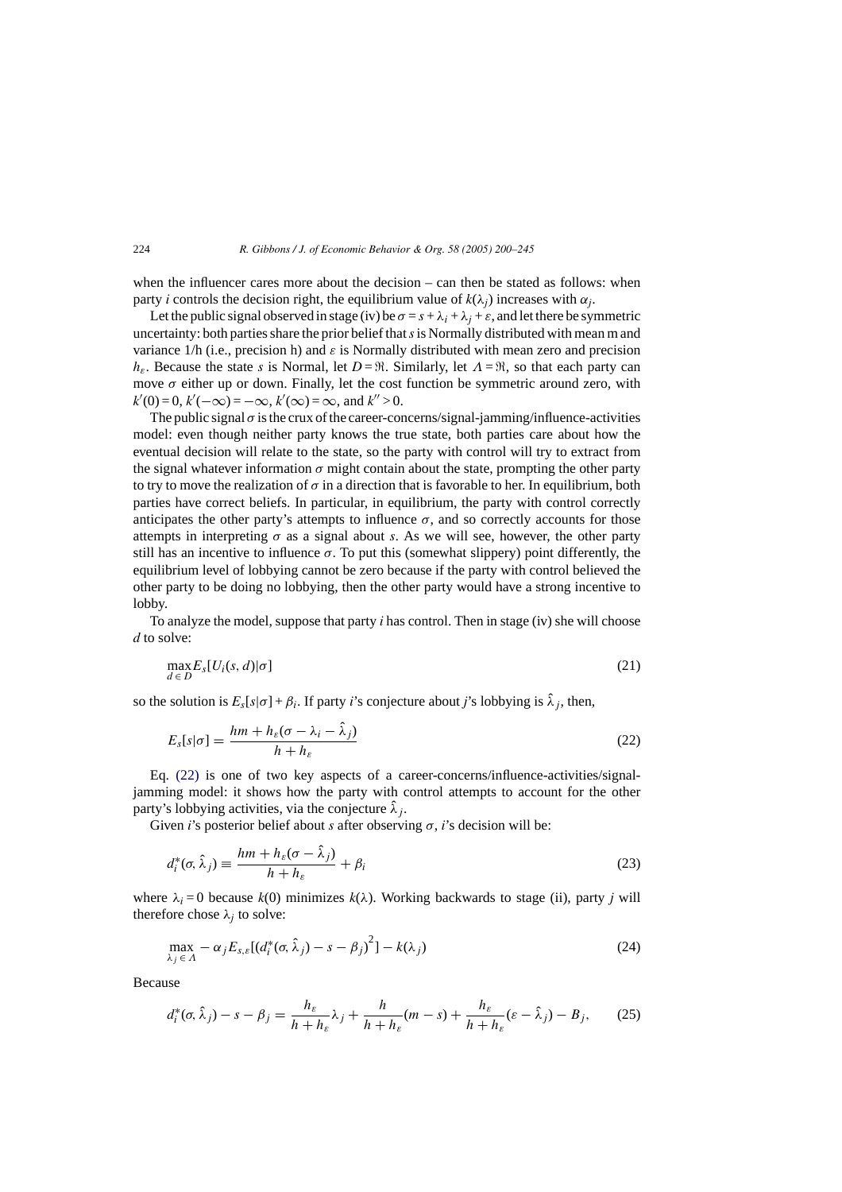when the influencer cares more about the decision – can then be stated as follows: when party *i* controls the decision right, the equilibrium value of  $k(\lambda_i)$  increases with  $\alpha_i$ .

Let the public signal observed in stage (iv) be  $\sigma = s + \lambda_i + \lambda_j + \varepsilon$ , and let there be symmetric uncertainty: both parties share the prior belief that*s*is Normally distributed with mean m and variance 1/h (i.e., precision h) and  $\varepsilon$  is Normally distributed with mean zero and precision  $h_{\varepsilon}$ . Because the state *s* is Normal, let  $D = \Re$ . Similarly, let  $A = \Re$ , so that each party can move  $\sigma$  either up or down. Finally, let the cost function be symmetric around zero, with  $k'(0) = 0, k'(-\infty) = -\infty, k'(\infty) = \infty$ , and  $k'' > 0$ .

The public signal  $\sigma$  is the crux of the career-concerns/signal-jamming/influence-activities model: even though neither party knows the true state, both parties care about how the eventual decision will relate to the state, so the party with control will try to extract from the signal whatever information  $\sigma$  might contain about the state, prompting the other party to try to move the realization of  $\sigma$  in a direction that is favorable to her. In equilibrium, both parties have correct beliefs. In particular, in equilibrium, the party with control correctly anticipates the other party's attempts to influence  $\sigma$ , and so correctly accounts for those attempts in interpreting  $\sigma$  as a signal about *s*. As we will see, however, the other party still has an incentive to influence  $\sigma$ . To put this (somewhat slippery) point differently, the equilibrium level of lobbying cannot be zero because if the party with control believed the other party to be doing no lobbying, then the other party would have a strong incentive to lobby.

To analyze the model, suppose that party *i* has control. Then in stage (iv) she will choose *d* to solve:

$$
\max_{d \in D} E_s[U_i(s, d)|\sigma] \tag{21}
$$

so the solution is  $E_s[s|\sigma] + \beta_i$ . If party *i*'s conjecture about *j*'s lobbying is  $\hat{\lambda}_i$ , then,

$$
E_s[s|\sigma] = \frac{hm + h_s(\sigma - \lambda_i - \hat{\lambda}_j)}{h + h_s} \tag{22}
$$

Eq. (22) is one of two key aspects of a career-concerns/influence-activities/signaljamming model: it shows how the party with control attempts to account for the other party's lobbying activities, via the conjecture  $\hat{\lambda}_i$ .

Given *i*'s posterior belief about *s* after observing  $\sigma$ , *i*'s decision will be:

$$
d_i^*(\sigma, \hat{\lambda}_j) \equiv \frac{hm + h_{\varepsilon}(\sigma - \hat{\lambda}_j)}{h + h_{\varepsilon}} + \beta_i
$$
\n(23)

where  $\lambda_i = 0$  because  $k(0)$  minimizes  $k(\lambda)$ . Working backwards to stage (ii), party *j* will therefore chose  $\lambda_i$  to solve:

$$
\max_{\lambda_j \in \Lambda} -\alpha_j E_{s,\varepsilon} \left[ \left( d_i^*(\sigma, \hat{\lambda}_j) - s - \beta_j \right)^2 \right] - k(\lambda_j) \tag{24}
$$

Because

$$
d_i^*(\sigma, \hat{\lambda}_j) - s - \beta_j = \frac{h_{\varepsilon}}{h + h_{\varepsilon}} \lambda_j + \frac{h}{h + h_{\varepsilon}} (m - s) + \frac{h_{\varepsilon}}{h + h_{\varepsilon}} (\varepsilon - \hat{\lambda}_j) - B_j, \qquad (25)
$$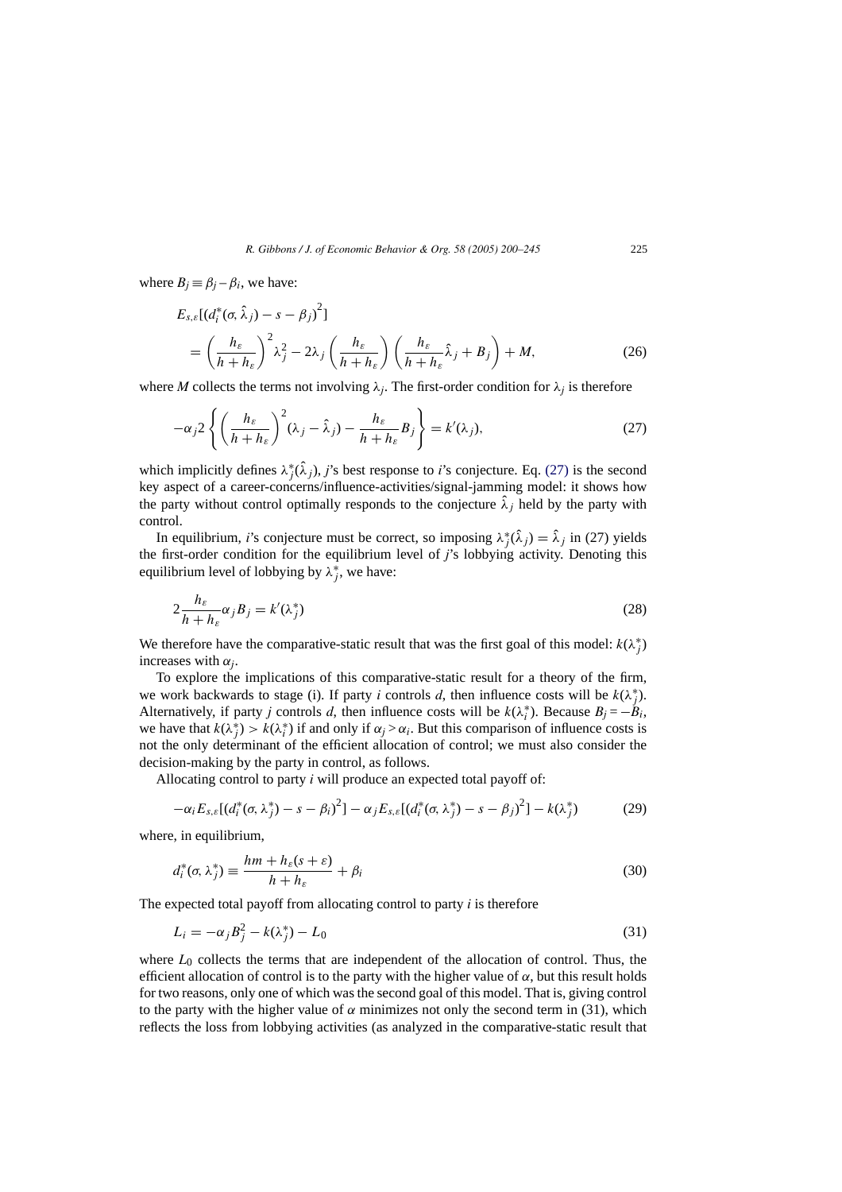where  $B_i \equiv \beta_i - \beta_i$ , we have:

$$
E_{s,\varepsilon}[(d_i^*(\sigma,\hat{\lambda}_j) - s - \beta_j)^2]
$$
  
=  $\left(\frac{h_{\varepsilon}}{h + h_{\varepsilon}}\right)^2 \lambda_j^2 - 2\lambda_j \left(\frac{h_{\varepsilon}}{h + h_{\varepsilon}}\right) \left(\frac{h_{\varepsilon}}{h + h_{\varepsilon}}\hat{\lambda}_j + B_j\right) + M,$  (26)

where *M* collects the terms not involving  $\lambda_j$ . The first-order condition for  $\lambda_j$  is therefore

$$
-\alpha_j 2\left\{ \left(\frac{h_{\varepsilon}}{h+h_{\varepsilon}}\right)^2 (\lambda_j-\hat{\lambda}_j) - \frac{h_{\varepsilon}}{h+h_{\varepsilon}} B_j \right\} = k'(\lambda_j),\tag{27}
$$

which implicitly defines  $\lambda_j^*(\hat{\lambda}_j)$ , *j*'s best response to *i*'s conjecture. Eq. (27) is the second key aspect of a career-concerns/influence-activities/signal-jamming model: it shows how the party without control optimally responds to the conjecture  $\hat{\lambda}_i$  held by the party with control.

In equilibrium, *i*'s conjecture must be correct, so imposing  $\lambda_j^*(\hat{\lambda}_j) = \hat{\lambda}_j$  in (27) yields the first-order condition for the equilibrium level of *j*'s lobbying activity. Denoting this equilibrium level of lobbying by  $\lambda_j^*$ , we have:

$$
2\frac{h_{\varepsilon}}{h+h_{\varepsilon}}\alpha_jB_j = k'(\lambda_j^*)
$$
\n(28)

We therefore have the comparative-static result that was the first goal of this model:  $k(\lambda_j^*)$ increases with  $\alpha_i$ .

To explore the implications of this comparative-static result for a theory of the firm, we work backwards to stage (i). If party *i* controls *d*, then influence costs will be  $k(\lambda_j^*)$ . Alternatively, if party *j* controls *d*, then influence costs will be  $k(\lambda_i^*)$ . Because  $B_j = -B_i$ , we have that  $k(\lambda_j^*) > k(\lambda_i^*)$  if and only if  $\alpha_j > \alpha_i$ . But this comparison of influence costs is not the only determinant of the efficient allocation of control; we must also consider the decision-making by the party in control, as follows.

Allocating control to party *i* will produce an expected total payoff of:

$$
-\alpha_i E_{s,\varepsilon} \left[ \left( d_i^*(\sigma, \lambda_j^*) - s - \beta_i \right)^2 \right] - \alpha_j E_{s,\varepsilon} \left[ \left( d_i^*(\sigma, \lambda_j^*) - s - \beta_j \right)^2 \right] - k(\lambda_j^*) \tag{29}
$$

where, in equilibrium,

$$
d_i^*(\sigma, \lambda_j^*) = \frac{hm + h_{\varepsilon}(s + \varepsilon)}{h + h_{\varepsilon}} + \beta_i
$$
\n(30)

The expected total payoff from allocating control to party *i* is therefore

$$
L_i = -\alpha_j B_j^2 - k(\lambda_j^*) - L_0 \tag{31}
$$

where  $L_0$  collects the terms that are independent of the allocation of control. Thus, the efficient allocation of control is to the party with the higher value of  $\alpha$ , but this result holds for two reasons, only one of which was the second goal of this model. That is, giving control to the party with the higher value of  $\alpha$  minimizes not only the second term in (31), which reflects the loss from lobbying activities (as analyzed in the comparative-static result that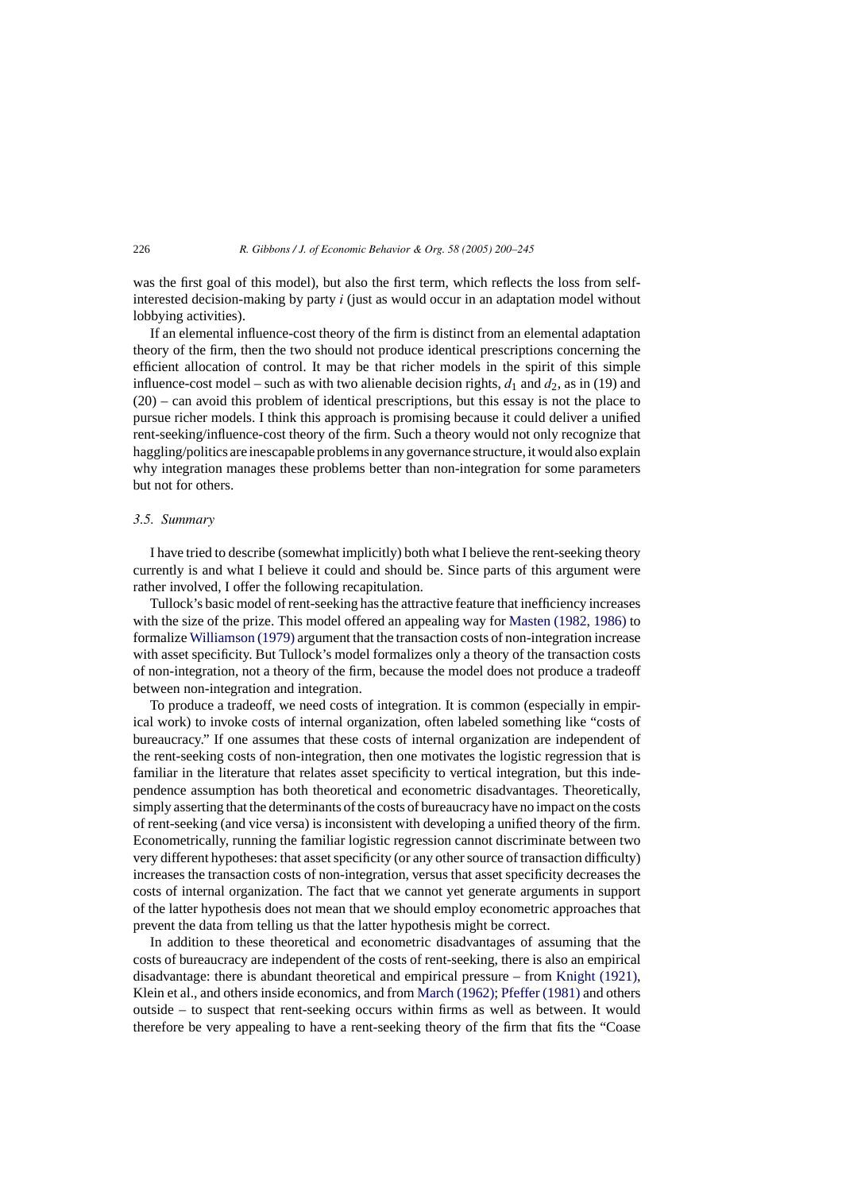was the first goal of this model), but also the first term, which reflects the loss from selfinterested decision-making by party *i* (just as would occur in an adaptation model without lobbying activities).

If an elemental influence-cost theory of the firm is distinct from an elemental adaptation theory of the firm, then the two should not produce identical prescriptions concerning the efficient allocation of control. It may be that richer models in the spirit of this simple influence-cost model – such as with two alienable decision rights,  $d_1$  and  $d_2$ , as in (19) and (20) – can avoid this problem of identical prescriptions, but this essay is not the place to pursue richer models. I think this approach is promising because it could deliver a unified rent-seeking/influence-cost theory of the firm. Such a theory would not only recognize that haggling/politics are inescapable problems in any governance structure, it would also explain why integration manages these problems better than non-integration for some parameters but not for others.

## *3.5. Summary*

I have tried to describe (somewhat implicitly) both what I believe the rent-seeking theory currently is and what I believe it could and should be. Since parts of this argument were rather involved, I offer the following recapitulation.

Tullock's basic model of rent-seeking has the attractive feature that inefficiency increases with the size of the prize. This model offered an appealing way for [Masten \(1982, 1986\)](#page-44-0) to formalize [Williamson \(1979\)](#page-45-0) argument that the transaction costs of non-integration increase with asset specificity. But Tullock's model formalizes only a theory of the transaction costs of non-integration, not a theory of the firm, because the model does not produce a tradeoff between non-integration and integration.

To produce a tradeoff, we need costs of integration. It is common (especially in empirical work) to invoke costs of internal organization, often labeled something like "costs of bureaucracy." If one assumes that these costs of internal organization are independent of the rent-seeking costs of non-integration, then one motivates the logistic regression that is familiar in the literature that relates asset specificity to vertical integration, but this independence assumption has both theoretical and econometric disadvantages. Theoretically, simply asserting that the determinants of the costs of bureaucracy have no impact on the costs of rent-seeking (and vice versa) is inconsistent with developing a unified theory of the firm. Econometrically, running the familiar logistic regression cannot discriminate between two very different hypotheses: that asset specificity (or any other source of transaction difficulty) increases the transaction costs of non-integration, versus that asset specificity decreases the costs of internal organization. The fact that we cannot yet generate arguments in support of the latter hypothesis does not mean that we should employ econometric approaches that prevent the data from telling us that the latter hypothesis might be correct.

In addition to these theoretical and econometric disadvantages of assuming that the costs of bureaucracy are independent of the costs of rent-seeking, there is also an empirical disadvantage: there is abundant theoretical and empirical pressure – from [Knight \(1921\),](#page-43-0) Klein et al., and others inside economics, and from [March \(1962\);](#page-44-0) [Pfeffer \(1981\)](#page-44-0) and others outside – to suspect that rent-seeking occurs within firms as well as between. It would therefore be very appealing to have a rent-seeking theory of the firm that fits the "Coase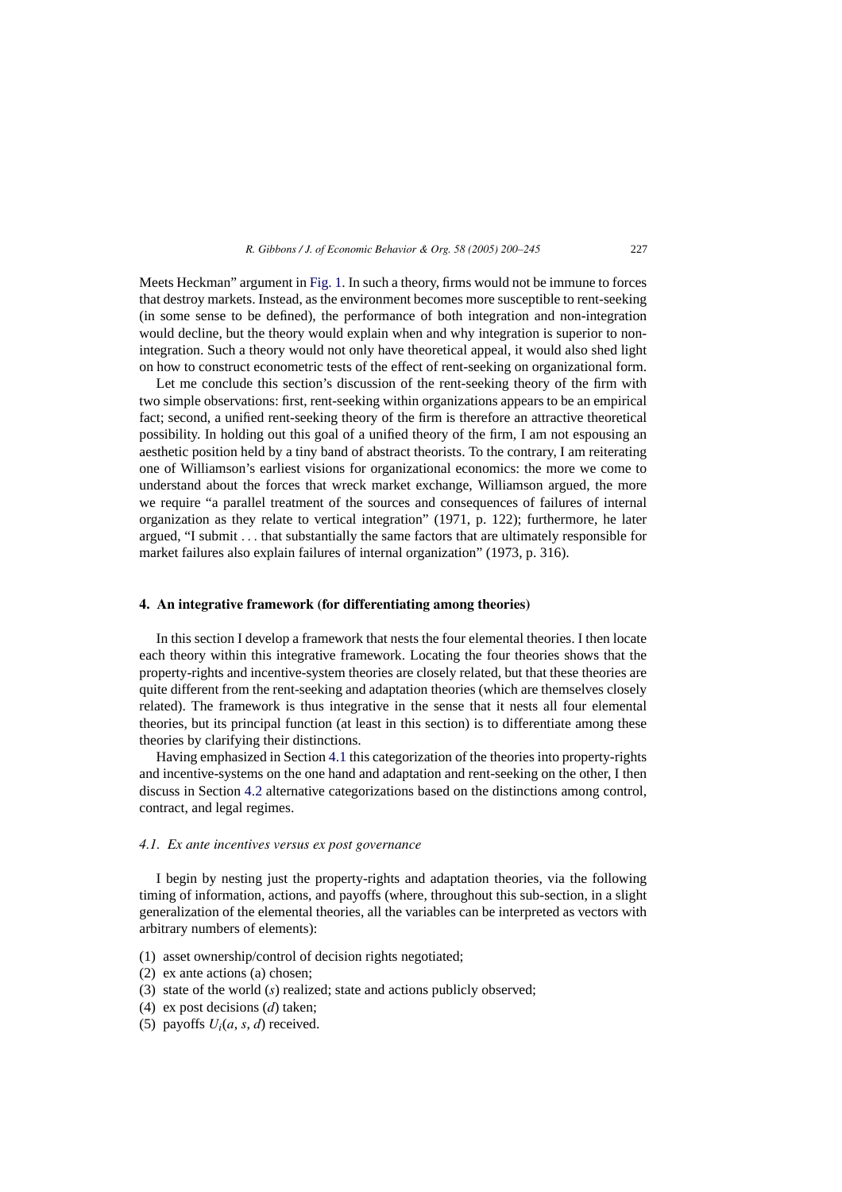<span id="page-27-0"></span>Meets Heckman" argument in [Fig. 1. I](#page-20-0)n such a theory, firms would not be immune to forces that destroy markets. Instead, as the environment becomes more susceptible to rent-seeking (in some sense to be defined), the performance of both integration and non-integration would decline, but the theory would explain when and why integration is superior to nonintegration. Such a theory would not only have theoretical appeal, it would also shed light on how to construct econometric tests of the effect of rent-seeking on organizational form.

Let me conclude this section's discussion of the rent-seeking theory of the firm with two simple observations: first, rent-seeking within organizations appears to be an empirical fact; second, a unified rent-seeking theory of the firm is therefore an attractive theoretical possibility. In holding out this goal of a unified theory of the firm, I am not espousing an aesthetic position held by a tiny band of abstract theorists. To the contrary, I am reiterating one of Williamson's earliest visions for organizational economics: the more we come to understand about the forces that wreck market exchange, Williamson argued, the more we require "a parallel treatment of the sources and consequences of failures of internal organization as they relate to vertical integration" (1971, p. 122); furthermore, he later argued, "I submit ... that substantially the same factors that are ultimately responsible for market failures also explain failures of internal organization" (1973, p. 316).

#### **4. An integrative framework (for differentiating among theories)**

In this section I develop a framework that nests the four elemental theories. I then locate each theory within this integrative framework. Locating the four theories shows that the property-rights and incentive-system theories are closely related, but that these theories are quite different from the rent-seeking and adaptation theories (which are themselves closely related). The framework is thus integrative in the sense that it nests all four elemental theories, but its principal function (at least in this section) is to differentiate among these theories by clarifying their distinctions.

Having emphasized in Section 4.1 this categorization of the theories into property-rights and incentive-systems on the one hand and adaptation and rent-seeking on the other, I then discuss in Section [4.2](#page-31-0) alternative categorizations based on the distinctions among control, contract, and legal regimes.

#### *4.1. Ex ante incentives versus ex post governance*

I begin by nesting just the property-rights and adaptation theories, via the following timing of information, actions, and payoffs (where, throughout this sub-section, in a slight generalization of the elemental theories, all the variables can be interpreted as vectors with arbitrary numbers of elements):

- (1) asset ownership/control of decision rights negotiated;
- (2) ex ante actions (a) chosen;
- (3) state of the world (*s*) realized; state and actions publicly observed;
- (4) ex post decisions (*d*) taken;
- (5) payoffs  $U_i(a, s, d)$  received.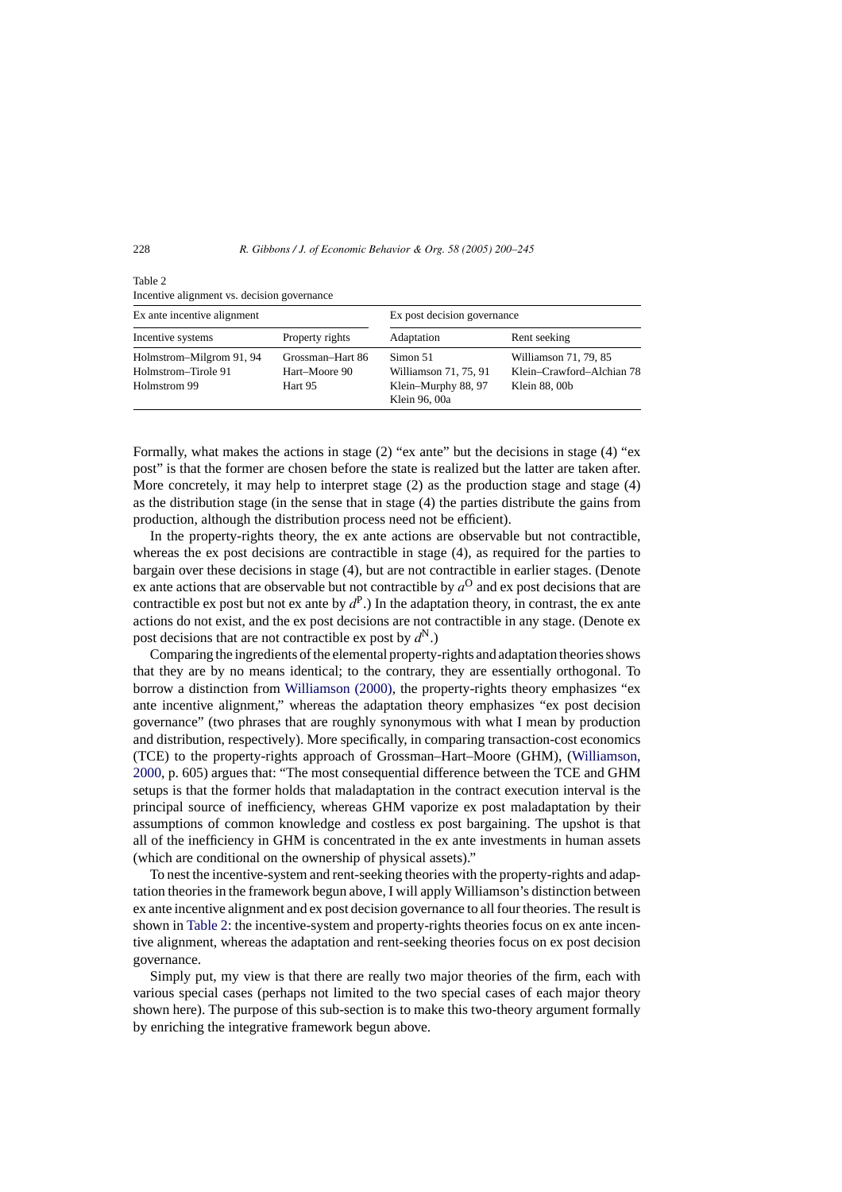| Ex ante incentive alignment                                                                                     |                 | Ex post decision governance                                               |                                                                     |  |
|-----------------------------------------------------------------------------------------------------------------|-----------------|---------------------------------------------------------------------------|---------------------------------------------------------------------|--|
| Incentive systems                                                                                               | Property rights | Adaptation                                                                | Rent seeking                                                        |  |
| Holmstrom-Milgrom 91, 94<br>Grossman-Hart 86<br>Holmstrom-Tirole 91<br>Hart-Moore 90<br>Holmstrom 99<br>Hart 95 |                 | Simon 51<br>Williamson 71, 75, 91<br>Klein-Murphy 88, 97<br>Klein 96, 00a | Williamson 71, 79, 85<br>Klein-Crawford-Alchian 78<br>Klein 88, 00b |  |

| ------- |  |                                             |
|---------|--|---------------------------------------------|
|         |  | Incentive alignment vs. decision governance |

Formally, what makes the actions in stage (2) "ex ante" but the decisions in stage (4) "ex post" is that the former are chosen before the state is realized but the latter are taken after. More concretely, it may help to interpret stage (2) as the production stage and stage (4) as the distribution stage (in the sense that in stage (4) the parties distribute the gains from production, although the distribution process need not be efficient).

In the property-rights theory, the ex ante actions are observable but not contractible, whereas the ex post decisions are contractible in stage (4), as required for the parties to bargain over these decisions in stage (4), but are not contractible in earlier stages. (Denote ex ante actions that are observable but not contractible by  $a^O$  and ex post decisions that are contractible ex post but not ex ante by  $d^P$ .) In the adaptation theory, in contrast, the ex ante actions do not exist, and the ex post decisions are not contractible in any stage. (Denote ex post decisions that are not contractible ex post by  $d^N$ .)

Comparing the ingredients of the elemental property-rights and adaptation theories shows that they are by no means identical; to the contrary, they are essentially orthogonal. To borrow a distinction from [Williamson \(2000\),](#page-45-0) the property-rights theory emphasizes "ex ante incentive alignment," whereas the adaptation theory emphasizes "ex post decision governance" (two phrases that are roughly synonymous with what I mean by production and distribution, respectively). More specifically, in comparing transaction-cost economics (TCE) to the property-rights approach of Grossman–Hart–Moore (GHM), [\(Williamson,](#page-45-0) 2000, p. 605) argues that: "The most consequential difference between the TCE and GHM setups is that the former holds that maladaptation in the contract execution interval is the principal source of inefficiency, whereas GHM vaporize ex post maladaptation by their assumptions of common knowledge and costless ex post bargaining. The upshot is that all of the inefficiency in GHM is concentrated in the ex ante investments in human assets (which are conditional on the ownership of physical assets)."

To nest the incentive-system and rent-seeking theories with the property-rights and adaptation theories in the framework begun above, I will apply Williamson's distinction between ex ante incentive alignment and ex post decision governance to all four theories. The result is shown in Table 2: the incentive-system and property-rights theories focus on ex ante incentive alignment, whereas the adaptation and rent-seeking theories focus on ex post decision governance.

Simply put, my view is that there are really two major theories of the firm, each with various special cases (perhaps not limited to the two special cases of each major theory shown here). The purpose of this sub-section is to make this two-theory argument formally by enriching the integrative framework begun above.

<span id="page-28-0"></span> $Table 2$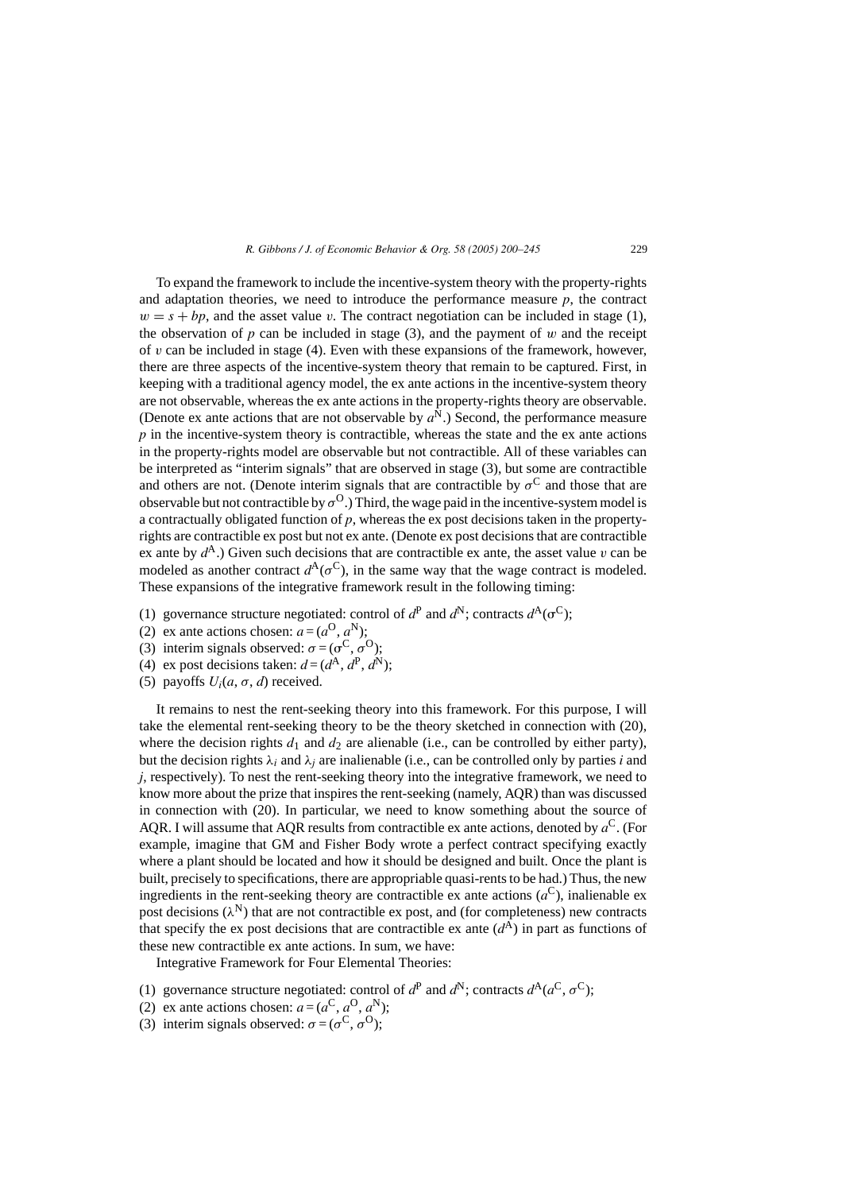To expand the framework to include the incentive-system theory with the property-rights and adaptation theories, we need to introduce the performance measure *p*, the contract  $w = s + bp$ , and the asset value v. The contract negotiation can be included in stage (1), the observation of  $p$  can be included in stage (3), and the payment of  $w$  and the receipt of  $\nu$  can be included in stage (4). Even with these expansions of the framework, however, there are three aspects of the incentive-system theory that remain to be captured. First, in keeping with a traditional agency model, the ex ante actions in the incentive-system theory are not observable, whereas the ex ante actions in the property-rights theory are observable. (Denote ex ante actions that are not observable by  $a^N$ .) Second, the performance measure *p* in the incentive-system theory is contractible, whereas the state and the ex ante actions in the property-rights model are observable but not contractible. All of these variables can be interpreted as "interim signals" that are observed in stage (3), but some are contractible and others are not. (Denote interim signals that are contractible by  $\sigma^C$  and those that are observable but not contractible by  $\sigma^{O}$ .) Third, the wage paid in the incentive-system model is a contractually obligated function of *p*, whereas the ex post decisions taken in the propertyrights are contractible ex post but not ex ante. (Denote ex post decisions that are contractible ex ante by  $d^A$ .) Given such decisions that are contractible ex ante, the asset value v can be modeled as another contract  $d^{A}(\sigma^{C})$ , in the same way that the wage contract is modeled. These expansions of the integrative framework result in the following timing:

- (1) governance structure negotiated: control of  $d^P$  and  $d^N$ ; contracts  $d^A(\sigma^C)$ ;
- (2) ex ante actions chosen:  $a = (a^O, a^N)$ ;
- (3) interim signals observed:  $\sigma = (\sigma^C, \sigma^O)$ ;
- (4) ex post decisions taken:  $d = (d^A, d^P, d^N);$
- (5) payoffs  $U_i(a, \sigma, d)$  received.

It remains to nest the rent-seeking theory into this framework. For this purpose, I will take the elemental rent-seeking theory to be the theory sketched in connection with (20), where the decision rights  $d_1$  and  $d_2$  are alienable (i.e., can be controlled by either party), but the decision rights  $\lambda_i$  and  $\lambda_j$  are inalienable (i.e., can be controlled only by parties *i* and *j*, respectively). To nest the rent-seeking theory into the integrative framework, we need to know more about the prize that inspires the rent-seeking (namely, AQR) than was discussed in connection with (20). In particular, we need to know something about the source of AQR. I will assume that AQR results from contractible ex ante actions, denoted by  $a^C$ . (For example, imagine that GM and Fisher Body wrote a perfect contract specifying exactly where a plant should be located and how it should be designed and built. Once the plant is built, precisely to specifications, there are appropriable quasi-rents to be had.) Thus, the new ingredients in the rent-seeking theory are contractible ex ante actions  $(a^C)$ , inalienable ex post decisions ( $\lambda^N$ ) that are not contractible ex post, and (for completeness) new contracts that specify the ex post decisions that are contractible ex ante  $(d<sup>A</sup>)$  in part as functions of these new contractible ex ante actions. In sum, we have:

Integrative Framework for Four Elemental Theories:

- (1) governance structure negotiated: control of  $d^P$  and  $d^N$ ; contracts  $d^A(a^C, \sigma^C)$ ;
- (2) ex ante actions chosen:  $a = (a^C, a^O, a^N);$
- (3) interim signals observed:  $\sigma = (\sigma^C, \sigma^O);$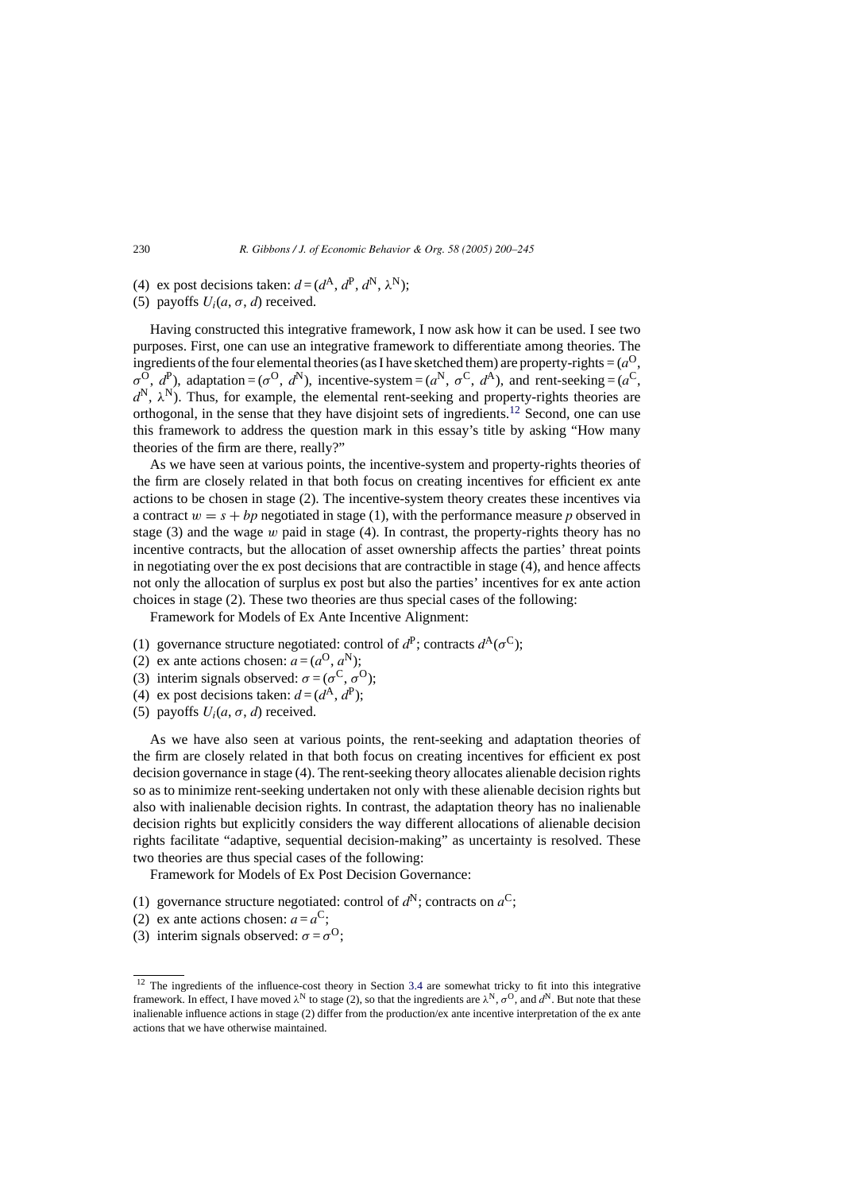- (4) ex post decisions taken:  $d = (d^A, d^P, d^N, \lambda^N)$ ;
- (5) payoffs  $U_i(a, \sigma, d)$  received.

Having constructed this integrative framework, I now ask how it can be used. I see two purposes. First, one can use an integrative framework to differentiate among theories. The ingredients of the four elemental theories (as I have sketched them) are property-rights  $=(a^{\circ})$ .  $\sigma^{\rm O}$ , *d*<sup>P</sup>), adaptation = ( $\sigma^{\rm O}$ , *d*<sup>N</sup>), incentive-system = ( $a^{\rm N}$ ,  $\sigma^{\rm C}$ , *d*<sup>A</sup>), and rent-seeking = ( $a^{\rm C}$ ,  $d^N$ ,  $\lambda^N$ ). Thus, for example, the elemental rent-seeking and property-rights theories are orthogonal, in the sense that they have disjoint sets of ingredients.12 Second, one can use this framework to address the question mark in this essay's title by asking "How many theories of the firm are there, really?"

As we have seen at various points, the incentive-system and property-rights theories of the firm are closely related in that both focus on creating incentives for efficient ex ante actions to be chosen in stage (2). The incentive-system theory creates these incentives via a contract  $w = s + bp$  negotiated in stage (1), with the performance measure p observed in stage  $(3)$  and the wage w paid in stage  $(4)$ . In contrast, the property-rights theory has no incentive contracts, but the allocation of asset ownership affects the parties' threat points in negotiating over the ex post decisions that are contractible in stage (4), and hence affects not only the allocation of surplus ex post but also the parties' incentives for ex ante action choices in stage (2). These two theories are thus special cases of the following:

Framework for Models of Ex Ante Incentive Alignment:

- (1) governance structure negotiated: control of  $d^P$ ; contracts  $d^A(\sigma^C)$ ;
- (2) ex ante actions chosen:  $a = (a^O, a^N)$ ;
- (3) interim signals observed:  $\sigma = (\sigma^C, \sigma^O)$ ;
- (4) ex post decisions taken:  $d = (d^A, d^P)$ ;
- (5) payoffs  $U_i(a, \sigma, d)$  received.

As we have also seen at various points, the rent-seeking and adaptation theories of the firm are closely related in that both focus on creating incentives for efficient ex post decision governance in stage (4). The rent-seeking theory allocates alienable decision rights so as to minimize rent-seeking undertaken not only with these alienable decision rights but also with inalienable decision rights. In contrast, the adaptation theory has no inalienable decision rights but explicitly considers the way different allocations of alienable decision rights facilitate "adaptive, sequential decision-making" as uncertainty is resolved. These two theories are thus special cases of the following:

Framework for Models of Ex Post Decision Governance:

- (1) governance structure negotiated: control of  $d^N$ ; contracts on  $a^C$ ;
- (2) ex ante actions chosen:  $a = a^C$ ;
- (3) interim signals observed:  $\sigma = \sigma^{\text{O}}$ ;

<sup>&</sup>lt;sup>12</sup> The ingredients of the influence-cost theory in Section [3.4](#page-23-0) are somewhat tricky to fit into this integrative framework. In effect, I have moved  $\lambda^N$  to stage (2), so that the ingredients are  $\lambda^N$ ,  $\sigma^O$ , and  $d^N$ . But note that these inalienable influence actions in stage (2) differ from the production/ex ante incentive interpretation of the ex ante actions that we have otherwise maintained.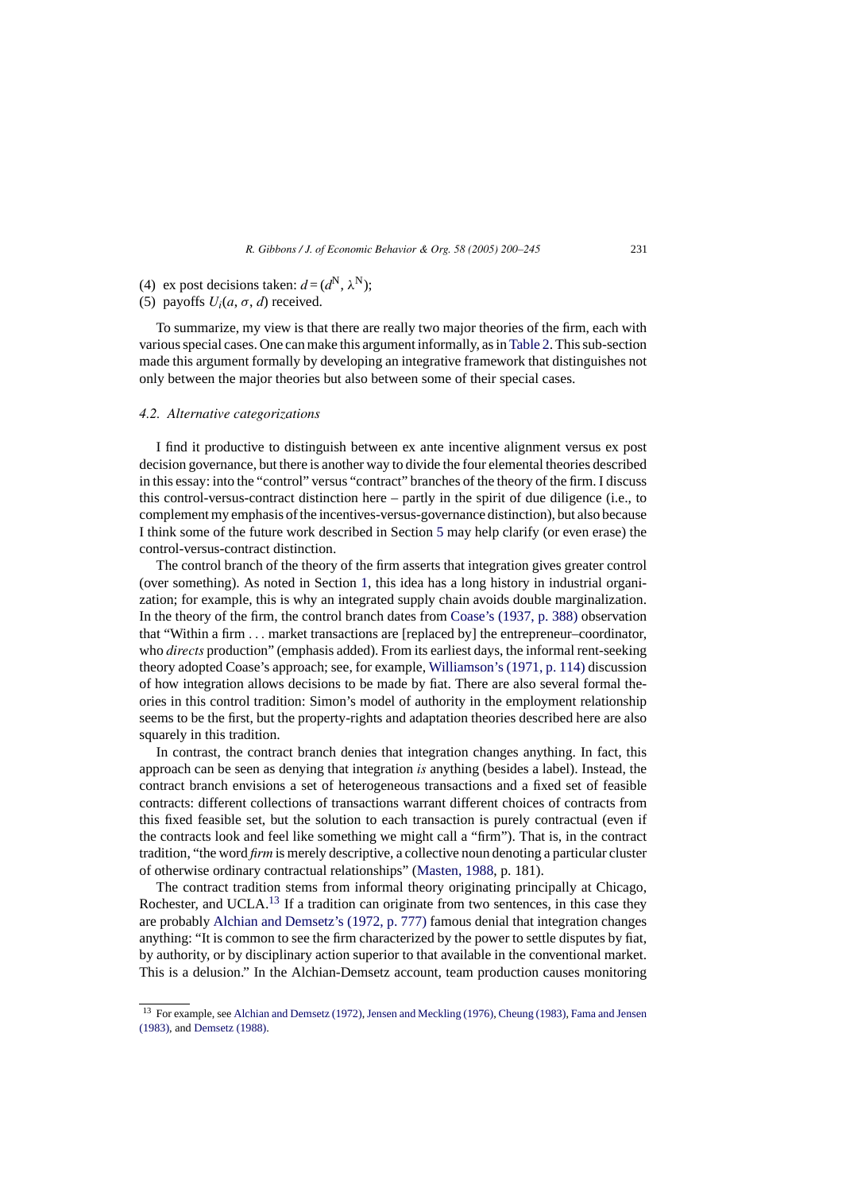- <span id="page-31-0"></span>(4) ex post decisions taken:  $d = (d^N, \lambda^N);$
- (5) payoffs  $U_i(a, \sigma, d)$  received.

To summarize, my view is that there are really two major theories of the firm, each with various special cases. One can make this argument informally, as in [Table 2. T](#page-28-0)his sub-section made this argument formally by developing an integrative framework that distinguishes not only between the major theories but also between some of their special cases.

#### *4.2. Alternative categorizations*

I find it productive to distinguish between ex ante incentive alignment versus ex post decision governance, but there is another way to divide the four elemental theories described in this essay: into the "control" versus "contract" branches of the theory of the firm. I discuss this control-versus-contract distinction here – partly in the spirit of due diligence (i.e., to complement my emphasis of the incentives-versus-governance distinction), but also because I think some of the future work described in Section [5](#page-33-0) may help clarify (or even erase) the control-versus-contract distinction.

The control branch of the theory of the firm asserts that integration gives greater control (over something). As noted in Section [1,](#page-2-0) this idea has a long history in industrial organization; for example, this is why an integrated supply chain avoids double marginalization. In the theory of the firm, the control branch dates from [Coase's \(1937, p. 388\)](#page-42-0) observation that "Within a firm ... market transactions are [replaced by] the entrepreneur–coordinator, who *directs* production" (emphasis added). From its earliest days, the informal rent-seeking theory adopted Coase's approach; see, for example, [Williamson's \(1971, p. 114\)](#page-45-0) discussion of how integration allows decisions to be made by fiat. There are also several formal theories in this control tradition: Simon's model of authority in the employment relationship seems to be the first, but the property-rights and adaptation theories described here are also squarely in this tradition.

In contrast, the contract branch denies that integration changes anything. In fact, this approach can be seen as denying that integration *is* anything (besides a label). Instead, the contract branch envisions a set of heterogeneous transactions and a fixed set of feasible contracts: different collections of transactions warrant different choices of contracts from this fixed feasible set, but the solution to each transaction is purely contractual (even if the contracts look and feel like something we might call a "firm"). That is, in the contract tradition, "the word *firm* is merely descriptive, a collective noun denoting a particular cluster of otherwise ordinary contractual relationships" ([Masten, 1988, p](#page-44-0). 181).

The contract tradition stems from informal theory originating principally at Chicago, Rochester, and UCLA.<sup>13</sup> If a tradition can originate from two sentences, in this case they are probably [Alchian and Demsetz's \(1972, p. 777\)](#page-41-0) famous denial that integration changes anything: "It is common to see the firm characterized by the power to settle disputes by fiat, by authority, or by disciplinary action superior to that available in the conventional market. This is a delusion." In the Alchian-Demsetz account, team production causes monitoring

<sup>13</sup> For example, see [Alchian and Demsetz \(1972\),](#page-41-0) [Jensen and Meckling \(1976\),](#page-43-0) [Cheung \(1983\),](#page-42-0) [Fama and Jensen](#page-42-0) (1983), and [Demsetz \(1988\).](#page-42-0)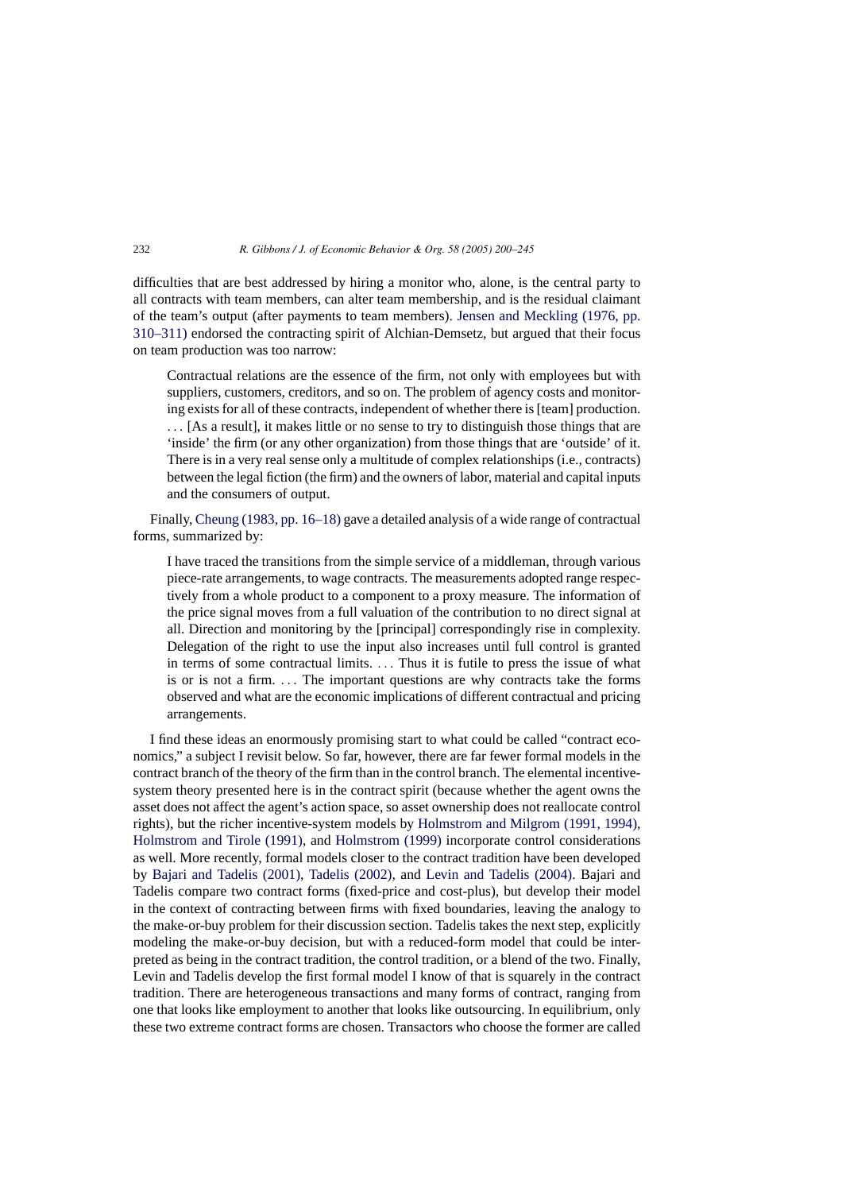difficulties that are best addressed by hiring a monitor who, alone, is the central party to all contracts with team members, can alter team membership, and is the residual claimant of the team's output (after payments to team members). [Jensen and Meckling \(1976, pp.](#page-43-0) [310–311\)](#page-43-0) endorsed the contracting spirit of Alchian-Demsetz, but argued that their focus on team production was too narrow:

Contractual relations are the essence of the firm, not only with employees but with suppliers, customers, creditors, and so on. The problem of agency costs and monitoring exists for all of these contracts, independent of whether there is [team] production. ... [As a result], it makes little or no sense to try to distinguish those things that are 'inside' the firm (or any other organization) from those things that are 'outside' of it. There is in a very real sense only a multitude of complex relationships (i.e., contracts) between the legal fiction (the firm) and the owners of labor, material and capital inputs and the consumers of output.

Finally, [Cheung \(1983, pp. 16–18\)](#page-42-0) gave a detailed analysis of a wide range of contractual forms, summarized by:

I have traced the transitions from the simple service of a middleman, through various piece-rate arrangements, to wage contracts. The measurements adopted range respectively from a whole product to a component to a proxy measure. The information of the price signal moves from a full valuation of the contribution to no direct signal at all. Direction and monitoring by the [principal] correspondingly rise in complexity. Delegation of the right to use the input also increases until full control is granted in terms of some contractual limits. ... Thus it is futile to press the issue of what is or is not a firm. ... The important questions are why contracts take the forms observed and what are the economic implications of different contractual and pricing arrangements.

I find these ideas an enormously promising start to what could be called "contract economics," a subject I revisit below. So far, however, there are far fewer formal models in the contract branch of the theory of the firm than in the control branch. The elemental incentivesystem theory presented here is in the contract spirit (because whether the agent owns the asset does not affect the agent's action space, so asset ownership does not reallocate control rights), but the richer incentive-system models by [Holmstrom and Milgrom \(1991, 1994\),](#page-43-0) [Holmstrom and Tirole \(1991\),](#page-43-0) and [Holmstrom \(1999\)](#page-42-0) incorporate control considerations as well. More recently, formal models closer to the contract tradition have been developed by [Bajari and Tadelis \(2001\),](#page-41-0) [Tadelis \(2002\),](#page-45-0) and [Levin and Tadelis \(2004\).](#page-44-0) Bajari and Tadelis compare two contract forms (fixed-price and cost-plus), but develop their model in the context of contracting between firms with fixed boundaries, leaving the analogy to the make-or-buy problem for their discussion section. Tadelis takes the next step, explicitly modeling the make-or-buy decision, but with a reduced-form model that could be interpreted as being in the contract tradition, the control tradition, or a blend of the two. Finally, Levin and Tadelis develop the first formal model I know of that is squarely in the contract tradition. There are heterogeneous transactions and many forms of contract, ranging from one that looks like employment to another that looks like outsourcing. In equilibrium, only these two extreme contract forms are chosen. Transactors who choose the former are called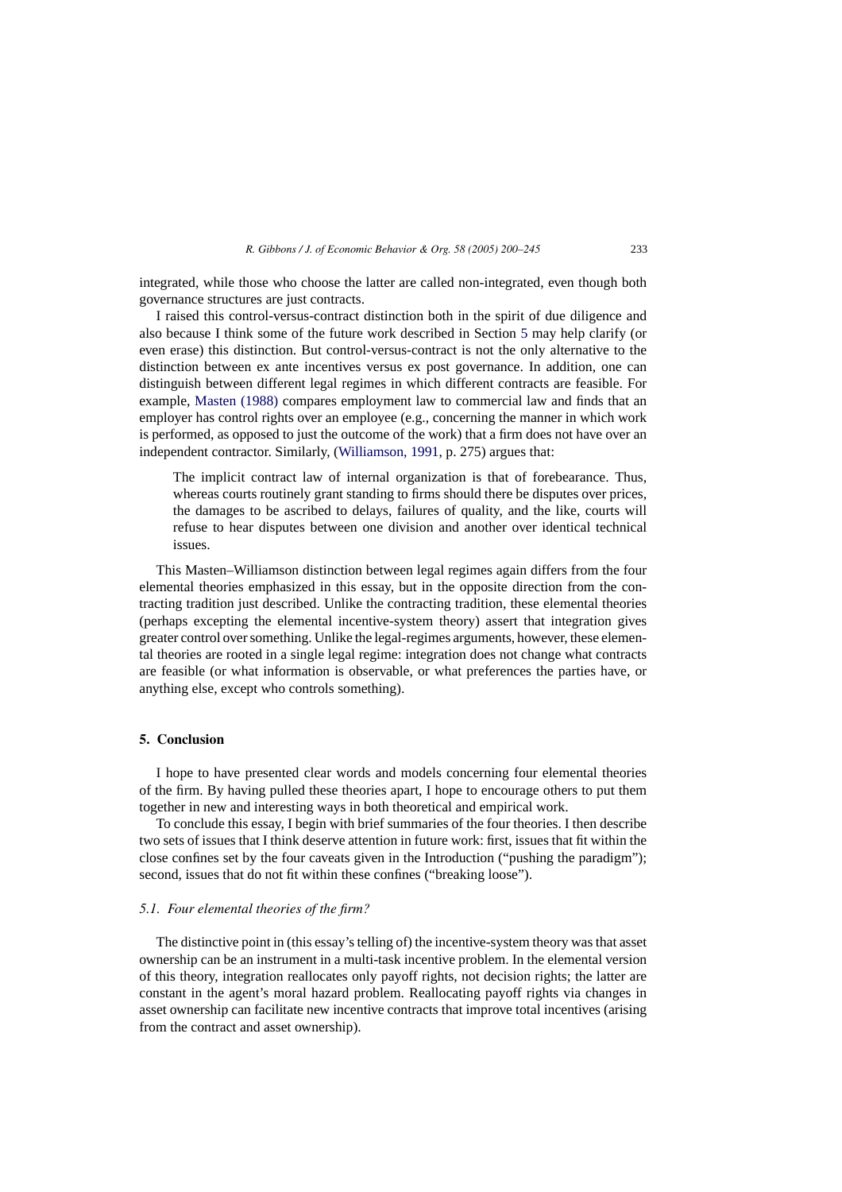<span id="page-33-0"></span>integrated, while those who choose the latter are called non-integrated, even though both governance structures are just contracts.

I raised this control-versus-contract distinction both in the spirit of due diligence and also because I think some of the future work described in Section 5 may help clarify (or even erase) this distinction. But control-versus-contract is not the only alternative to the distinction between ex ante incentives versus ex post governance. In addition, one can distinguish between different legal regimes in which different contracts are feasible. For example, [Masten \(1988\)](#page-44-0) compares employment law to commercial law and finds that an employer has control rights over an employee (e.g., concerning the manner in which work is performed, as opposed to just the outcome of the work) that a firm does not have over an independent contractor. Similarly, [\(Williamson, 1991,](#page-45-0) p. 275) argues that:

The implicit contract law of internal organization is that of forebearance. Thus, whereas courts routinely grant standing to firms should there be disputes over prices, the damages to be ascribed to delays, failures of quality, and the like, courts will refuse to hear disputes between one division and another over identical technical issues.

This Masten–Williamson distinction between legal regimes again differs from the four elemental theories emphasized in this essay, but in the opposite direction from the contracting tradition just described. Unlike the contracting tradition, these elemental theories (perhaps excepting the elemental incentive-system theory) assert that integration gives greater control over something. Unlike the legal-regimes arguments, however, these elemental theories are rooted in a single legal regime: integration does not change what contracts are feasible (or what information is observable, or what preferences the parties have, or anything else, except who controls something).

# **5. Conclusion**

I hope to have presented clear words and models concerning four elemental theories of the firm. By having pulled these theories apart, I hope to encourage others to put them together in new and interesting ways in both theoretical and empirical work.

To conclude this essay, I begin with brief summaries of the four theories. I then describe two sets of issues that I think deserve attention in future work: first, issues that fit within the close confines set by the four caveats given in the Introduction ("pushing the paradigm"); second, issues that do not fit within these confines ("breaking loose").

#### *5.1. Four elemental theories of the firm?*

The distinctive point in (this essay's telling of) the incentive-system theory was that asset ownership can be an instrument in a multi-task incentive problem. In the elemental version of this theory, integration reallocates only payoff rights, not decision rights; the latter are constant in the agent's moral hazard problem. Reallocating payoff rights via changes in asset ownership can facilitate new incentive contracts that improve total incentives (arising from the contract and asset ownership).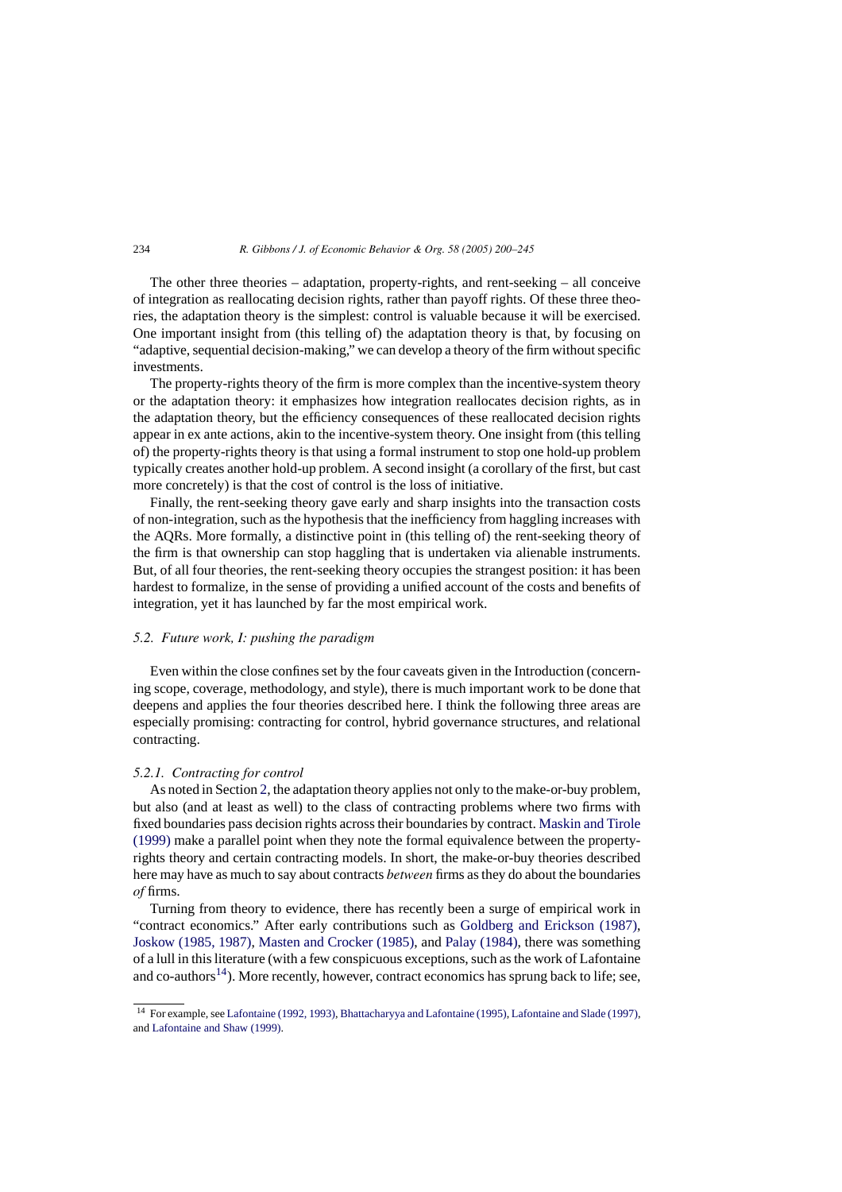The other three theories – adaptation, property-rights, and rent-seeking – all conceive of integration as reallocating decision rights, rather than payoff rights. Of these three theories, the adaptation theory is the simplest: control is valuable because it will be exercised. One important insight from (this telling of) the adaptation theory is that, by focusing on "adaptive, sequential decision-making," we can develop a theory of the firm without specific investments.

The property-rights theory of the firm is more complex than the incentive-system theory or the adaptation theory: it emphasizes how integration reallocates decision rights, as in the adaptation theory, but the efficiency consequences of these reallocated decision rights appear in ex ante actions, akin to the incentive-system theory. One insight from (this telling of) the property-rights theory is that using a formal instrument to stop one hold-up problem typically creates another hold-up problem. A second insight (a corollary of the first, but cast more concretely) is that the cost of control is the loss of initiative.

Finally, the rent-seeking theory gave early and sharp insights into the transaction costs of non-integration, such as the hypothesis that the inefficiency from haggling increases with the AQRs. More formally, a distinctive point in (this telling of) the rent-seeking theory of the firm is that ownership can stop haggling that is undertaken via alienable instruments. But, of all four theories, the rent-seeking theory occupies the strangest position: it has been hardest to formalize, in the sense of providing a unified account of the costs and benefits of integration, yet it has launched by far the most empirical work.

# *5.2. Future work, I: pushing the paradigm*

Even within the close confines set by the four caveats given in the Introduction (concerning scope, coverage, methodology, and style), there is much important work to be done that deepens and applies the four theories described here. I think the following three areas are especially promising: contracting for control, hybrid governance structures, and relational contracting.

#### *5.2.1. Contracting for control*

As noted in Section [2, t](#page-9-0)he adaptation theory applies not only to the make-or-buy problem, but also (and at least as well) to the class of contracting problems where two firms with fixed boundaries pass decision rights across their boundaries by contract. [Maskin and Tirole](#page-44-0) [\(1999\)](#page-44-0) make a parallel point when they note the formal equivalence between the propertyrights theory and certain contracting models. In short, the make-or-buy theories described here may have as much to say about contracts *between* firms as they do about the boundaries *of* firms.

Turning from theory to evidence, there has recently been a surge of empirical work in "contract economics." After early contributions such as [Goldberg and Erickson \(1987\),](#page-42-0) [Joskow \(1985, 1987\),](#page-43-0) [Masten and Crocker \(1985\), a](#page-44-0)nd [Palay \(1984\), t](#page-44-0)here was something of a lull in this literature (with a few conspicuous exceptions, such as the work of Lafontaine and co-authors<sup>14</sup>). More recently, however, contract economics has sprung back to life; see,

<sup>14</sup> For example, see [Lafontaine \(1992, 1993\),](#page-43-0) [Bhattacharyya and Lafontaine \(1995\),](#page-41-0) [Lafontaine and Slade \(1997\),](#page-43-0) and [Lafontaine and Shaw \(1999\).](#page-43-0)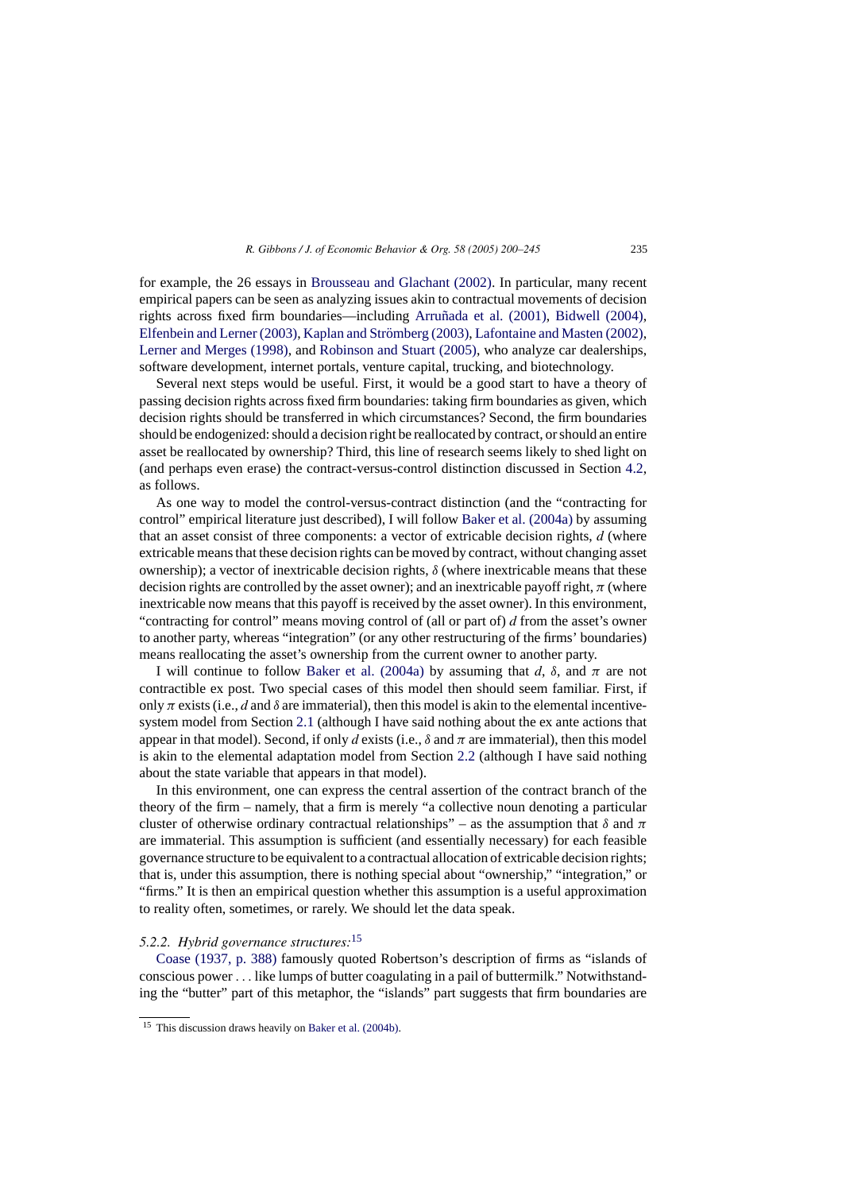for example, the 26 essays in [Brousseau and Glachant \(2002\).](#page-41-0) In particular, many recent empirical papers can be seen as analyzing issues akin to contractual movements of decision rights across fixed firm boundaries—including Arruñada et al. (2001), [Bidwell \(2004\),](#page-41-0) [Elfenbein and Lerner \(2003\),](#page-42-0) Kaplan and Strömberg (2003), [Lafontaine and Masten \(2002\),](#page-43-0) [Lerner and Merges \(1998\),](#page-44-0) and [Robinson and Stuart \(2005\),](#page-45-0) who analyze car dealerships, software development, internet portals, venture capital, trucking, and biotechnology.

Several next steps would be useful. First, it would be a good start to have a theory of passing decision rights across fixed firm boundaries: taking firm boundaries as given, which decision rights should be transferred in which circumstances? Second, the firm boundaries should be endogenized: should a decision right be reallocated by contract, or should an entire asset be reallocated by ownership? Third, this line of research seems likely to shed light on (and perhaps even erase) the contract-versus-control distinction discussed in Section [4.2,](#page-31-0) as follows.

As one way to model the control-versus-contract distinction (and the "contracting for control" empirical literature just described), I will follow [Baker et al. \(2004a\)](#page-41-0) by assuming that an asset consist of three components: a vector of extricable decision rights, *d* (where extricable means that these decision rights can be moved by contract, without changing asset ownership); a vector of inextricable decision rights, δ (where inextricable means that these decision rights are controlled by the asset owner); and an inextricable payoff right,  $\pi$  (where inextricable now means that this payoff is received by the asset owner). In this environment, "contracting for control" means moving control of (all or part of) *d* from the asset's owner to another party, whereas "integration" (or any other restructuring of the firms' boundaries) means reallocating the asset's ownership from the current owner to another party.

I will continue to follow [Baker et al. \(2004a\)](#page-41-0) by assuming that *d*,  $\delta$ , and  $\pi$  are not contractible ex post. Two special cases of this model then should seem familiar. First, if only  $\pi$  exists (i.e., *d* and  $\delta$  are immaterial), then this model is akin to the elemental incentivesystem model from Section [2.1](#page-10-0) (although I have said nothing about the ex ante actions that appear in that model). Second, if only  $d$  exists (i.e.,  $\delta$  and  $\pi$  are immaterial), then this model is akin to the elemental adaptation model from Section [2.2](#page-12-0) (although I have said nothing about the state variable that appears in that model).

In this environment, one can express the central assertion of the contract branch of the theory of the firm – namely, that a firm is merely "a collective noun denoting a particular cluster of otherwise ordinary contractual relationships" – as the assumption that  $\delta$  and  $\pi$ are immaterial. This assumption is sufficient (and essentially necessary) for each feasible governance structure to be equivalent to a contractual allocation of extricable decision rights; that is, under this assumption, there is nothing special about "ownership," "integration," or "firms." It is then an empirical question whether this assumption is a useful approximation to reality often, sometimes, or rarely. We should let the data speak.

# *5.2.2. Hybrid governance structures:*<sup>15</sup>

[Coase \(1937, p. 388\)](#page-42-0) famously quoted Robertson's description of firms as "islands of conscious power ... like lumps of butter coagulating in a pail of buttermilk." Notwithstanding the "butter" part of this metaphor, the "islands" part suggests that firm boundaries are

<sup>&</sup>lt;sup>15</sup> This discussion draws heavily on [Baker et al. \(2004b\).](#page-41-0)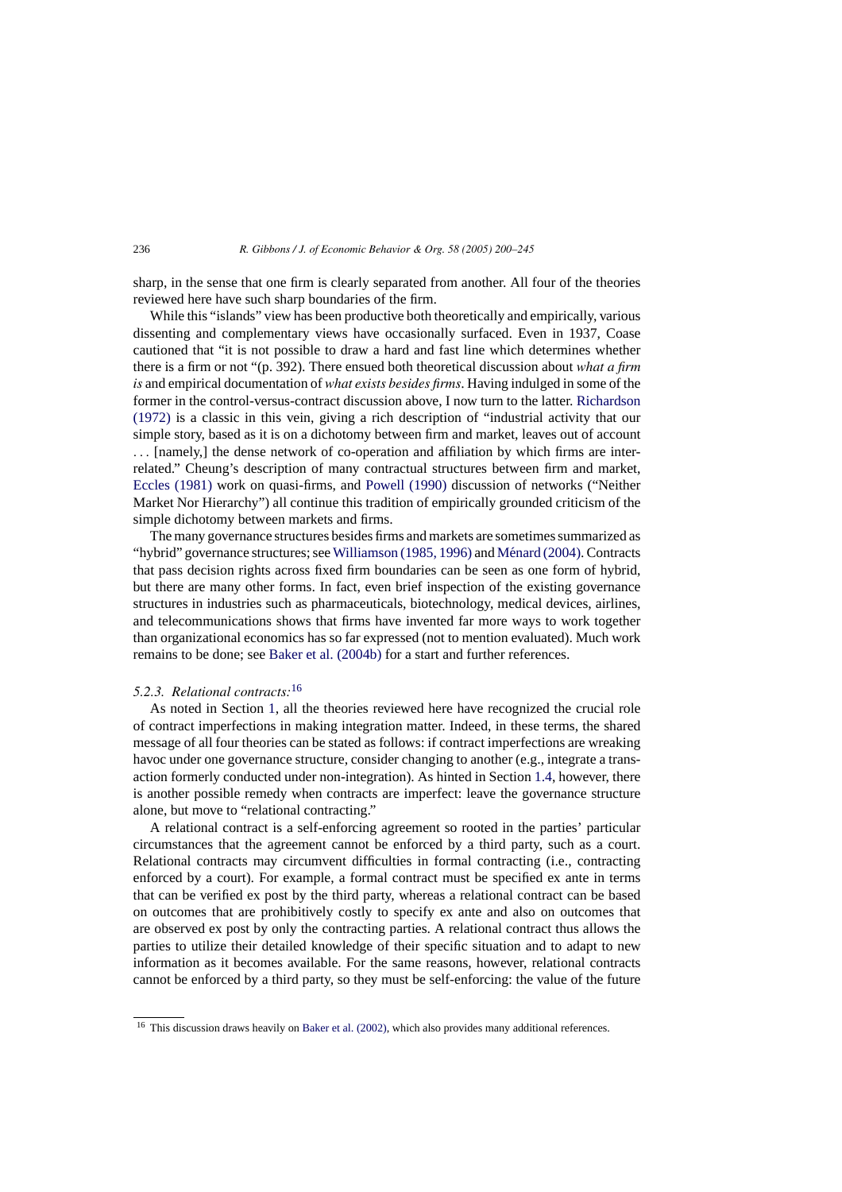sharp, in the sense that one firm is clearly separated from another. All four of the theories reviewed here have such sharp boundaries of the firm.

While this "islands" view has been productive both theoretically and empirically, various dissenting and complementary views have occasionally surfaced. Even in 1937, Coase cautioned that "it is not possible to draw a hard and fast line which determines whether there is a firm or not "(p. 392). There ensued both theoretical discussion about *what a firm is* and empirical documentation of *what exists besides firms*. Having indulged in some of the former in the control-versus-contract discussion above, I now turn to the latter. [Richardson](#page-45-0) (1972) is a classic in this vein, giving a rich description of "industrial activity that our simple story, based as it is on a dichotomy between firm and market, leaves out of account ... [namely,] the dense network of co-operation and affiliation by which firms are interrelated." Cheung's description of many contractual structures between firm and market, [Eccles \(1981\)](#page-42-0) work on quasi-firms, and [Powell \(1990\)](#page-44-0) discussion of networks ("Neither Market Nor Hierarchy") all continue this tradition of empirically grounded criticism of the simple dichotomy between markets and firms.

The many governance structures besides firms and markets are sometimes summarized as "hybrid" governance structures; see [Williamson \(1985, 1996\)](#page-45-0) and Ménard (2004). Contracts that pass decision rights across fixed firm boundaries can be seen as one form of hybrid, but there are many other forms. In fact, even brief inspection of the existing governance structures in industries such as pharmaceuticals, biotechnology, medical devices, airlines, and telecommunications shows that firms have invented far more ways to work together than organizational economics has so far expressed (not to mention evaluated). Much work remains to be done; see [Baker et al. \(2004b\)](#page-41-0) for a start and further references.

## *5.2.3. Relational contracts:*<sup>16</sup>

As noted in Section [1,](#page-2-0) all the theories reviewed here have recognized the crucial role of contract imperfections in making integration matter. Indeed, in these terms, the shared message of all four theories can be stated as follows: if contract imperfections are wreaking havoc under one governance structure, consider changing to another (e.g., integrate a transaction formerly conducted under non-integration). As hinted in Section [1.4, h](#page-8-0)owever, there is another possible remedy when contracts are imperfect: leave the governance structure alone, but move to "relational contracting."

A relational contract is a self-enforcing agreement so rooted in the parties' particular circumstances that the agreement cannot be enforced by a third party, such as a court. Relational contracts may circumvent difficulties in formal contracting (i.e., contracting enforced by a court). For example, a formal contract must be specified ex ante in terms that can be verified ex post by the third party, whereas a relational contract can be based on outcomes that are prohibitively costly to specify ex ante and also on outcomes that are observed ex post by only the contracting parties. A relational contract thus allows the parties to utilize their detailed knowledge of their specific situation and to adapt to new information as it becomes available. For the same reasons, however, relational contracts cannot be enforced by a third party, so they must be self-enforcing: the value of the future

<sup>&</sup>lt;sup>16</sup> This discussion draws heavily on [Baker et al. \(2002\), w](#page-41-0)hich also provides many additional references.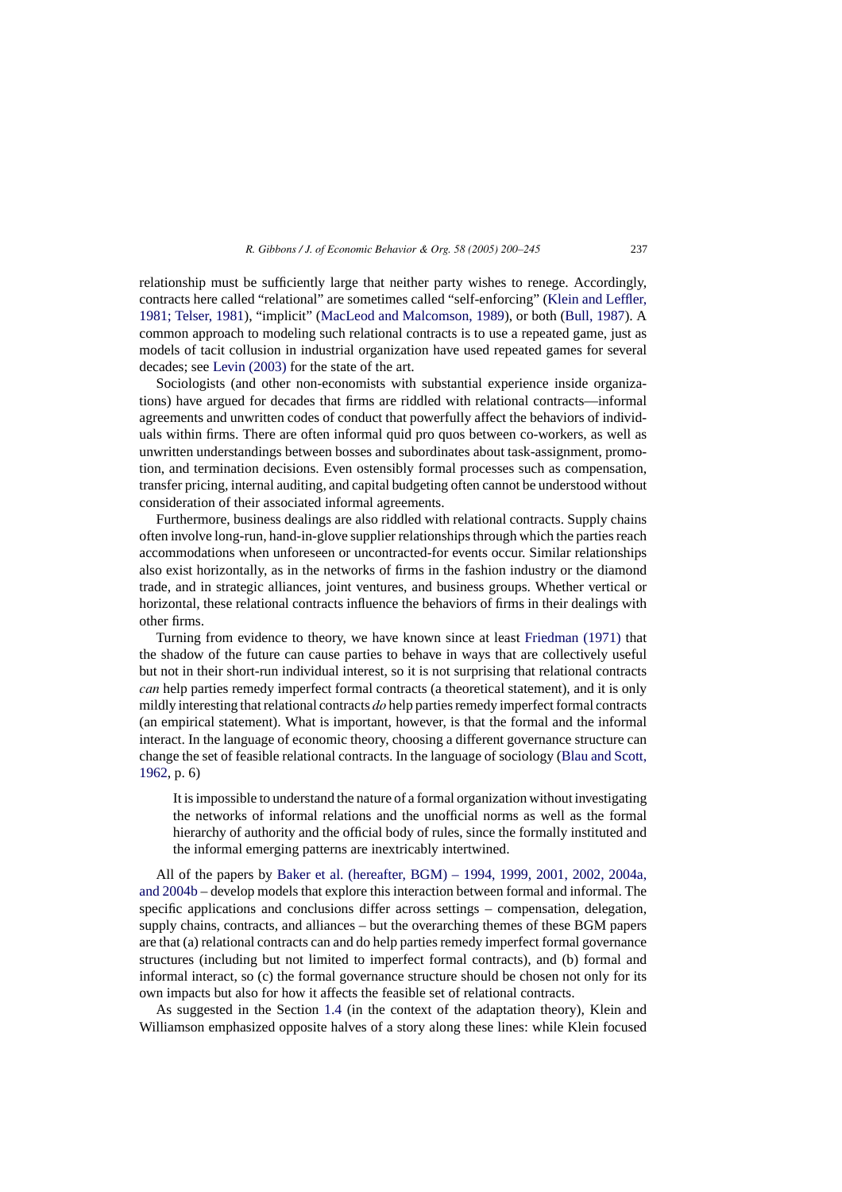relationship must be sufficiently large that neither party wishes to renege. Accordingly, contracts here called "relational" are sometimes called "self-enforcing" ([Klein and Leffler,](#page-43-0) [1981; Telser, 1981\),](#page-43-0) "implicit" ([MacLeod and Malcomson, 1989\),](#page-44-0) or both [\(Bull, 1987\).](#page-42-0) A common approach to modeling such relational contracts is to use a repeated game, just as models of tacit collusion in industrial organization have used repeated games for several decades; see [Levin \(2003\)](#page-44-0) for the state of the art.

Sociologists (and other non-economists with substantial experience inside organizations) have argued for decades that firms are riddled with relational contracts—informal agreements and unwritten codes of conduct that powerfully affect the behaviors of individuals within firms. There are often informal quid pro quos between co-workers, as well as unwritten understandings between bosses and subordinates about task-assignment, promotion, and termination decisions. Even ostensibly formal processes such as compensation, transfer pricing, internal auditing, and capital budgeting often cannot be understood without consideration of their associated informal agreements.

Furthermore, business dealings are also riddled with relational contracts. Supply chains often involve long-run, hand-in-glove supplier relationships through which the parties reach accommodations when unforeseen or uncontracted-for events occur. Similar relationships also exist horizontally, as in the networks of firms in the fashion industry or the diamond trade, and in strategic alliances, joint ventures, and business groups. Whether vertical or horizontal, these relational contracts influence the behaviors of firms in their dealings with other firms.

Turning from evidence to theory, we have known since at least [Friedman \(1971\)](#page-42-0) that the shadow of the future can cause parties to behave in ways that are collectively useful but not in their short-run individual interest, so it is not surprising that relational contracts *can* help parties remedy imperfect formal contracts (a theoretical statement), and it is only mildly interesting that relational contracts *do* help parties remedy imperfect formal contracts (an empirical statement). What is important, however, is that the formal and the informal interact. In the language of economic theory, choosing a different governance structure can change the set of feasible relational contracts. In the language of sociology ([Blau and Scott,](#page-41-0) 1962, p. 6)

It is impossible to understand the nature of a formal organization without investigating the networks of informal relations and the unofficial norms as well as the formal hierarchy of authority and the official body of rules, since the formally instituted and the informal emerging patterns are inextricably intertwined.

All of the papers by [Baker et al. \(hereafter, BGM\) – 1994, 1999, 2001, 2002, 2004a,](#page-41-0) [and 2004b](#page-41-0) – develop models that explore this interaction between formal and informal. The specific applications and conclusions differ across settings – compensation, delegation, supply chains, contracts, and alliances – but the overarching themes of these BGM papers are that (a) relational contracts can and do help parties remedy imperfect formal governance structures (including but not limited to imperfect formal contracts), and (b) formal and informal interact, so (c) the formal governance structure should be chosen not only for its own impacts but also for how it affects the feasible set of relational contracts.

As suggested in the Section [1.4](#page-8-0) (in the context of the adaptation theory), Klein and Williamson emphasized opposite halves of a story along these lines: while Klein focused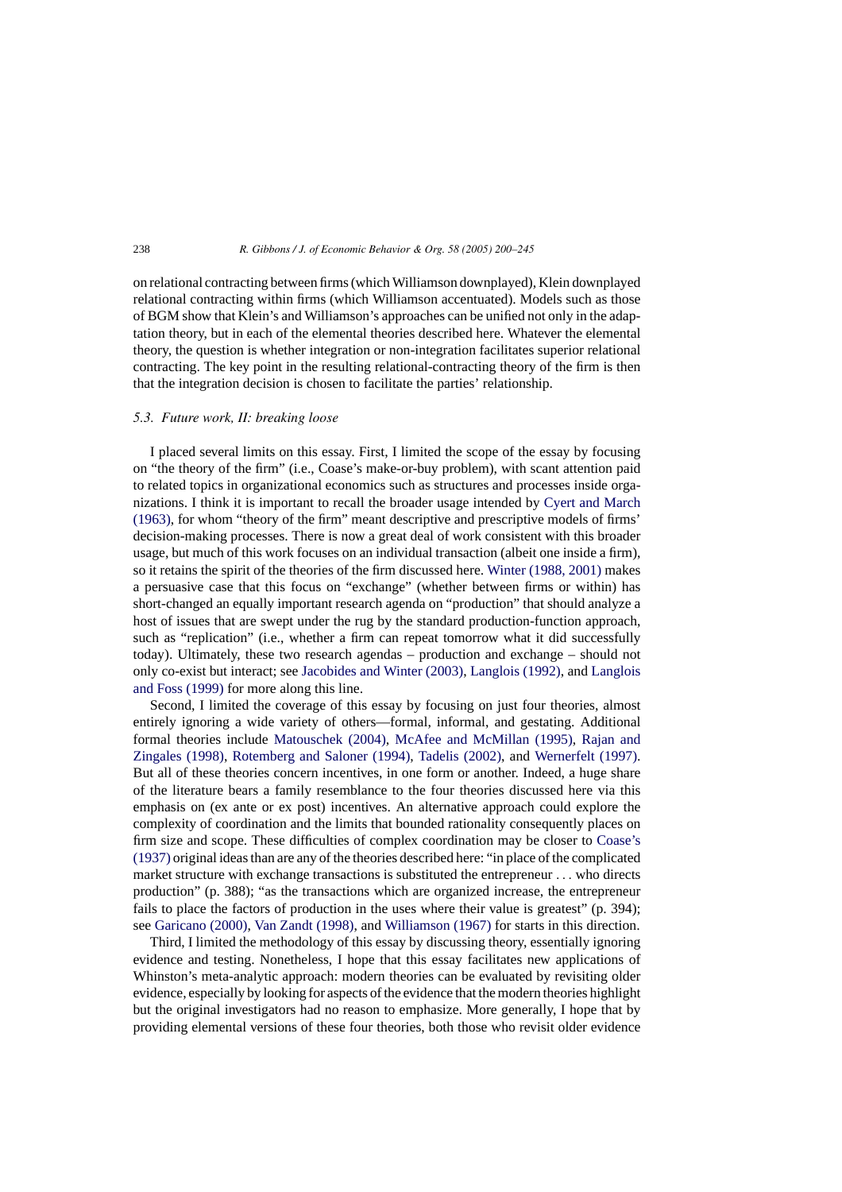on relational contracting between firms (which Williamson downplayed), Klein downplayed relational contracting within firms (which Williamson accentuated). Models such as those of BGM show that Klein's and Williamson's approaches can be unified not only in the adaptation theory, but in each of the elemental theories described here. Whatever the elemental theory, the question is whether integration or non-integration facilitates superior relational contracting. The key point in the resulting relational-contracting theory of the firm is then that the integration decision is chosen to facilitate the parties' relationship.

#### *5.3. Future work, II: breaking loose*

I placed several limits on this essay. First, I limited the scope of the essay by focusing on "the theory of the firm" (i.e., Coase's make-or-buy problem), with scant attention paid to related topics in organizational economics such as structures and processes inside organizations. I think it is important to recall the broader usage intended by [Cyert and March](#page-42-0) [\(1963\), f](#page-42-0)or whom "theory of the firm" meant descriptive and prescriptive models of firms' decision-making processes. There is now a great deal of work consistent with this broader usage, but much of this work focuses on an individual transaction (albeit one inside a firm), so it retains the spirit of the theories of the firm discussed here. [Winter \(1988, 2001\)](#page-45-0) makes a persuasive case that this focus on "exchange" (whether between firms or within) has short-changed an equally important research agenda on "production" that should analyze a host of issues that are swept under the rug by the standard production-function approach, such as "replication" (i.e., whether a firm can repeat tomorrow what it did successfully today). Ultimately, these two research agendas – production and exchange – should not only co-exist but interact; see [Jacobides and Winter \(2003\),](#page-43-0) [Langlois \(1992\),](#page-43-0) and [Langlois](#page-44-0) [and Foss \(1999\)](#page-44-0) for more along this line.

Second, I limited the coverage of this essay by focusing on just four theories, almost entirely ignoring a wide variety of others—formal, informal, and gestating. Additional formal theories include [Matouschek \(2004\),](#page-44-0) [McAfee and McMillan \(1995\),](#page-44-0) [Rajan and](#page-44-0) [Zingales \(1998\),](#page-44-0) [Rotemberg and Saloner \(1994\),](#page-45-0) [Tadelis \(2002\),](#page-45-0) and [Wernerfelt \(1997\).](#page-45-0) But all of these theories concern incentives, in one form or another. Indeed, a huge share of the literature bears a family resemblance to the four theories discussed here via this emphasis on (ex ante or ex post) incentives. An alternative approach could explore the complexity of coordination and the limits that bounded rationality consequently places on firm size and scope. These difficulties of complex coordination may be closer to [Coase's](#page-42-0) [\(1937\)](#page-42-0) original ideas than are any of the theories described here: "in place of the complicated market structure with exchange transactions is substituted the entrepreneur ... who directs production" (p. 388); "as the transactions which are organized increase, the entrepreneur fails to place the factors of production in the uses where their value is greatest" (p. 394); see [Garicano \(2000\),](#page-42-0) [Van Zandt \(1998\),](#page-45-0) and [Williamson \(1967\)](#page-45-0) for starts in this direction.

Third, I limited the methodology of this essay by discussing theory, essentially ignoring evidence and testing. Nonetheless, I hope that this essay facilitates new applications of Whinston's meta-analytic approach: modern theories can be evaluated by revisiting older evidence, especially by looking for aspects of the evidence that the modern theories highlight but the original investigators had no reason to emphasize. More generally, I hope that by providing elemental versions of these four theories, both those who revisit older evidence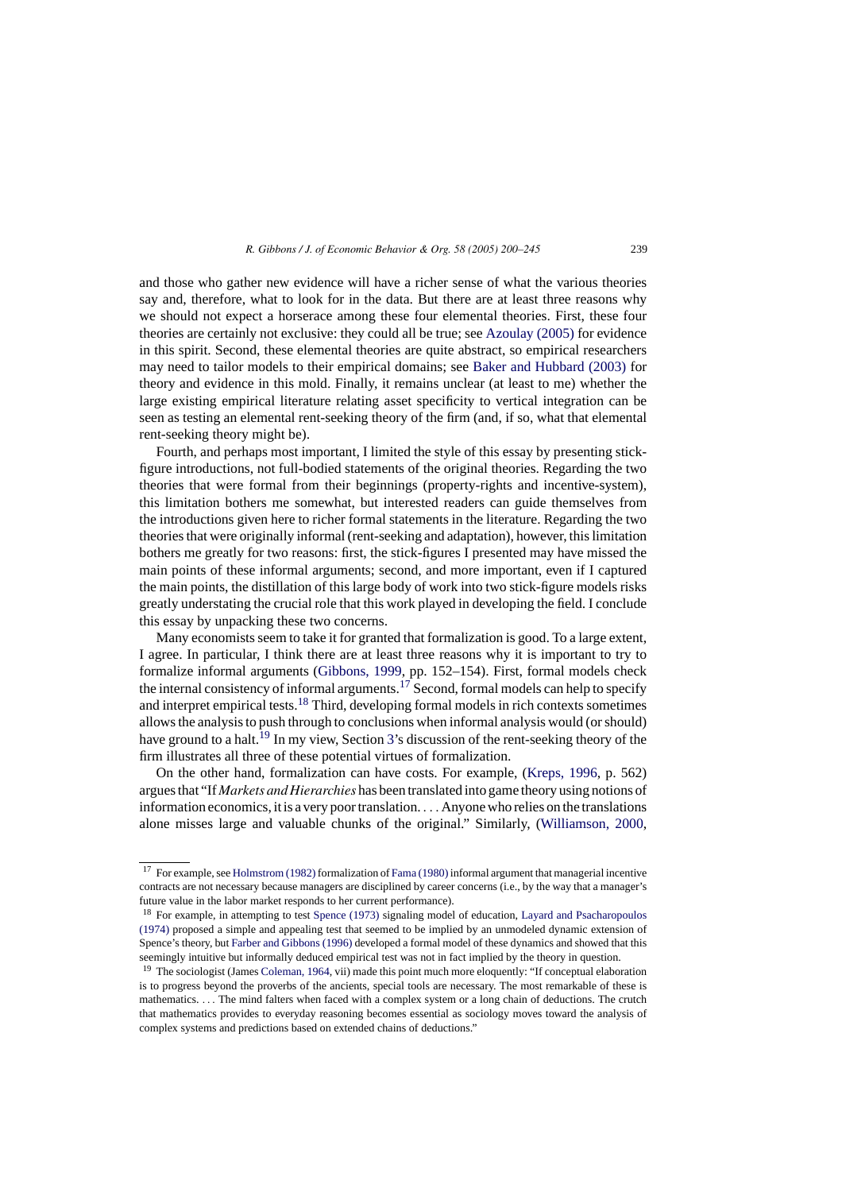and those who gather new evidence will have a richer sense of what the various theories say and, therefore, what to look for in the data. But there are at least three reasons why we should not expect a horserace among these four elemental theories. First, these four theories are certainly not exclusive: they could all be true; see [Azoulay \(2005\)](#page-41-0) for evidence in this spirit. Second, these elemental theories are quite abstract, so empirical researchers may need to tailor models to their empirical domains; see [Baker and Hubbard \(2003\)](#page-41-0) for theory and evidence in this mold. Finally, it remains unclear (at least to me) whether the large existing empirical literature relating asset specificity to vertical integration can be seen as testing an elemental rent-seeking theory of the firm (and, if so, what that elemental rent-seeking theory might be).

Fourth, and perhaps most important, I limited the style of this essay by presenting stickfigure introductions, not full-bodied statements of the original theories. Regarding the two theories that were formal from their beginnings (property-rights and incentive-system), this limitation bothers me somewhat, but interested readers can guide themselves from the introductions given here to richer formal statements in the literature. Regarding the two theories that were originally informal (rent-seeking and adaptation), however, this limitation bothers me greatly for two reasons: first, the stick-figures I presented may have missed the main points of these informal arguments; second, and more important, even if I captured the main points, the distillation of this large body of work into two stick-figure models risks greatly understating the crucial role that this work played in developing the field. I conclude this essay by unpacking these two concerns.

Many economists seem to take it for granted that formalization is good. To a large extent, I agree. In particular, I think there are at least three reasons why it is important to try to formalize informal arguments ([Gibbons, 1999,](#page-42-0) pp. 152–154). First, formal models check the internal consistency of informal arguments.<sup>17</sup> Second, formal models can help to specify and interpret empirical tests.18 Third, developing formal models in rich contexts sometimes allows the analysis to push through to conclusions when informal analysis would (or should) have ground to a halt.<sup>19</sup> In my view, Section [3's](#page-17-0) discussion of the rent-seeking theory of the firm illustrates all three of these potential virtues of formalization.

On the other hand, formalization can have costs. For example, [\(Kreps, 1996,](#page-43-0) p. 562) argues that "If *Markets and Hierarchies* has been translated into game theory using notions of information economics, it is a very poor translation. ...Anyone who relies on the translations alone misses large and valuable chunks of the original." Similarly, [\(Williamson, 2000,](#page-45-0)

 $17$  For example, see Holmstrom (1982) formalization of Fama (1980) informal argument that managerial incentive contracts are not necessary because managers are disciplined by career concerns (i.e., by the way that a manager's future value in the labor market responds to her current performance).

<sup>&</sup>lt;sup>18</sup> For example, in attempting to test [Spence \(1973\)](#page-45-0) signaling model of education, [Layard and Psacharopoulos](#page-44-0) (1974) proposed a simple and appealing test that seemed to be implied by an unmodeled dynamic extension of Spence's theory, but [Farber and Gibbons \(1996\)](#page-42-0) developed a formal model of these dynamics and showed that this seemingly intuitive but informally deduced empirical test was not in fact implied by the theory in question.

<sup>&</sup>lt;sup>19</sup> The sociologist (James [Coleman, 1964, v](#page-42-0)ii) made this point much more eloquently: "If conceptual elaboration is to progress beyond the proverbs of the ancients, special tools are necessary. The most remarkable of these is mathematics. ... The mind falters when faced with a complex system or a long chain of deductions. The crutch that mathematics provides to everyday reasoning becomes essential as sociology moves toward the analysis of complex systems and predictions based on extended chains of deductions."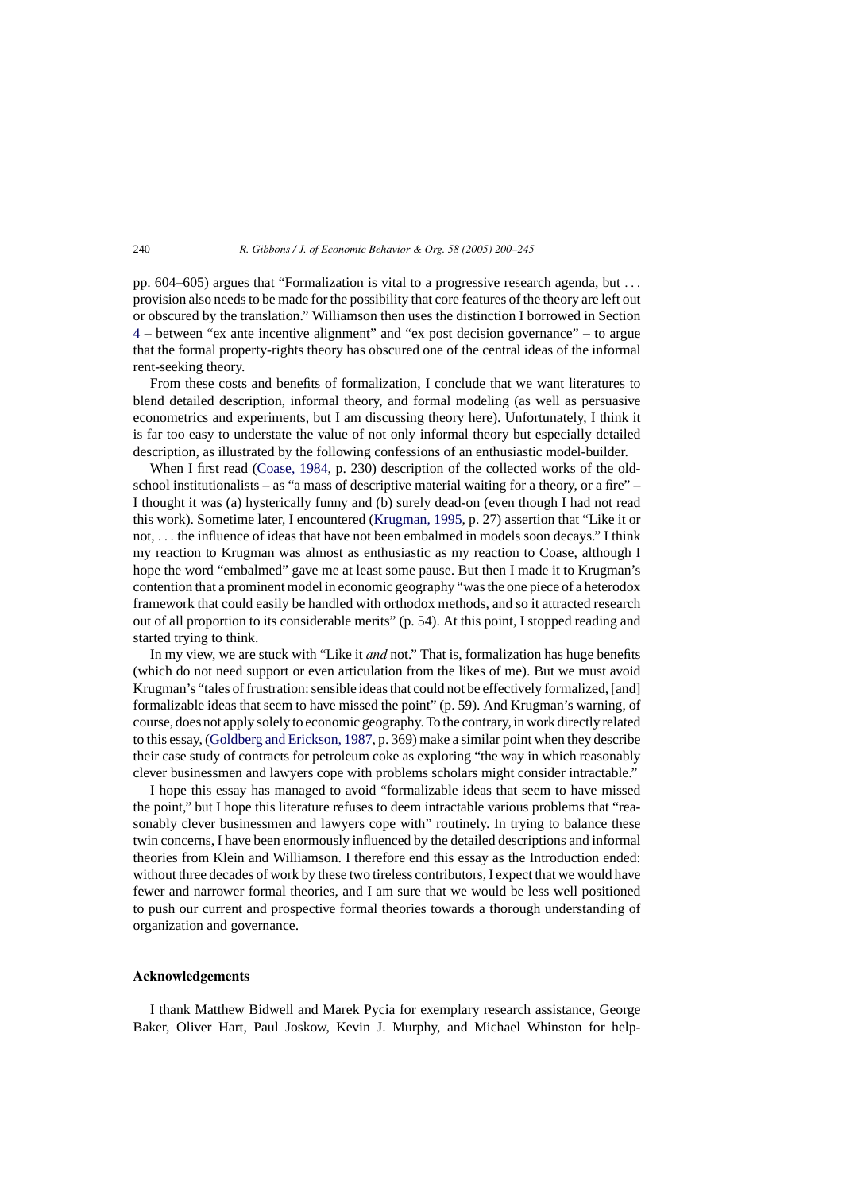pp. 604–605) argues that "Formalization is vital to a progressive research agenda, but ... provision also needs to be made for the possibility that core features of the theory are left out or obscured by the translation." Williamson then uses the distinction I borrowed in Section [4](#page-27-0) – between "ex ante incentive alignment" and "ex post decision governance" – to argue that the formal property-rights theory has obscured one of the central ideas of the informal rent-seeking theory.

From these costs and benefits of formalization, I conclude that we want literatures to blend detailed description, informal theory, and formal modeling (as well as persuasive econometrics and experiments, but I am discussing theory here). Unfortunately, I think it is far too easy to understate the value of not only informal theory but especially detailed description, as illustrated by the following confessions of an enthusiastic model-builder.

When I first read ([Coase, 1984,](#page-42-0) p. 230) description of the collected works of the oldschool institutionalists – as "a mass of descriptive material waiting for a theory, or a fire" – I thought it was (a) hysterically funny and (b) surely dead-on (even though I had not read this work). Sometime later, I encountered [\(Krugman, 1995, p](#page-43-0). 27) assertion that "Like it or not, ... the influence of ideas that have not been embalmed in models soon decays." I think my reaction to Krugman was almost as enthusiastic as my reaction to Coase, although I hope the word "embalmed" gave me at least some pause. But then I made it to Krugman's contention that a prominent model in economic geography "was the one piece of a heterodox framework that could easily be handled with orthodox methods, and so it attracted research out of all proportion to its considerable merits" (p. 54). At this point, I stopped reading and started trying to think.

In my view, we are stuck with "Like it *and* not." That is, formalization has huge benefits (which do not need support or even articulation from the likes of me). But we must avoid Krugman's "tales of frustration: sensible ideas that could not be effectively formalized, [and] formalizable ideas that seem to have missed the point" (p. 59). And Krugman's warning, of course, does not apply solely to economic geography. To the contrary, in work directly related to this essay, [\(Goldberg and Erickson, 1987, p](#page-42-0). 369) make a similar point when they describe their case study of contracts for petroleum coke as exploring "the way in which reasonably clever businessmen and lawyers cope with problems scholars might consider intractable."

I hope this essay has managed to avoid "formalizable ideas that seem to have missed the point," but I hope this literature refuses to deem intractable various problems that "reasonably clever businessmen and lawyers cope with" routinely. In trying to balance these twin concerns, I have been enormously influenced by the detailed descriptions and informal theories from Klein and Williamson. I therefore end this essay as the Introduction ended: without three decades of work by these two tireless contributors, I expect that we would have fewer and narrower formal theories, and I am sure that we would be less well positioned to push our current and prospective formal theories towards a thorough understanding of organization and governance.

#### **Acknowledgements**

I thank Matthew Bidwell and Marek Pycia for exemplary research assistance, George Baker, Oliver Hart, Paul Joskow, Kevin J. Murphy, and Michael Whinston for help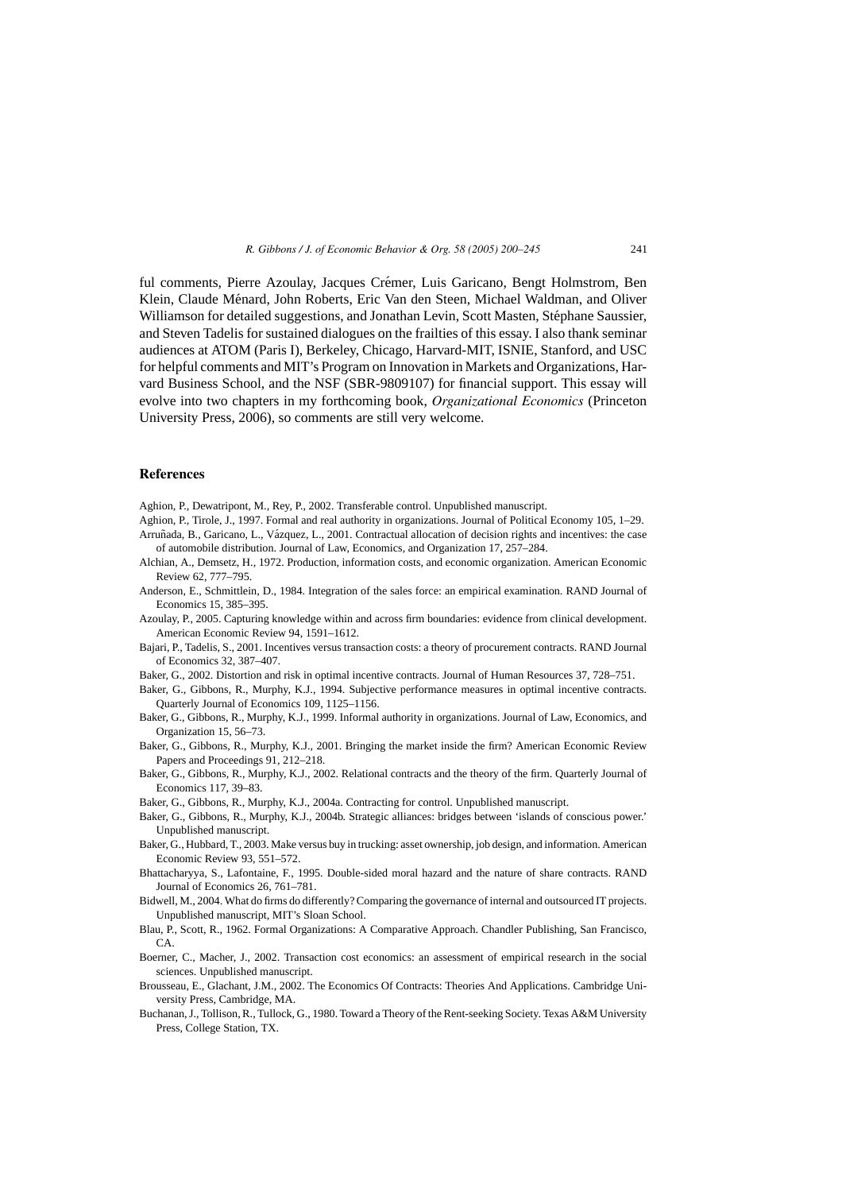<span id="page-41-0"></span>ful comments, Pierre Azoulay, Jacques Crémer, Luis Garicano, Bengt Holmstrom, Ben Klein, Claude Menard, John Roberts, Eric Van den Steen, Michael Waldman, and Oliver ´ Williamson for detailed suggestions, and Jonathan Levin, Scott Masten, Stephane Saussier, ´ and Steven Tadelis for sustained dialogues on the frailties of this essay. I also thank seminar audiences at ATOM (Paris I), Berkeley, Chicago, Harvard-MIT, ISNIE, Stanford, and USC for helpful comments and MIT's Program on Innovation in Markets and Organizations, Harvard Business School, and the NSF (SBR-9809107) for financial support. This essay will evolve into two chapters in my forthcoming book, *Organizational Economics* (Princeton University Press, 2006), so comments are still very welcome.

## **References**

- Aghion, P., Dewatripont, M., Rey, P., 2002. Transferable control. Unpublished manuscript.
- Aghion, P., Tirole, J., 1997. Formal and real authority in organizations. Journal of Political Economy 105, 1–29.
- Arruñada, B., Garicano, L., Vázquez, L., 2001. Contractual allocation of decision rights and incentives: the case of automobile distribution. Journal of Law, Economics, and Organization 17, 257–284.
- Alchian, A., Demsetz, H., 1972. Production, information costs, and economic organization. American Economic Review 62, 777–795.
- Anderson, E., Schmittlein, D., 1984. Integration of the sales force: an empirical examination. RAND Journal of Economics 15, 385–395.
- Azoulay, P., 2005. Capturing knowledge within and across firm boundaries: evidence from clinical development. American Economic Review 94, 1591–1612.
- Bajari, P., Tadelis, S., 2001. Incentives versus transaction costs: a theory of procurement contracts. RAND Journal of Economics 32, 387–407.
- Baker, G., 2002. Distortion and risk in optimal incentive contracts. Journal of Human Resources 37, 728–751.
- Baker, G., Gibbons, R., Murphy, K.J., 1994. Subjective performance measures in optimal incentive contracts. Quarterly Journal of Economics 109, 1125–1156.
- Baker, G., Gibbons, R., Murphy, K.J., 1999. Informal authority in organizations. Journal of Law, Economics, and Organization 15, 56–73.
- Baker, G., Gibbons, R., Murphy, K.J., 2001. Bringing the market inside the firm? American Economic Review Papers and Proceedings 91, 212–218.
- Baker, G., Gibbons, R., Murphy, K.J., 2002. Relational contracts and the theory of the firm. Quarterly Journal of Economics 117, 39–83.
- Baker, G., Gibbons, R., Murphy, K.J., 2004a. Contracting for control. Unpublished manuscript.
- Baker, G., Gibbons, R., Murphy, K.J., 2004b. Strategic alliances: bridges between 'islands of conscious power.' Unpublished manuscript.
- Baker, G., Hubbard, T., 2003. Make versus buy in trucking: asset ownership, job design, and information. American Economic Review 93, 551–572.
- Bhattacharyya, S., Lafontaine, F., 1995. Double-sided moral hazard and the nature of share contracts. RAND Journal of Economics 26, 761–781.
- Bidwell, M., 2004. What do firms do differently? Comparing the governance of internal and outsourced IT projects. Unpublished manuscript, MIT's Sloan School.
- Blau, P., Scott, R., 1962. Formal Organizations: A Comparative Approach. Chandler Publishing, San Francisco, CA.
- Boerner, C., Macher, J., 2002. Transaction cost economics: an assessment of empirical research in the social sciences. Unpublished manuscript.
- Brousseau, E., Glachant, J.M., 2002. The Economics Of Contracts: Theories And Applications. Cambridge University Press, Cambridge, MA.
- Buchanan, J., Tollison, R., Tullock, G., 1980. Toward a Theory of the Rent-seeking Society. Texas A&M University Press, College Station, TX.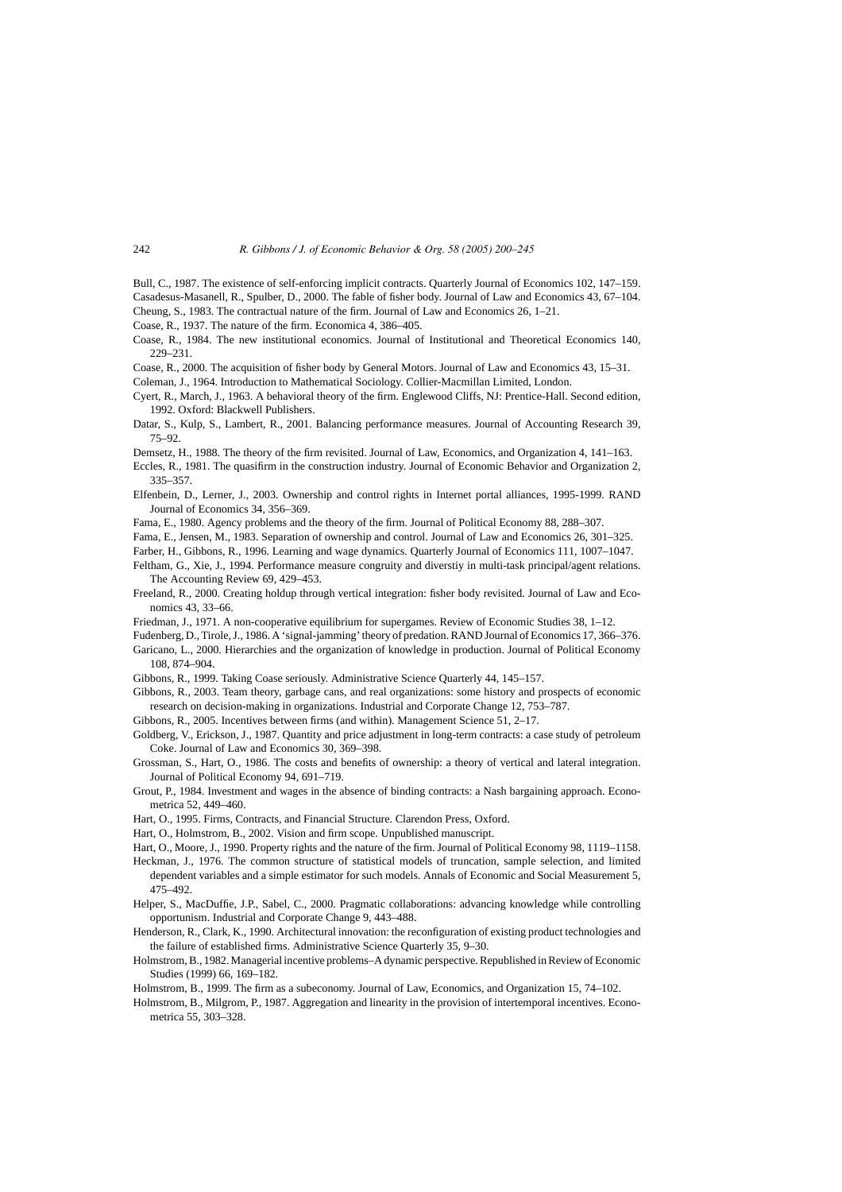<span id="page-42-0"></span>Bull, C., 1987. The existence of self-enforcing implicit contracts. Quarterly Journal of Economics 102, 147–159. Casadesus-Masanell, R., Spulber, D., 2000. The fable of fisher body. Journal of Law and Economics 43, 67–104. Cheung, S., 1983. The contractual nature of the firm. Journal of Law and Economics 26, 1–21.

Coase, R., 1937. The nature of the firm. Economica 4, 386–405.

- Coase, R., 1984. The new institutional economics. Journal of Institutional and Theoretical Economics 140, 229–231.
- Coase, R., 2000. The acquisition of fisher body by General Motors. Journal of Law and Economics 43, 15–31.

Coleman, J., 1964. Introduction to Mathematical Sociology. Collier-Macmillan Limited, London.

- Cyert, R., March, J., 1963. A behavioral theory of the firm. Englewood Cliffs, NJ: Prentice-Hall. Second edition, 1992. Oxford: Blackwell Publishers.
- Datar, S., Kulp, S., Lambert, R., 2001. Balancing performance measures. Journal of Accounting Research 39, 75–92.
- Demsetz, H., 1988. The theory of the firm revisited. Journal of Law, Economics, and Organization 4, 141–163.
- Eccles, R., 1981. The quasifirm in the construction industry. Journal of Economic Behavior and Organization 2, 335–357.
- Elfenbein, D., Lerner, J., 2003. Ownership and control rights in Internet portal alliances, 1995-1999. RAND Journal of Economics 34, 356–369.
- Fama, E., 1980. Agency problems and the theory of the firm. Journal of Political Economy 88, 288–307.
- Fama, E., Jensen, M., 1983. Separation of ownership and control. Journal of Law and Economics 26, 301–325.

Farber, H., Gibbons, R., 1996. Learning and wage dynamics. Quarterly Journal of Economics 111, 1007–1047.

- Feltham, G., Xie, J., 1994. Performance measure congruity and diverstiy in multi-task principal/agent relations. The Accounting Review 69, 429–453.
- Freeland, R., 2000. Creating holdup through vertical integration: fisher body revisited. Journal of Law and Economics 43, 33–66.
- Friedman, J., 1971. A non-cooperative equilibrium for supergames. Review of Economic Studies 38, 1–12.
- Fudenberg, D., Tirole, J., 1986. A 'signal-jamming' theory of predation. RAND Journal of Economics 17, 366–376.
- Garicano, L., 2000. Hierarchies and the organization of knowledge in production. Journal of Political Economy 108, 874–904.
- Gibbons, R., 1999. Taking Coase seriously. Administrative Science Quarterly 44, 145–157.
- Gibbons, R., 2003. Team theory, garbage cans, and real organizations: some history and prospects of economic research on decision-making in organizations. Industrial and Corporate Change 12, 753–787.
- Gibbons, R., 2005. Incentives between firms (and within). Management Science 51, 2–17.
- Goldberg, V., Erickson, J., 1987. Quantity and price adjustment in long-term contracts: a case study of petroleum Coke. Journal of Law and Economics 30, 369–398.
- Grossman, S., Hart, O., 1986. The costs and benefits of ownership: a theory of vertical and lateral integration. Journal of Political Economy 94, 691–719.
- Grout, P., 1984. Investment and wages in the absence of binding contracts: a Nash bargaining approach. Econometrica 52, 449–460.
- Hart, O., 1995. Firms, Contracts, and Financial Structure. Clarendon Press, Oxford.
- Hart, O., Holmstrom, B., 2002. Vision and firm scope. Unpublished manuscript.
- Hart, O., Moore, J., 1990. Property rights and the nature of the firm. Journal of Political Economy 98, 1119–1158.
- Heckman, J., 1976. The common structure of statistical models of truncation, sample selection, and limited dependent variables and a simple estimator for such models. Annals of Economic and Social Measurement 5, 475–492.
- Helper, S., MacDuffie, J.P., Sabel, C., 2000. Pragmatic collaborations: advancing knowledge while controlling opportunism. Industrial and Corporate Change 9, 443–488.
- Henderson, R., Clark, K., 1990. Architectural innovation: the reconfiguration of existing product technologies and the failure of established firms. Administrative Science Quarterly 35, 9–30.
- Holmstrom, B., 1982. Managerial incentive problems–A dynamic perspective. Republished in Review of Economic Studies (1999) 66, 169–182.
- Holmstrom, B., 1999. The firm as a subeconomy. Journal of Law, Economics, and Organization 15, 74–102.
- Holmstrom, B., Milgrom, P., 1987. Aggregation and linearity in the provision of intertemporal incentives. Econometrica 55, 303–328.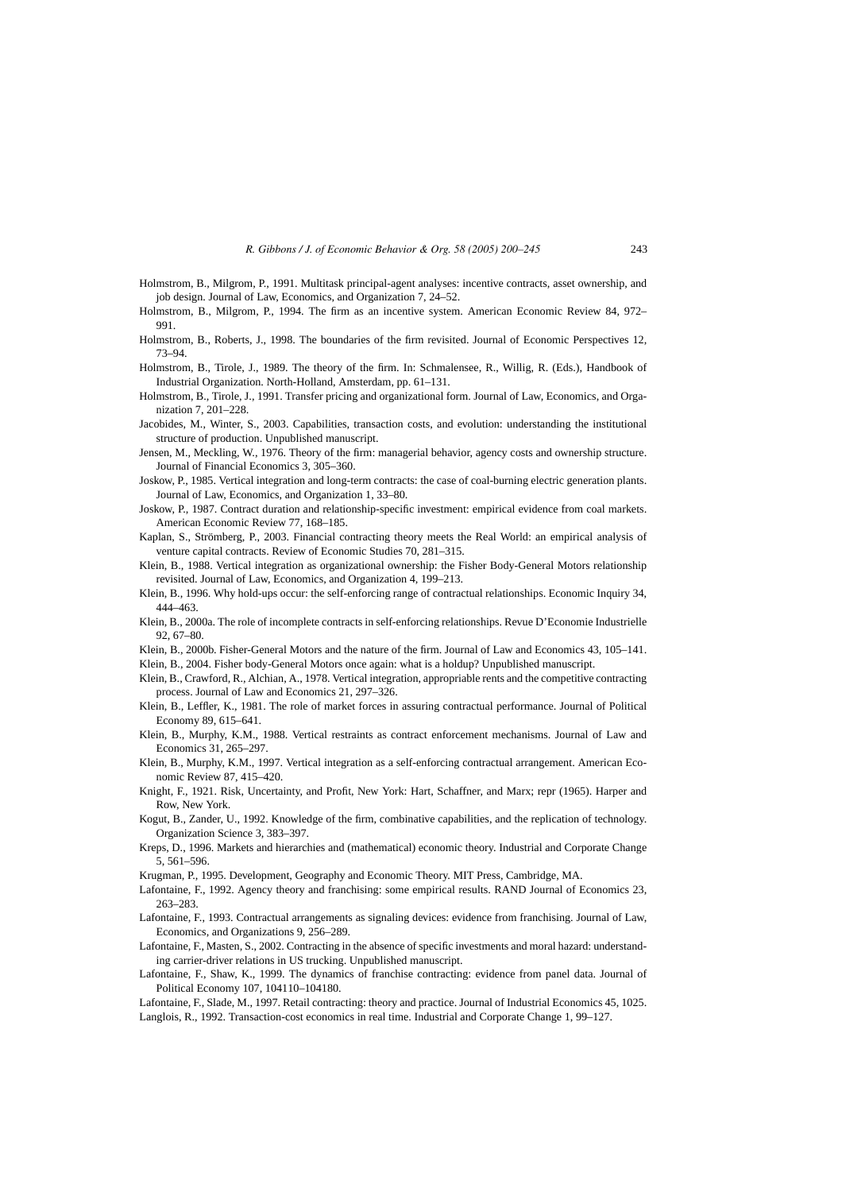- <span id="page-43-0"></span>Holmstrom, B., Milgrom, P., 1991. Multitask principal-agent analyses: incentive contracts, asset ownership, and job design. Journal of Law, Economics, and Organization 7, 24–52.
- Holmstrom, B., Milgrom, P., 1994. The firm as an incentive system. American Economic Review 84, 972– 991.
- Holmstrom, B., Roberts, J., 1998. The boundaries of the firm revisited. Journal of Economic Perspectives 12, 73–94.
- Holmstrom, B., Tirole, J., 1989. The theory of the firm. In: Schmalensee, R., Willig, R. (Eds.), Handbook of Industrial Organization. North-Holland, Amsterdam, pp. 61–131.
- Holmstrom, B., Tirole, J., 1991. Transfer pricing and organizational form. Journal of Law, Economics, and Organization 7, 201–228.
- Jacobides, M., Winter, S., 2003. Capabilities, transaction costs, and evolution: understanding the institutional structure of production. Unpublished manuscript.
- Jensen, M., Meckling, W., 1976. Theory of the firm: managerial behavior, agency costs and ownership structure. Journal of Financial Economics 3, 305–360.
- Joskow, P., 1985. Vertical integration and long-term contracts: the case of coal-burning electric generation plants. Journal of Law, Economics, and Organization 1, 33–80.
- Joskow, P., 1987. Contract duration and relationship-specific investment: empirical evidence from coal markets. American Economic Review 77, 168–185.
- Kaplan, S., Strömberg, P., 2003. Financial contracting theory meets the Real World: an empirical analysis of venture capital contracts. Review of Economic Studies 70, 281–315.
- Klein, B., 1988. Vertical integration as organizational ownership: the Fisher Body-General Motors relationship revisited. Journal of Law, Economics, and Organization 4, 199–213.
- Klein, B., 1996. Why hold-ups occur: the self-enforcing range of contractual relationships. Economic Inquiry 34, 444–463.
- Klein, B., 2000a. The role of incomplete contracts in self-enforcing relationships. Revue D'Economie Industrielle 92, 67–80.
- Klein, B., 2000b. Fisher-General Motors and the nature of the firm. Journal of Law and Economics 43, 105–141.
- Klein, B., 2004. Fisher body-General Motors once again: what is a holdup? Unpublished manuscript.
- Klein, B., Crawford, R., Alchian, A., 1978. Vertical integration, appropriable rents and the competitive contracting process. Journal of Law and Economics 21, 297–326.
- Klein, B., Leffler, K., 1981. The role of market forces in assuring contractual performance. Journal of Political Economy 89, 615–641.
- Klein, B., Murphy, K.M., 1988. Vertical restraints as contract enforcement mechanisms. Journal of Law and Economics 31, 265–297.
- Klein, B., Murphy, K.M., 1997. Vertical integration as a self-enforcing contractual arrangement. American Economic Review 87, 415–420.
- Knight, F., 1921. Risk, Uncertainty, and Profit, New York: Hart, Schaffner, and Marx; repr (1965). Harper and Row, New York.
- Kogut, B., Zander, U., 1992. Knowledge of the firm, combinative capabilities, and the replication of technology. Organization Science 3, 383–397.
- Kreps, D., 1996. Markets and hierarchies and (mathematical) economic theory. Industrial and Corporate Change 5, 561–596.
- Krugman, P., 1995. Development, Geography and Economic Theory. MIT Press, Cambridge, MA.
- Lafontaine, F., 1992. Agency theory and franchising: some empirical results. RAND Journal of Economics 23, 263–283.
- Lafontaine, F., 1993. Contractual arrangements as signaling devices: evidence from franchising. Journal of Law, Economics, and Organizations 9, 256–289.
- Lafontaine, F., Masten, S., 2002. Contracting in the absence of specific investments and moral hazard: understanding carrier-driver relations in US trucking. Unpublished manuscript.
- Lafontaine, F., Shaw, K., 1999. The dynamics of franchise contracting: evidence from panel data. Journal of Political Economy 107, 104110–104180.
- Lafontaine, F., Slade, M., 1997. Retail contracting: theory and practice. Journal of Industrial Economics 45, 1025. Langlois, R., 1992. Transaction-cost economics in real time. Industrial and Corporate Change 1, 99–127.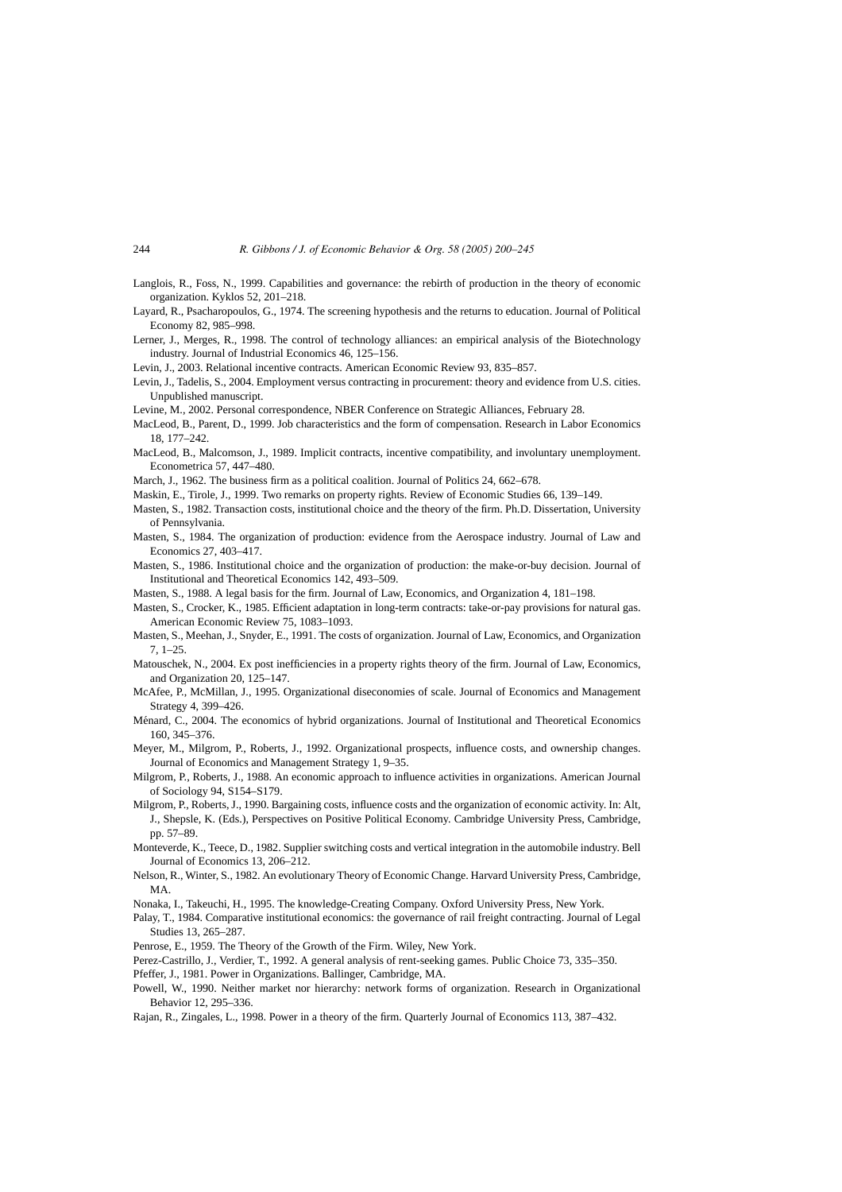- <span id="page-44-0"></span>Langlois, R., Foss, N., 1999. Capabilities and governance: the rebirth of production in the theory of economic organization. Kyklos 52, 201–218.
- Layard, R., Psacharopoulos, G., 1974. The screening hypothesis and the returns to education. Journal of Political Economy 82, 985–998.
- Lerner, J., Merges, R., 1998. The control of technology alliances: an empirical analysis of the Biotechnology industry. Journal of Industrial Economics 46, 125–156.
- Levin, J., 2003. Relational incentive contracts. American Economic Review 93, 835–857.
- Levin, J., Tadelis, S., 2004. Employment versus contracting in procurement: theory and evidence from U.S. cities. Unpublished manuscript.
- Levine, M., 2002. Personal correspondence, NBER Conference on Strategic Alliances, February 28.
- MacLeod, B., Parent, D., 1999. Job characteristics and the form of compensation. Research in Labor Economics 18, 177–242.
- MacLeod, B., Malcomson, J., 1989. Implicit contracts, incentive compatibility, and involuntary unemployment. Econometrica 57, 447–480.
- March, J., 1962. The business firm as a political coalition. Journal of Politics 24, 662–678.
- Maskin, E., Tirole, J., 1999. Two remarks on property rights. Review of Economic Studies 66, 139–149.
- Masten, S., 1982. Transaction costs, institutional choice and the theory of the firm. Ph.D. Dissertation, University of Pennsylvania.
- Masten, S., 1984. The organization of production: evidence from the Aerospace industry. Journal of Law and Economics 27, 403–417.
- Masten, S., 1986. Institutional choice and the organization of production: the make-or-buy decision. Journal of Institutional and Theoretical Economics 142, 493–509.
- Masten, S., 1988. A legal basis for the firm. Journal of Law, Economics, and Organization 4, 181–198.
- Masten, S., Crocker, K., 1985. Efficient adaptation in long-term contracts: take-or-pay provisions for natural gas. American Economic Review 75, 1083–1093.
- Masten, S., Meehan, J., Snyder, E., 1991. The costs of organization. Journal of Law, Economics, and Organization 7, 1–25.
- Matouschek, N., 2004. Ex post inefficiencies in a property rights theory of the firm. Journal of Law, Economics, and Organization 20, 125–147.
- McAfee, P., McMillan, J., 1995. Organizational diseconomies of scale. Journal of Economics and Management Strategy 4, 399–426.
- Menard, C., 2004. The economics of hybrid organizations. Journal of Institutional and Theoretical Economics ´ 160, 345–376.
- Meyer, M., Milgrom, P., Roberts, J., 1992. Organizational prospects, influence costs, and ownership changes. Journal of Economics and Management Strategy 1, 9–35.
- Milgrom, P., Roberts, J., 1988. An economic approach to influence activities in organizations. American Journal of Sociology 94, S154–S179.
- Milgrom, P., Roberts, J., 1990. Bargaining costs, influence costs and the organization of economic activity. In: Alt, J., Shepsle, K. (Eds.), Perspectives on Positive Political Economy. Cambridge University Press, Cambridge, pp. 57–89.
- Monteverde, K., Teece, D., 1982. Supplier switching costs and vertical integration in the automobile industry. Bell Journal of Economics 13, 206–212.
- Nelson, R., Winter, S., 1982. An evolutionary Theory of Economic Change. Harvard University Press, Cambridge, MA.
- Nonaka, I., Takeuchi, H., 1995. The knowledge-Creating Company. Oxford University Press, New York.
- Palay, T., 1984. Comparative institutional economics: the governance of rail freight contracting. Journal of Legal Studies 13, 265–287.
- Penrose, E., 1959. The Theory of the Growth of the Firm. Wiley, New York.
- Perez-Castrillo, J., Verdier, T., 1992. A general analysis of rent-seeking games. Public Choice 73, 335–350.

Pfeffer, J., 1981. Power in Organizations. Ballinger, Cambridge, MA.

- Powell, W., 1990. Neither market nor hierarchy: network forms of organization. Research in Organizational Behavior 12, 295–336.
- Rajan, R., Zingales, L., 1998. Power in a theory of the firm. Quarterly Journal of Economics 113, 387–432.